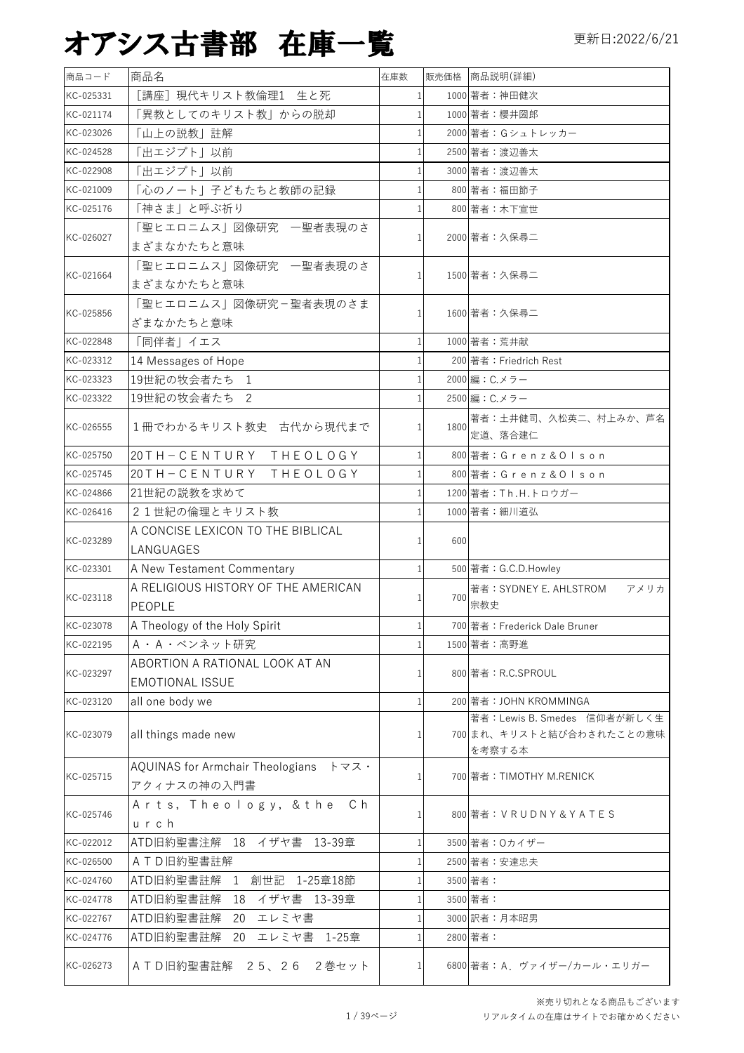| 商品コード     | 商品名                                                        | 在庫数          |      | 販売価格 商品説明(詳細)                      |
|-----------|------------------------------------------------------------|--------------|------|------------------------------------|
| KC-025331 | [講座]現代キリスト教倫理1 生と死                                         |              |      | 1000 著者:神田健次                       |
| KC-021174 | 「異教としてのキリスト教」からの脱却                                         | $\mathbf{1}$ |      | 1000 著者:櫻井圀郎                       |
| KC-023026 | 「山上の説教」註解                                                  |              |      | 2000 著者: Gシュトレッカー                  |
| KC-024528 | 「出エジプト」以前                                                  |              |      | 2500 著者: 渡辺善太                      |
| KC-022908 | 「出エジプト」以前                                                  |              |      | 3000 著者:渡辺善太                       |
| KC-021009 | 「心のノート」子どもたちと教師の記録                                         |              |      | 800 著者:福田節子                        |
| KC-025176 | 「神さま」と呼ぶ祈り                                                 |              |      | 800 著者:木下宣世                        |
| KC-026027 | 「聖ヒエロニムス」図像研究 一聖者表現のさ<br>まざまなかたちと意味                        |              |      | 2000 著者:久保尋二                       |
|           | 「聖ヒエロニムス」図像研究 一聖者表現のさ                                      |              |      |                                    |
| KC-021664 | まざまなかたちと意味                                                 |              |      | 1500 著者:久保尋二                       |
| KC-025856 | 「聖ヒエロニムス」図像研究ー聖者表現のさま                                      |              |      | 1600 著者:久保尋二                       |
|           | ざまなかたちと意味                                                  |              |      |                                    |
| KC-022848 | 「同伴者」イエス                                                   |              |      | 1000 著者: 荒井献                       |
| KC-023312 | 14 Messages of Hope                                        |              |      | 200 著者: Friedrich Rest             |
| KC-023323 | 19世紀の牧会者たち 1                                               |              |      | 2000 編: C.メラー                      |
| KC-023322 | 19世紀の牧会者たち 2                                               |              |      | 2500 編: C.メラー                      |
| KC-026555 | 1冊でわかるキリスト教史 古代から現代まで                                      |              | 1800 | 著者:土井健司、久松英二、村上みか、芦名<br>定道、落合建仁    |
| KC-025750 | 20TH-CENTURY THEOLOGY                                      |              |      | 800 著者: Grenz & Olson              |
| KC-025745 | 20TH-CENTURY THEOLOGY                                      |              |      | 800 著者:Grenz&Olson                 |
| KC-024866 | 21世紀の説教を求めて                                                |              |      | 1200 著者: Th.H.トロウガー                |
| KC-026416 | 21世紀の倫理とキリスト教                                              |              |      | 1000 著者:細川道弘                       |
|           | A CONCISE LEXICON TO THE BIBLICAL                          |              |      |                                    |
| KC-023289 | LANGUAGES                                                  |              | 600  |                                    |
| KC-023301 | A New Testament Commentary                                 |              |      | 500 著者: G.C.D.Howley               |
|           | A RELIGIOUS HISTORY OF THE AMERICAN                        |              |      | 著者:SYDNEY E. AHLSTROM<br>アメリカ      |
| KC-023118 | PEOPLE                                                     |              | 700  | 宗教史                                |
| KC-023078 | A Theology of the Holy Spirit                              |              |      | 700 著者: Frederick Dale Bruner      |
| KC-022195 | A · A · ベンネット研究                                            |              |      | 1500 著者:高野進                        |
|           | ABORTION A RATIONAL LOOK AT AN                             |              |      |                                    |
| KC-023297 | <b>EMOTIONAL ISSUE</b>                                     |              |      | 800 著者: R.C.SPROUL                 |
| KC-023120 | all one body we                                            |              |      | 200 著者: JOHN KROMMINGA             |
|           |                                                            |              |      | 著者: Lewis B. Smedes 信仰者が新しく生       |
| KC-023079 | all things made new                                        |              |      | 700 まれ、キリストと結び合わされたことの意味<br>を考察する本 |
|           | AQUINAS for Armchair Theologians $\forall \forall x \cdot$ |              |      |                                    |
| KC-025715 | アクィナスの神の入門書                                                |              |      | 700 著者: TIMOTHY M.RENICK           |
|           | Arts, Theology, & the Ch                                   |              |      |                                    |
| KC-025746 | urch                                                       |              |      | 800 著者: VRUDNY&YATES               |
| KC-022012 | ATD旧約聖書注解 18 イザヤ書 13-39章                                   |              |      | 3500 著者: Oカイザー                     |
| KC-026500 | ATD旧約聖書註解                                                  |              |      | 2500 著者:安達忠夫                       |
| KC-024760 | 1 創世記 1-25章18節<br>ATD旧約聖書註解                                |              |      | 3500 著者:                           |
| KC-024778 | ATD旧約聖書註解<br>イザヤ書<br>18<br>13-39章                          |              |      | 3500 著者:                           |
| KC-022767 | ATD旧約聖書註解<br>エレミヤ書<br>20                                   |              |      | 3000 訳者:月本昭男                       |
| KC-024776 | ATD旧約聖書註解<br>20 エレミヤ書 1-25章                                |              |      | 2800 著者:                           |
| KC-026273 | ATD旧約聖書註解 25、26 2巻セット                                      |              |      | 6800 著者: A. ヴァイザー/カール・エリガー         |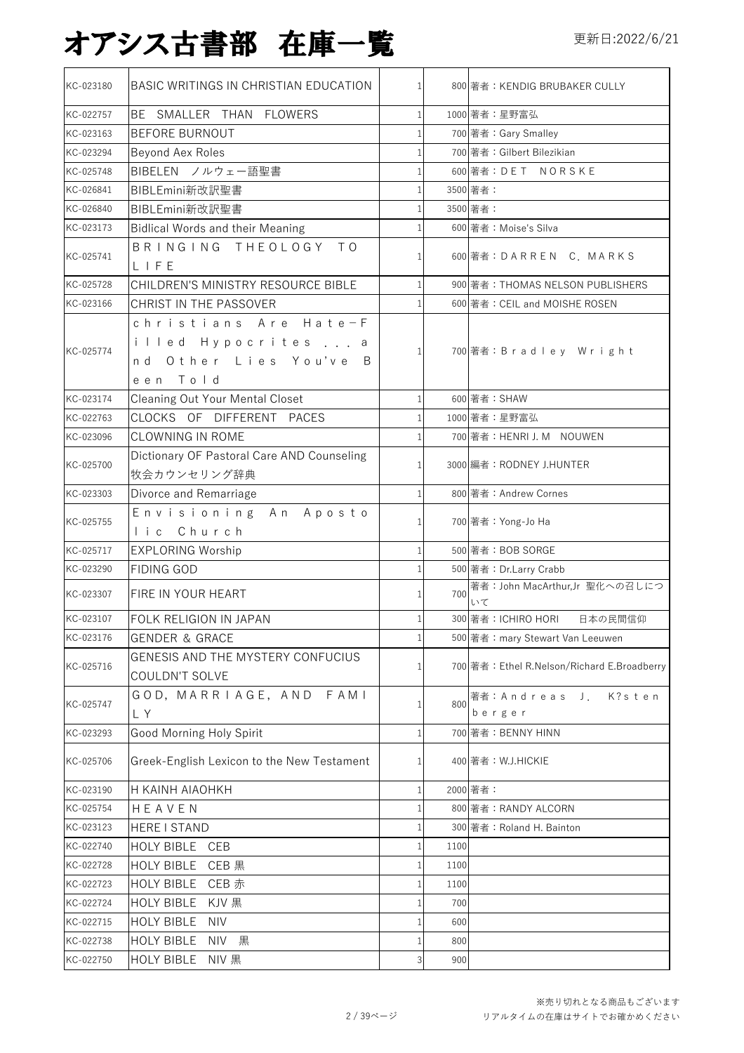| KC-023180 | BASIC WRITINGS IN CHRISTIAN EDUCATION                                                   |                |      | 800 著者:KENDIG BRUBAKER CULLY                |
|-----------|-----------------------------------------------------------------------------------------|----------------|------|---------------------------------------------|
| KC-022757 | BE SMALLER THAN FLOWERS                                                                 | $\mathbf{1}$   |      | 1000 著者:星野富弘                                |
| KC-023163 | <b>BEFORE BURNOUT</b>                                                                   |                |      | 700 著者: Gary Smalley                        |
| KC-023294 | Beyond Aex Roles                                                                        | 1              |      | 700 著者: Gilbert Bilezikian                  |
| KC-025748 | BIBELEN ノルウェー語聖書                                                                        | 1              |      | 600 著者: DET NORSKE                          |
| KC-026841 | BIBLEmini新改訳聖書                                                                          |                |      | 3500 著者:                                    |
| KC-026840 | BIBLEmini新改訳聖書                                                                          | 1              |      | 3500 著者:                                    |
| KC-023173 | <b>Bidlical Words and their Meaning</b>                                                 |                |      | 600 著者: Moise's Silva                       |
| KC-025741 | BRINGING THEOLOGY TO<br>LIFE                                                            |                |      | 600 著者:DARREN C. MARKS                      |
| KC-025728 | CHILDREN'S MINISTRY RESOURCE BIBLE                                                      |                |      | 900 著者: THOMAS NELSON PUBLISHERS            |
| KC-023166 | CHRIST IN THE PASSOVER                                                                  |                |      | 600 著者: CEIL and MOISHE ROSEN               |
| KC-025774 | christians Are Hate-F<br>illed Hypocrites<br>а<br>nd Other Lies You've<br>B<br>een Told | $\mathbf{1}$   |      | 700 著者:Bradley Wright                       |
| KC-023174 | <b>Cleaning Out Your Mental Closet</b>                                                  | $\mathbf{1}$   |      | 600 著者: SHAW                                |
| KC-022763 | CLOCKS OF DIFFERENT PACES                                                               |                |      | 1000 著者:星野富弘                                |
| KC-023096 | <b>CLOWNING IN ROME</b>                                                                 |                |      | 700 著者:HENRI J. M NOUWEN                    |
| KC-025700 | Dictionary OF Pastoral Care AND Counseling<br>牧会カウンセリング辞典                               |                |      | 3000 編者: RODNEY J.HUNTER                    |
| KC-023303 | Divorce and Remarriage                                                                  | 1              |      | 800 著者: Andrew Cornes                       |
| KC-025755 | Envisioning An Aposto<br>lic Church                                                     |                |      | 700 著者: Yong-Jo Ha                          |
| KC-025717 | <b>EXPLORING Worship</b>                                                                | 1              |      | 500 著者: BOB SORGE                           |
| KC-023290 | <b>FIDING GOD</b>                                                                       |                |      | 500 著者: Dr.Larry Crabb                      |
| KC-023307 | FIRE IN YOUR HEART                                                                      |                | 700  | 著者: John MacArthur,Jr 聖化への召しにつ<br>いて        |
| KC-023107 | FOLK RELIGION IN JAPAN                                                                  |                |      | 300 著者:ICHIRO HORI<br>日本の民間信仰               |
| KC-023176 | <b>GENDER &amp; GRACE</b>                                                               |                |      | 500 著者: mary Stewart Van Leeuwen            |
| KC-025716 | GENESIS AND THE MYSTERY CONFUCIUS<br>COULDN'T SOLVE                                     | 1              |      | 700 著者: Ethel R.Nelson/Richard E.Broadberry |
| KC-025747 | GOD, MARRIAGE, AND FAMI<br>L Y                                                          | 1              | 800  | 著者:Andreas J.<br>K?sten<br>berger           |
| KC-023293 | Good Morning Holy Spirit                                                                |                |      | 700 著者: BENNY HINN                          |
| KC-025706 | Greek-English Lexicon to the New Testament                                              |                |      | 400 著者: W.J.HICKIE                          |
| KC-023190 | H KAINH AIAOHKH                                                                         |                |      | 2000 著者:                                    |
| KC-025754 | HEAVEN                                                                                  |                |      | 800 著者: RANDY ALCORN                        |
| KC-023123 | HERE I STAND                                                                            |                |      | 300 著者: Roland H. Bainton                   |
| KC-022740 | HOLY BIBLE CEB                                                                          | 1              | 1100 |                                             |
| KC-022728 | HOLY BIBLE<br>CEB 黒                                                                     | 1              | 1100 |                                             |
| KC-022723 | HOLY BIBLE CEB 赤                                                                        |                | 1100 |                                             |
| KC-022724 | <b>HOLY BIBLE</b><br>KJV 黒                                                              |                | 700  |                                             |
| KC-022715 | <b>HOLY BIBLE</b><br><b>NIV</b>                                                         |                | 600  |                                             |
| KC-022738 | HOLY BIBLE<br>NIV 黒                                                                     |                | 800  |                                             |
| KC-022750 | HOLY BIBLE NIV 黒                                                                        | $\overline{3}$ | 900  |                                             |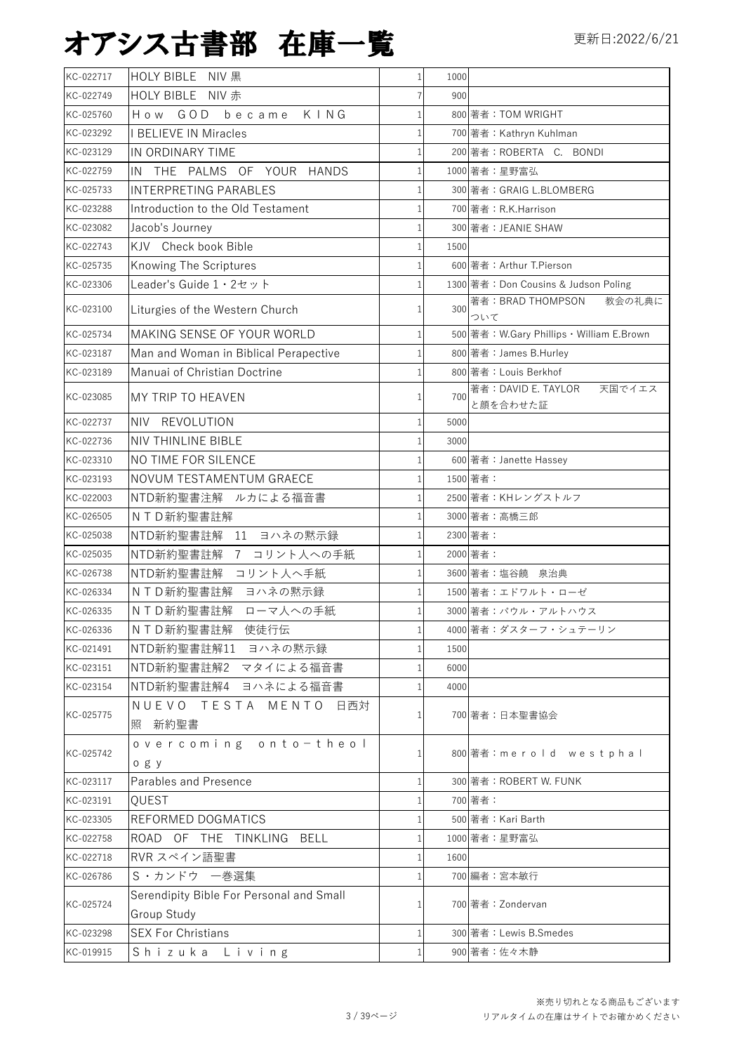| KC-022749<br>HOLY BIBLE NIV 赤<br>900<br>How GOD<br>became KING<br>800 著者: TOM WRIGHT<br>KC-025760<br>$\mathbf{1}$<br><b>I BELIEVE IN Miracles</b><br>700 著者: Kathryn Kuhlman<br>1<br>200 著者: ROBERTA C. BONDI<br>IN ORDINARY TIME<br>THE PALMS OF YOUR HANDS<br>1000 著者:星野富弘<br>IN<br><b>INTERPRETING PARABLES</b><br>300 著者: GRAIG L.BLOMBERG<br>Introduction to the Old Testament<br>KC-023288<br>700 著者: R.K.Harrison<br>300 著者: JEANIE SHAW<br>KC-023082<br>Jacob's Journey<br>KJV Check book Bible<br>1500<br>Knowing The Scriptures<br>600 著者: Arthur T.Pierson<br>Leader's Guide 1 · 2セット<br>1300 著者: Don Cousins & Judson Poling<br>著者: BRAD THOMPSON<br>教会の礼典に<br>Liturgies of the Western Church<br>300<br>ついて<br>MAKING SENSE OF YOUR WORLD<br>500 著者: W.Gary Phillips · William E.Brown<br>Man and Woman in Biblical Perapective<br>800 著者: James B.Hurley<br>Manuai of Christian Doctrine<br>800 著者: Louis Berkhof<br>KC-023189<br>著者: DAVID E. TAYLOR<br>天国でイエス<br>MY TRIP TO HEAVEN<br>KC-023085<br>700<br>と顔を合わせた証<br>NIV REVOLUTION<br>KC-022737<br>5000<br>KC-022736<br><b>NIV THINLINE BIBLE</b><br>3000<br>NO TIME FOR SILENCE<br>KC-023310<br>600 著者: Janette Hassey<br>NOVUM TESTAMENTUM GRAECE<br>1500 著者:<br>NTD新約聖書注解 ルカによる福音書<br>2500 著者: KHレングストルフ<br>NTD新約聖書註解<br>KC-026505<br>3000 著者:高橋三郎<br>2300 著者:<br>NTD新約聖書註解 11 ヨハネの黙示録<br>KC-025038<br>NTD新約聖書註解 7 コリント人への手紙<br>2000 著者:<br>NTD新約聖書註解 コリント人へ手紙<br>3600 著者:塩谷饒 泉治典<br>NTD新約聖書註解 ヨハネの黙示録<br>1500 著者:エドワルト・ローゼ<br>KC-026334<br>NTD新約聖書註解 ローマ人への手紙<br>3000 著者:パウル・アルトハウス<br>NTD新約聖書註解 使徒行伝<br>4000 著者:ダスターフ・シュテーリン<br>$\frac{1}{2}$<br>NTD新約聖書註解11 ヨハネの黙示録<br>1500<br>NTD新約聖書註解2 マタイによる福音書<br>6000<br>NTD新約聖書註解4 ヨハネによる福音書<br>4000<br>NUEVO TESTA MENTO 日西対<br>700 著者:日本聖書協会<br>照 新約聖書<br>overcoming onto-theol<br>800 著者:merold westphal<br>ogy<br>Parables and Presence<br>300 著者: ROBERT W. FUNK<br>QUEST<br>700 著者:<br>REFORMED DOGMATICS<br>500 著者: Kari Barth<br>ROAD OF THE TINKLING BELL<br>1000 著者:星野富弘<br>RVR スペイン語聖書<br>1600<br>1<br>S · カンドウ 一巻選集<br>700 編者:宮本敏行<br>Serendipity Bible For Personal and Small<br>700 著者: Zondervan<br>Group Study | KC-022717 | HOLY BIBLE NIV 黒          | $\mathbf{1}$ | 1000 |                        |
|-----------------------------------------------------------------------------------------------------------------------------------------------------------------------------------------------------------------------------------------------------------------------------------------------------------------------------------------------------------------------------------------------------------------------------------------------------------------------------------------------------------------------------------------------------------------------------------------------------------------------------------------------------------------------------------------------------------------------------------------------------------------------------------------------------------------------------------------------------------------------------------------------------------------------------------------------------------------------------------------------------------------------------------------------------------------------------------------------------------------------------------------------------------------------------------------------------------------------------------------------------------------------------------------------------------------------------------------------------------------------------------------------------------------------------------------------------------------------------------------------------------------------------------------------------------------------------------------------------------------------------------------------------------------------------------------------------------------------------------------------------------------------------------------------------------------------------------------------------------------------------------------------------------------------------------------------------------------------------------------------------------------------------------------------------------------------------------------------------------------------------------------------|-----------|---------------------------|--------------|------|------------------------|
|                                                                                                                                                                                                                                                                                                                                                                                                                                                                                                                                                                                                                                                                                                                                                                                                                                                                                                                                                                                                                                                                                                                                                                                                                                                                                                                                                                                                                                                                                                                                                                                                                                                                                                                                                                                                                                                                                                                                                                                                                                                                                                                                               |           |                           |              |      |                        |
|                                                                                                                                                                                                                                                                                                                                                                                                                                                                                                                                                                                                                                                                                                                                                                                                                                                                                                                                                                                                                                                                                                                                                                                                                                                                                                                                                                                                                                                                                                                                                                                                                                                                                                                                                                                                                                                                                                                                                                                                                                                                                                                                               |           |                           |              |      |                        |
|                                                                                                                                                                                                                                                                                                                                                                                                                                                                                                                                                                                                                                                                                                                                                                                                                                                                                                                                                                                                                                                                                                                                                                                                                                                                                                                                                                                                                                                                                                                                                                                                                                                                                                                                                                                                                                                                                                                                                                                                                                                                                                                                               | KC-023292 |                           |              |      |                        |
|                                                                                                                                                                                                                                                                                                                                                                                                                                                                                                                                                                                                                                                                                                                                                                                                                                                                                                                                                                                                                                                                                                                                                                                                                                                                                                                                                                                                                                                                                                                                                                                                                                                                                                                                                                                                                                                                                                                                                                                                                                                                                                                                               | KC-023129 |                           |              |      |                        |
|                                                                                                                                                                                                                                                                                                                                                                                                                                                                                                                                                                                                                                                                                                                                                                                                                                                                                                                                                                                                                                                                                                                                                                                                                                                                                                                                                                                                                                                                                                                                                                                                                                                                                                                                                                                                                                                                                                                                                                                                                                                                                                                                               | KC-022759 |                           |              |      |                        |
|                                                                                                                                                                                                                                                                                                                                                                                                                                                                                                                                                                                                                                                                                                                                                                                                                                                                                                                                                                                                                                                                                                                                                                                                                                                                                                                                                                                                                                                                                                                                                                                                                                                                                                                                                                                                                                                                                                                                                                                                                                                                                                                                               | KC-025733 |                           |              |      |                        |
|                                                                                                                                                                                                                                                                                                                                                                                                                                                                                                                                                                                                                                                                                                                                                                                                                                                                                                                                                                                                                                                                                                                                                                                                                                                                                                                                                                                                                                                                                                                                                                                                                                                                                                                                                                                                                                                                                                                                                                                                                                                                                                                                               |           |                           |              |      |                        |
|                                                                                                                                                                                                                                                                                                                                                                                                                                                                                                                                                                                                                                                                                                                                                                                                                                                                                                                                                                                                                                                                                                                                                                                                                                                                                                                                                                                                                                                                                                                                                                                                                                                                                                                                                                                                                                                                                                                                                                                                                                                                                                                                               |           |                           |              |      |                        |
|                                                                                                                                                                                                                                                                                                                                                                                                                                                                                                                                                                                                                                                                                                                                                                                                                                                                                                                                                                                                                                                                                                                                                                                                                                                                                                                                                                                                                                                                                                                                                                                                                                                                                                                                                                                                                                                                                                                                                                                                                                                                                                                                               | KC-022743 |                           |              |      |                        |
|                                                                                                                                                                                                                                                                                                                                                                                                                                                                                                                                                                                                                                                                                                                                                                                                                                                                                                                                                                                                                                                                                                                                                                                                                                                                                                                                                                                                                                                                                                                                                                                                                                                                                                                                                                                                                                                                                                                                                                                                                                                                                                                                               | KC-025735 |                           |              |      |                        |
|                                                                                                                                                                                                                                                                                                                                                                                                                                                                                                                                                                                                                                                                                                                                                                                                                                                                                                                                                                                                                                                                                                                                                                                                                                                                                                                                                                                                                                                                                                                                                                                                                                                                                                                                                                                                                                                                                                                                                                                                                                                                                                                                               | KC-023306 |                           |              |      |                        |
|                                                                                                                                                                                                                                                                                                                                                                                                                                                                                                                                                                                                                                                                                                                                                                                                                                                                                                                                                                                                                                                                                                                                                                                                                                                                                                                                                                                                                                                                                                                                                                                                                                                                                                                                                                                                                                                                                                                                                                                                                                                                                                                                               | KC-023100 |                           |              |      |                        |
|                                                                                                                                                                                                                                                                                                                                                                                                                                                                                                                                                                                                                                                                                                                                                                                                                                                                                                                                                                                                                                                                                                                                                                                                                                                                                                                                                                                                                                                                                                                                                                                                                                                                                                                                                                                                                                                                                                                                                                                                                                                                                                                                               | KC-025734 |                           |              |      |                        |
|                                                                                                                                                                                                                                                                                                                                                                                                                                                                                                                                                                                                                                                                                                                                                                                                                                                                                                                                                                                                                                                                                                                                                                                                                                                                                                                                                                                                                                                                                                                                                                                                                                                                                                                                                                                                                                                                                                                                                                                                                                                                                                                                               | KC-023187 |                           |              |      |                        |
|                                                                                                                                                                                                                                                                                                                                                                                                                                                                                                                                                                                                                                                                                                                                                                                                                                                                                                                                                                                                                                                                                                                                                                                                                                                                                                                                                                                                                                                                                                                                                                                                                                                                                                                                                                                                                                                                                                                                                                                                                                                                                                                                               |           |                           |              |      |                        |
|                                                                                                                                                                                                                                                                                                                                                                                                                                                                                                                                                                                                                                                                                                                                                                                                                                                                                                                                                                                                                                                                                                                                                                                                                                                                                                                                                                                                                                                                                                                                                                                                                                                                                                                                                                                                                                                                                                                                                                                                                                                                                                                                               |           |                           |              |      |                        |
|                                                                                                                                                                                                                                                                                                                                                                                                                                                                                                                                                                                                                                                                                                                                                                                                                                                                                                                                                                                                                                                                                                                                                                                                                                                                                                                                                                                                                                                                                                                                                                                                                                                                                                                                                                                                                                                                                                                                                                                                                                                                                                                                               |           |                           |              |      |                        |
|                                                                                                                                                                                                                                                                                                                                                                                                                                                                                                                                                                                                                                                                                                                                                                                                                                                                                                                                                                                                                                                                                                                                                                                                                                                                                                                                                                                                                                                                                                                                                                                                                                                                                                                                                                                                                                                                                                                                                                                                                                                                                                                                               |           |                           |              |      |                        |
|                                                                                                                                                                                                                                                                                                                                                                                                                                                                                                                                                                                                                                                                                                                                                                                                                                                                                                                                                                                                                                                                                                                                                                                                                                                                                                                                                                                                                                                                                                                                                                                                                                                                                                                                                                                                                                                                                                                                                                                                                                                                                                                                               |           |                           |              |      |                        |
|                                                                                                                                                                                                                                                                                                                                                                                                                                                                                                                                                                                                                                                                                                                                                                                                                                                                                                                                                                                                                                                                                                                                                                                                                                                                                                                                                                                                                                                                                                                                                                                                                                                                                                                                                                                                                                                                                                                                                                                                                                                                                                                                               | KC-023193 |                           |              |      |                        |
|                                                                                                                                                                                                                                                                                                                                                                                                                                                                                                                                                                                                                                                                                                                                                                                                                                                                                                                                                                                                                                                                                                                                                                                                                                                                                                                                                                                                                                                                                                                                                                                                                                                                                                                                                                                                                                                                                                                                                                                                                                                                                                                                               | KC-022003 |                           |              |      |                        |
|                                                                                                                                                                                                                                                                                                                                                                                                                                                                                                                                                                                                                                                                                                                                                                                                                                                                                                                                                                                                                                                                                                                                                                                                                                                                                                                                                                                                                                                                                                                                                                                                                                                                                                                                                                                                                                                                                                                                                                                                                                                                                                                                               |           |                           |              |      |                        |
|                                                                                                                                                                                                                                                                                                                                                                                                                                                                                                                                                                                                                                                                                                                                                                                                                                                                                                                                                                                                                                                                                                                                                                                                                                                                                                                                                                                                                                                                                                                                                                                                                                                                                                                                                                                                                                                                                                                                                                                                                                                                                                                                               |           |                           |              |      |                        |
|                                                                                                                                                                                                                                                                                                                                                                                                                                                                                                                                                                                                                                                                                                                                                                                                                                                                                                                                                                                                                                                                                                                                                                                                                                                                                                                                                                                                                                                                                                                                                                                                                                                                                                                                                                                                                                                                                                                                                                                                                                                                                                                                               | KC-025035 |                           |              |      |                        |
|                                                                                                                                                                                                                                                                                                                                                                                                                                                                                                                                                                                                                                                                                                                                                                                                                                                                                                                                                                                                                                                                                                                                                                                                                                                                                                                                                                                                                                                                                                                                                                                                                                                                                                                                                                                                                                                                                                                                                                                                                                                                                                                                               | KC-026738 |                           |              |      |                        |
|                                                                                                                                                                                                                                                                                                                                                                                                                                                                                                                                                                                                                                                                                                                                                                                                                                                                                                                                                                                                                                                                                                                                                                                                                                                                                                                                                                                                                                                                                                                                                                                                                                                                                                                                                                                                                                                                                                                                                                                                                                                                                                                                               |           |                           |              |      |                        |
|                                                                                                                                                                                                                                                                                                                                                                                                                                                                                                                                                                                                                                                                                                                                                                                                                                                                                                                                                                                                                                                                                                                                                                                                                                                                                                                                                                                                                                                                                                                                                                                                                                                                                                                                                                                                                                                                                                                                                                                                                                                                                                                                               | KC-026335 |                           |              |      |                        |
|                                                                                                                                                                                                                                                                                                                                                                                                                                                                                                                                                                                                                                                                                                                                                                                                                                                                                                                                                                                                                                                                                                                                                                                                                                                                                                                                                                                                                                                                                                                                                                                                                                                                                                                                                                                                                                                                                                                                                                                                                                                                                                                                               | KC-026336 |                           |              |      |                        |
|                                                                                                                                                                                                                                                                                                                                                                                                                                                                                                                                                                                                                                                                                                                                                                                                                                                                                                                                                                                                                                                                                                                                                                                                                                                                                                                                                                                                                                                                                                                                                                                                                                                                                                                                                                                                                                                                                                                                                                                                                                                                                                                                               | KC-021491 |                           |              |      |                        |
|                                                                                                                                                                                                                                                                                                                                                                                                                                                                                                                                                                                                                                                                                                                                                                                                                                                                                                                                                                                                                                                                                                                                                                                                                                                                                                                                                                                                                                                                                                                                                                                                                                                                                                                                                                                                                                                                                                                                                                                                                                                                                                                                               | KC-023151 |                           |              |      |                        |
|                                                                                                                                                                                                                                                                                                                                                                                                                                                                                                                                                                                                                                                                                                                                                                                                                                                                                                                                                                                                                                                                                                                                                                                                                                                                                                                                                                                                                                                                                                                                                                                                                                                                                                                                                                                                                                                                                                                                                                                                                                                                                                                                               | KC-023154 |                           |              |      |                        |
|                                                                                                                                                                                                                                                                                                                                                                                                                                                                                                                                                                                                                                                                                                                                                                                                                                                                                                                                                                                                                                                                                                                                                                                                                                                                                                                                                                                                                                                                                                                                                                                                                                                                                                                                                                                                                                                                                                                                                                                                                                                                                                                                               | KC-025775 |                           |              |      |                        |
|                                                                                                                                                                                                                                                                                                                                                                                                                                                                                                                                                                                                                                                                                                                                                                                                                                                                                                                                                                                                                                                                                                                                                                                                                                                                                                                                                                                                                                                                                                                                                                                                                                                                                                                                                                                                                                                                                                                                                                                                                                                                                                                                               | KC-025742 |                           |              |      |                        |
|                                                                                                                                                                                                                                                                                                                                                                                                                                                                                                                                                                                                                                                                                                                                                                                                                                                                                                                                                                                                                                                                                                                                                                                                                                                                                                                                                                                                                                                                                                                                                                                                                                                                                                                                                                                                                                                                                                                                                                                                                                                                                                                                               | KC-023117 |                           |              |      |                        |
|                                                                                                                                                                                                                                                                                                                                                                                                                                                                                                                                                                                                                                                                                                                                                                                                                                                                                                                                                                                                                                                                                                                                                                                                                                                                                                                                                                                                                                                                                                                                                                                                                                                                                                                                                                                                                                                                                                                                                                                                                                                                                                                                               | KC-023191 |                           |              |      |                        |
|                                                                                                                                                                                                                                                                                                                                                                                                                                                                                                                                                                                                                                                                                                                                                                                                                                                                                                                                                                                                                                                                                                                                                                                                                                                                                                                                                                                                                                                                                                                                                                                                                                                                                                                                                                                                                                                                                                                                                                                                                                                                                                                                               | KC-023305 |                           |              |      |                        |
|                                                                                                                                                                                                                                                                                                                                                                                                                                                                                                                                                                                                                                                                                                                                                                                                                                                                                                                                                                                                                                                                                                                                                                                                                                                                                                                                                                                                                                                                                                                                                                                                                                                                                                                                                                                                                                                                                                                                                                                                                                                                                                                                               | KC-022758 |                           |              |      |                        |
|                                                                                                                                                                                                                                                                                                                                                                                                                                                                                                                                                                                                                                                                                                                                                                                                                                                                                                                                                                                                                                                                                                                                                                                                                                                                                                                                                                                                                                                                                                                                                                                                                                                                                                                                                                                                                                                                                                                                                                                                                                                                                                                                               | KC-022718 |                           |              |      |                        |
|                                                                                                                                                                                                                                                                                                                                                                                                                                                                                                                                                                                                                                                                                                                                                                                                                                                                                                                                                                                                                                                                                                                                                                                                                                                                                                                                                                                                                                                                                                                                                                                                                                                                                                                                                                                                                                                                                                                                                                                                                                                                                                                                               | KC-026786 |                           |              |      |                        |
|                                                                                                                                                                                                                                                                                                                                                                                                                                                                                                                                                                                                                                                                                                                                                                                                                                                                                                                                                                                                                                                                                                                                                                                                                                                                                                                                                                                                                                                                                                                                                                                                                                                                                                                                                                                                                                                                                                                                                                                                                                                                                                                                               | KC-025724 |                           |              |      |                        |
|                                                                                                                                                                                                                                                                                                                                                                                                                                                                                                                                                                                                                                                                                                                                                                                                                                                                                                                                                                                                                                                                                                                                                                                                                                                                                                                                                                                                                                                                                                                                                                                                                                                                                                                                                                                                                                                                                                                                                                                                                                                                                                                                               | KC-023298 | <b>SEX For Christians</b> |              |      | 300 著者: Lewis B.Smedes |
| Shizuka Living<br>900 著者:佐々木静                                                                                                                                                                                                                                                                                                                                                                                                                                                                                                                                                                                                                                                                                                                                                                                                                                                                                                                                                                                                                                                                                                                                                                                                                                                                                                                                                                                                                                                                                                                                                                                                                                                                                                                                                                                                                                                                                                                                                                                                                                                                                                                 | KC-019915 |                           |              |      |                        |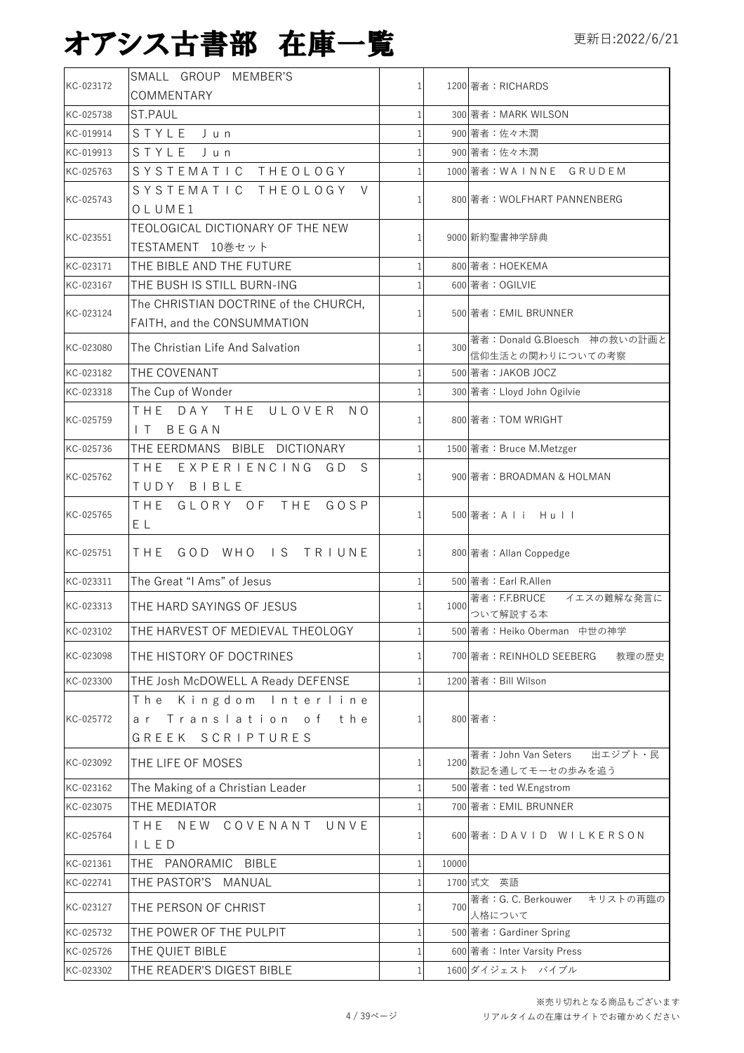|           | SMALL GROUP MEMBER'S                                                 |              |       |                                                   |  |
|-----------|----------------------------------------------------------------------|--------------|-------|---------------------------------------------------|--|
| KC-023172 | COMMENTARY                                                           |              |       | 1200 著者: RICHARDS                                 |  |
| KC-025738 | <b>ST.PAUL</b>                                                       |              |       | 300 著者: MARK WILSON                               |  |
| KC-019914 | STYLE Jun                                                            |              |       | 900 著者:佐々木潤                                       |  |
| KC-019913 | STYLE<br>Jun                                                         |              |       | 900 著者:佐々木潤                                       |  |
| KC-025763 | SYSTEMATIC THEOLOGY                                                  |              |       | 1000 著者:WAINNE GRUDEM                             |  |
| KC-025743 | SYSTEMATIC THEOLOGY V<br>OLUME1                                      |              |       | 800 著者: WOLFHART PANNENBERG                       |  |
| KC-023551 | TEOLOGICAL DICTIONARY OF THE NEW<br>TESTAMENT 10巻セット                 |              |       | 9000 新約聖書神学辞典                                     |  |
| KC-023171 | THE BIBLE AND THE FUTURE                                             |              |       | 800 著者: HOEKEMA                                   |  |
| KC-023167 | THE BUSH IS STILL BURN-ING                                           |              |       | 600 著者: OGILVIE                                   |  |
| KC-023124 | The CHRISTIAN DOCTRINE of the CHURCH,<br>FAITH, and the CONSUMMATION |              |       | 500 著者: EMIL BRUNNER                              |  |
| KC-023080 | The Christian Life And Salvation                                     |              | 300   | 著者: Donald G.Bloesch 神の救いの計画と<br>信仰生活との関わりについての考察 |  |
| KC-023182 | THE COVENANT                                                         |              |       | 500 著者:JAKOB JOCZ                                 |  |
| KC-023318 | The Cup of Wonder                                                    |              |       | 300 著者: Lloyd John Ogilvie                        |  |
| KC-025759 | THE DAY THE ULOVER NO<br>BEGAN<br>$\mathsf{I}$                       |              |       | 800 著者: TOM WRIGHT                                |  |
| KC-025736 | THE EERDMANS BIBLE DICTIONARY                                        |              |       | 1500 著者: Bruce M.Metzger                          |  |
| KC-025762 | THE EXPERIENCING GD<br>S<br>TUDY BIBLE                               |              |       | 900 著者: BROADMAN & HOLMAN                         |  |
| KC-025765 | THE GLORY OF THE GOSP<br>ΕL                                          | $\mathbf{1}$ |       | 500 著者:A l i H u l l                              |  |
| KC-025751 | THE GOD WHO IS TRIUNE                                                |              |       | 800 著者: Allan Coppedge                            |  |
| KC-023311 | The Great "I Ams" of Jesus                                           |              |       | 500 著者: Earl R.Allen                              |  |
| KC-023313 | THE HARD SAYINGS OF JESUS                                            | 1            | 1000  | イエスの難解な発言に<br>著者:F.F.BRUCE                        |  |
|           |                                                                      |              |       | ついて解説する本                                          |  |
| KC-023102 | THE HARVEST OF MEDIEVAL THEOLOGY                                     |              |       | 500 著者: Heiko Oberman 中世の神学                       |  |
| KC-023098 | THE HISTORY OF DOCTRINES                                             |              |       | 700 著者:REINHOLD SEEBERG<br>教理の歴史                  |  |
| KC-023300 | THE Josh McDOWELL A Ready DEFENSE                                    |              |       | 1200 著者: Bill Wilson                              |  |
| KC-025772 | The Kingdom Interline<br>ar Translation of the<br>GREEK SCRIPTURES   |              |       | 800 著者:                                           |  |
| KC-023092 | THE LIFE OF MOSES                                                    | 1            | 1200  | 出エジプト・民<br>著者: John Van Seters<br>数記を通してモーセの歩みを追う |  |
| KC-023162 | The Making of a Christian Leader                                     |              |       | 500 著者: ted W.Engstrom                            |  |
| KC-023075 | THE MEDIATOR                                                         |              |       | 700 著者: EMIL BRUNNER                              |  |
| KC-025764 | THE NEW COVENANT UNVE<br>I L E D                                     |              |       | 600 著者:DAVID WILKERSON                            |  |
| KC-021361 | THE PANORAMIC BIBLE                                                  | 1            | 10000 |                                                   |  |
| KC-022741 | THE PASTOR'S MANUAL                                                  |              |       | 1700 式文 英語                                        |  |
| KC-023127 | THE PERSON OF CHRIST                                                 |              | 700   | 著者: G. C. Berkouwer キリストの再臨の<br>人格について            |  |
| KC-025732 | THE POWER OF THE PULPIT                                              |              |       | 500 著者: Gardiner Spring                           |  |
| KC-025726 | THE QUIET BIBLE                                                      |              |       | 600 著者: Inter Varsity Press                       |  |
| KC-023302 | THE READER'S DIGEST BIBLE                                            |              |       | 1600 ダイジェスト バイブル                                  |  |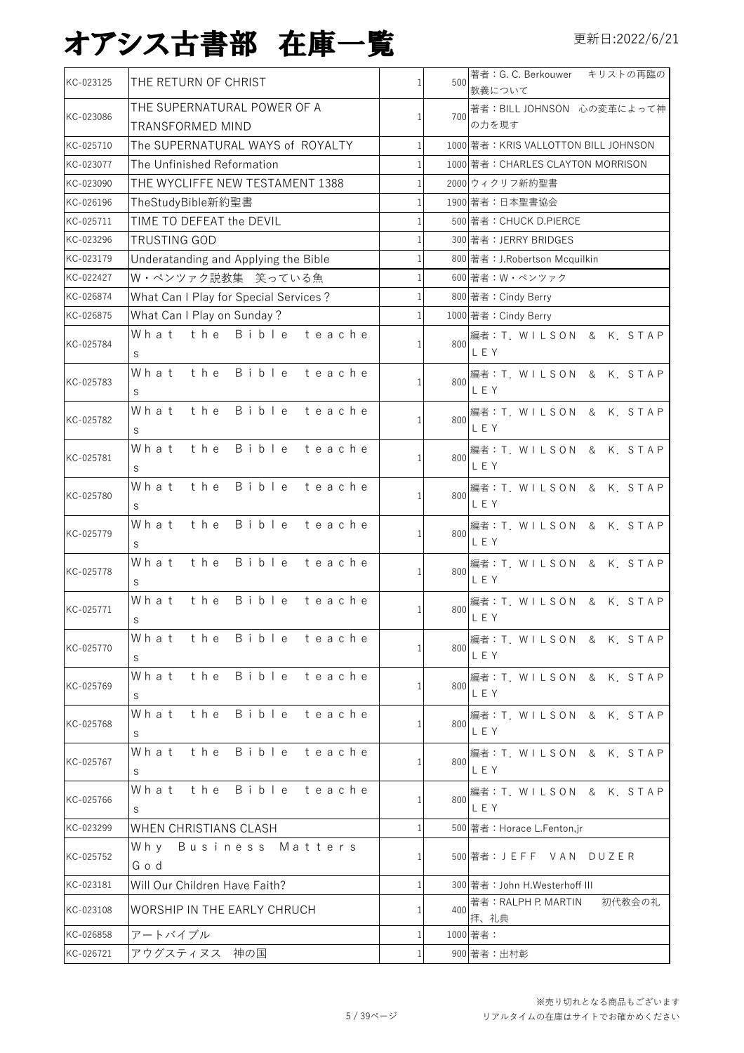| KC-023125 | THE RETURN OF CHRIST                  | $\mathbf{1}$ | 500 | 著者: G. C. Berkouwer キリストの再臨の<br>教義について |
|-----------|---------------------------------------|--------------|-----|----------------------------------------|
|           | THE SUPERNATURAL POWER OF A           |              |     | 著者: BILL JOHNSON 心の変革によって神             |
| KC-023086 | TRANSFORMED MIND                      | $\mathbf{1}$ | 700 | の力を現す                                  |
| KC-025710 | The SUPERNATURAL WAYS of ROYALTY      | $\mathbf{1}$ |     | 1000 著者: KRIS VALLOTTON BILL JOHNSON   |
| KC-023077 | The Unfinished Reformation            | $\mathbf{1}$ |     | 1000 著者: CHARLES CLAYTON MORRISON      |
| KC-023090 | THE WYCLIFFE NEW TESTAMENT 1388       | $\mathbf{1}$ |     | 2000 ウィクリフ新約聖書                         |
| KC-026196 | TheStudyBible新約聖書                     | $\mathbf{1}$ |     | 1900 著者:日本聖書協会                         |
| KC-025711 | TIME TO DEFEAT the DEVIL              | $\mathbf{1}$ |     | 500 著者: CHUCK D.PIERCE                 |
| KC-023296 | <b>TRUSTING GOD</b>                   | 1            |     | 300 著者: JERRY BRIDGES                  |
| KC-023179 | Underatanding and Applying the Bible  | $\mathbf{1}$ |     | 800 著者: J.Robertson Mcquilkin          |
| KC-022427 | W·ペンツァク説教集 笑っている魚                     | $\mathbf{1}$ |     | 600 著者:W・ペンツァク                         |
| KC-026874 | What Can I Play for Special Services? | $\mathbf{1}$ |     | 800 著者: Cindy Berry                    |
| KC-026875 | What Can I Play on Sunday?            | $\mathbf{1}$ |     | 1000 著者: Cindy Berry                   |
|           | What the Bible teache                 |              |     | 編者: T. WILSON & K. STAP                |
| KC-025784 | S                                     |              | 800 | LEY                                    |
|           | Bible teache<br>What the              |              |     | 編者: T. WILSON & K. STAP                |
| KC-025783 | S                                     | $\mathbf{1}$ | 800 | LEY                                    |
|           | Bible teache<br>What<br>the           |              |     | 編者: T. WILSON & K. STAP                |
| KC-025782 | S                                     | 1            | 800 | LEY                                    |
|           | What the Bible teache                 |              |     | 編者:T. WILSON & K. STAP                 |
| KC-025781 | S                                     | $\mathbf{1}$ | 800 | LEY                                    |
|           | Bible teache<br>What<br>the           |              |     | 編者: T. WILSON & K. STAP                |
| KC-025780 | S                                     | 1            | 800 | LEY                                    |
|           | the<br>Bible teache<br>What           |              |     | 編者:T. WILSON & K. STAP                 |
| KC-025779 | S                                     | $\mathbf{1}$ | 800 | LEY                                    |
|           | Bible<br>What<br>the<br>teache        |              |     | 編者: T. WILSON & K. STAP                |
| KC-025778 | S                                     | 1            | 800 | LEY                                    |
|           | the<br>Bible teache<br>What           |              |     | 編者: T. WILSON & K. STAP                |
| KC-025771 | S                                     | 1            | 800 | LEY                                    |
|           | Bible teache<br>What the              |              |     | 編者: T. WILSON & K. STAP                |
| KC-025770 | S                                     | 1            | 800 | LEY                                    |
|           | Bible teache<br>What<br>the           |              |     | 編者: T. WILSON & K. STAP                |
| KC-025769 | S                                     | $\mathbf{1}$ | 800 | LEY                                    |
|           | What the Bible teache                 |              |     | 編者: T. WILSON & K. STAP                |
| KC-025768 | S                                     | $\mathbf{1}$ | 800 | LEY                                    |
|           | What the Bible teache                 |              |     | 編者: T. WILSON & K. STAP                |
| KC-025767 | S                                     | $\mathbf{1}$ | 800 | LEY                                    |
|           | What the Bible teache                 |              |     | 編者: T. WILSON & K. STAP                |
| KC-025766 | S                                     | $\mathbf{1}$ | 800 | LEY                                    |
| KC-023299 | WHEN CHRISTIANS CLASH                 | $\mathbf{1}$ |     | 500 著者: Horace L.Fenton,jr             |
|           | Why<br>Business Matters               |              |     |                                        |
| KC-025752 | God                                   | 1            |     | 500 著者:J E F F V A N D U Z E R         |
| KC-023181 | Will Our Children Have Faith?         | $\mathbf{1}$ |     | 300 著者: John H.Westerhoff III          |
|           |                                       |              |     | 著者:RALPH P. MARTIN<br>初代教会の礼           |
| KC-023108 | WORSHIP IN THE EARLY CHRUCH           | 1            | 400 | 拝、礼典                                   |
| KC-026858 | アートバイブル                               | 1            |     | 1000 著者:                               |
| KC-026721 | アウグスティヌス 神の国                          |              |     | 900 著者:出村彰                             |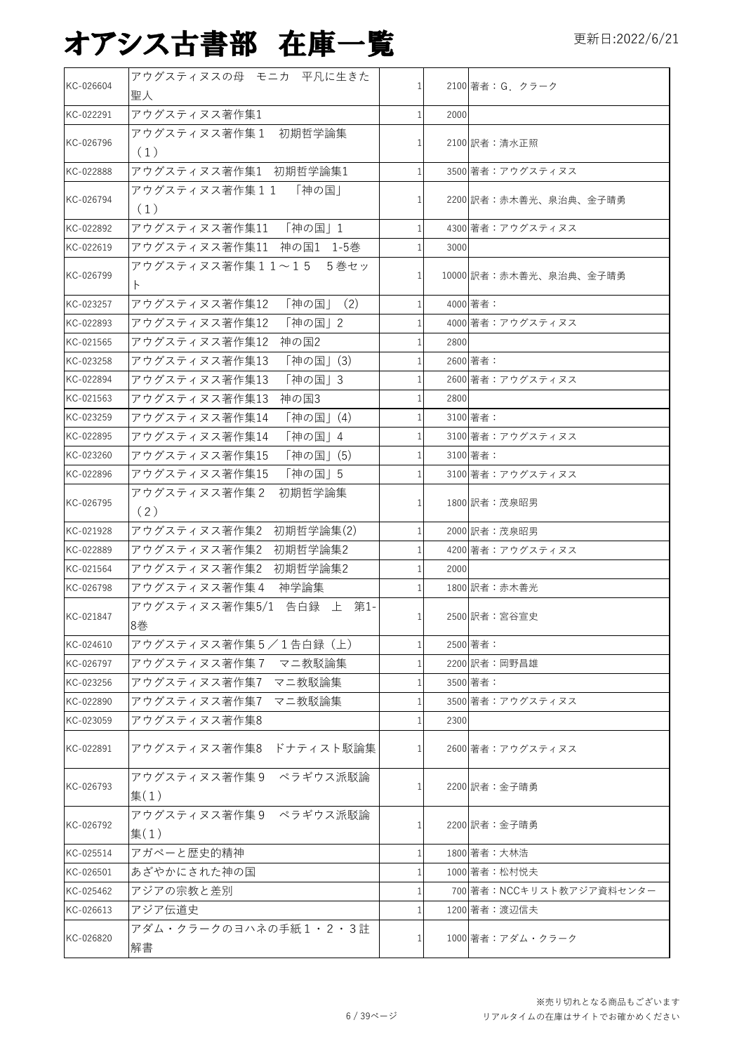| KC-026604 | アウグスティヌスの母 モニカ 平凡に生きた            | 1              |      | 2100 著者: G. クラーク         |
|-----------|----------------------------------|----------------|------|--------------------------|
|           | 聖人                               |                |      |                          |
| KC-022291 | アウグスティヌス著作集1                     | 1              | 2000 |                          |
| KC-026796 | アウグスティヌス著作集1 初期哲学論集<br>(1)       | $\mathbf{1}$   |      | 2100 訳者:清水正照             |
| KC-022888 | アウグスティヌス著作集1 初期哲学論集1             | $\mathbf{1}$   |      | 3500 著者:アウグスティヌス         |
| KC-026794 | アウグスティヌス著作集11<br>「神の国」<br>(1)    | $\mathbf{1}$   |      | 2200 訳者:赤木善光、泉治典、金子晴勇    |
| KC-022892 | アウグスティヌス著作集11 「神の国」1             | $\mathbf{1}$   |      | 4300 著者:アウグスティヌス         |
| KC-022619 | アウグスティヌス著作集11 神の国1 1-5巻          | $\mathbf{1}$   | 3000 |                          |
|           | アウグスティヌス著作集11~15<br>5巻セッ         |                |      |                          |
| KC-026799 | $\vdash$                         | $\mathbf{1}$   |      | 10000 訳者: 赤木善光、泉治典、金子晴勇  |
| KC-023257 | アウグスティヌス著作集12<br>「神の国」<br>(2)    | $\mathbf{1}$   |      | 4000 著者:                 |
| KC-022893 | 「神の国」2<br>アウグスティヌス著作集12          | $\mathbf{1}$   |      | 4000 著者:アウグスティヌス         |
| KC-021565 | アウグスティヌス著作集12<br>神の国2            | 1              | 2800 |                          |
| KC-023258 | 「神の国」(3)<br>アウグスティヌス著作集13        | $\mathbf{1}$   |      | 2600 著者:                 |
| KC-022894 | アウグスティヌス著作集13<br>「神の国」3          | $\mathbf{1}$   |      | 2600 著者:アウグスティヌス         |
| KC-021563 | アウグスティヌス著作集13<br>神の国3            | 1              | 2800 |                          |
| KC-023259 | アウグスティヌス著作集14<br>「神の国」(4)        | $\mathbf{1}$   |      | 3100 著者:                 |
| KC-022895 | 「神の国」4<br>アウグスティヌス著作集14          | $\mathbf{1}$   |      | 3100 著者:アウグスティヌス         |
| KC-023260 | アウグスティヌス著作集15<br>「神の国」(5)        | $\mathbf{1}$   |      | 3100 著者:                 |
| KC-022896 | アウグスティヌス著作集15<br>「神の国」5          | $\mathbf{1}$   |      | 3100 著者:アウグスティヌス         |
|           | アウグスティヌス著作集2<br>初期哲学論集           |                |      |                          |
| KC-026795 | (2)                              | $1\vert$       |      | 1800 訳者:茂泉昭男             |
| KC-021928 | アウグスティヌス著作集2 初期哲学論集(2)           | $1\vert$       |      | 2000 訳者:茂泉昭男             |
| KC-022889 | 初期哲学論集2<br>アウグスティヌス著作集2          | $\mathbf{1}$   |      | 4200 著者:アウグスティヌス         |
| KC-021564 | アウグスティヌス著作集2<br>初期哲学論集2          | $\mathbf{1}$   | 2000 |                          |
| KC-026798 | アウグスティヌス著作集4 神学論集                | $\mathbf{1}$   |      | 1800 訳者:赤木善光             |
|           | アウグスティヌス著作集5/1 告白録 上 第1-         |                |      |                          |
| KC-021847 | 8巻                               | 1              |      | 2500 訳者:宮谷宣史             |
| KC-024610 | アウグスティヌス著作集5/1告白録(上)             | $\mathbf{1}$   |      | 2500 著者:                 |
| KC-026797 | アウグスティヌス著作集7<br>マニ教駁論集           |                |      | 2200 訳者:岡野昌雄             |
| KC-023256 | アウグスティヌス著作集7 マニ教駁論集              | 1              |      | 3500 著者:                 |
| KC-022890 | アウグスティヌス著作集7<br>マニ教駁論集           | 1              |      | 3500 著者:アウグスティヌス         |
| KC-023059 | アウグスティヌス著作集8                     | 1              | 2300 |                          |
| KC-022891 | アウグスティヌス著作集8 ドナティスト駁論集           | $\mathbf{1}$   |      | 2600 著者:アウグスティヌス         |
| KC-026793 | アウグスティヌス著作集9 ペラギウス派駁論<br>$=$ (1) | 1 <sup>1</sup> |      | 2200 訳者:金子晴勇             |
|           | アウグスティヌス著作集9 ペラギウス派駁論            |                |      |                          |
| KC-026792 | $=$ (1)                          | $\mathbf{1}$   |      | 2200 訳者:金子晴勇             |
| KC-025514 | アガペーと歴史的精神                       | 1              |      | 1800 著者: 大林浩             |
| KC-026501 | あざやかにされた神の国                      | 1              |      | 1000 著者:松村悦夫             |
| KC-025462 | アジアの宗教と差別                        | 1              |      | 700 著者:NCCキリスト教アジア資料センター |
| KC-026613 | アジア伝道史                           |                |      | 1200 著者:渡辺信夫             |
| KC-026820 | アダム・クラークのヨハネの手紙1・2・3註            |                |      | 1000 著者:アダム・クラーク         |
|           | 解書                               |                |      |                          |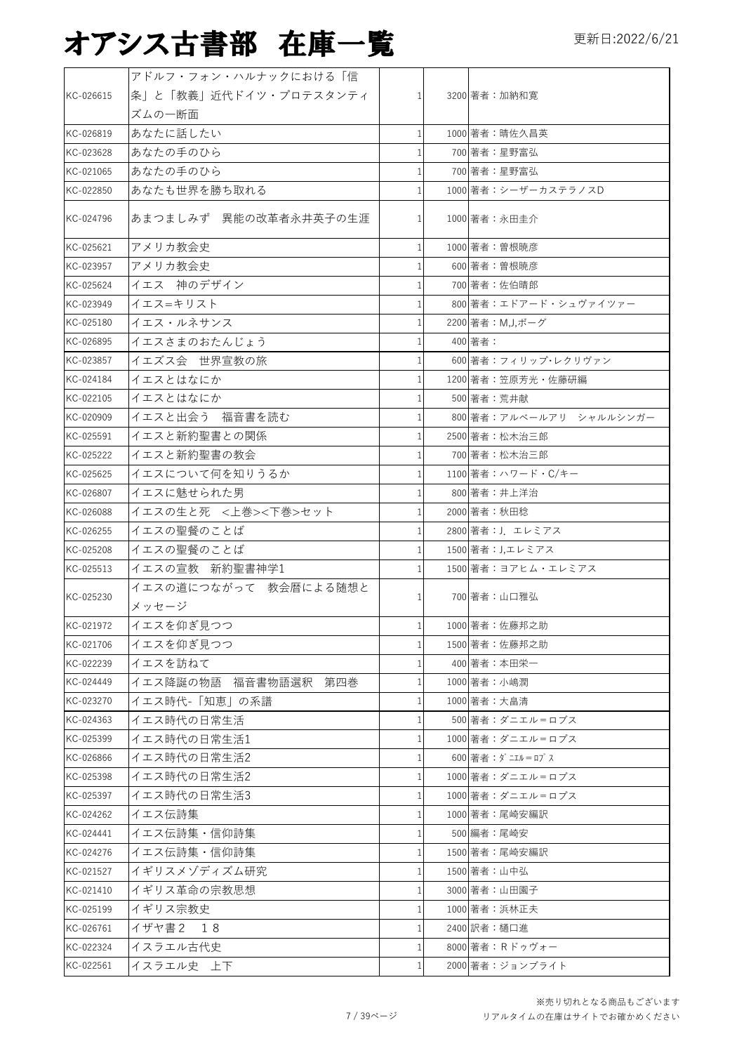|           | アドルフ・フォン・ハルナックにおける「信       |                |                         |
|-----------|----------------------------|----------------|-------------------------|
| KC-026615 | 条」と「教義」近代ドイツ・プロテスタンティ      | $\mathbf{1}$   | 3200 著者:加納和寛            |
|           | ズムの一断面                     |                |                         |
| KC-026819 | あなたに話したい                   | 1              | 1000 著者:晴佐久昌英           |
| KC-023628 | あなたの手のひら                   |                | 700 著者:星野富弘             |
| KC-021065 | あなたの手のひら                   |                | 700 著者:星野富弘             |
| KC-022850 | あなたも世界を勝ち取れる               |                | 1000 著者:シーザーカステラノスD     |
|           |                            |                |                         |
| KC-024796 | あまつましみず 異能の改革者永井英子の生涯      |                | 1000 著者:永田圭介            |
| KC-025621 | アメリカ教会史                    |                | 1000 著者:曽根暁彦            |
| KC-023957 | アメリカ教会史                    |                | 600 著者:曽根暁彦             |
|           | イエス 神のデザイン                 |                |                         |
| KC-025624 |                            |                | 700 著者:佐伯晴郎             |
| KC-023949 | イエス=キリスト                   |                | 800 著者:エドアード・シュヴァイツァー   |
| KC-025180 | イエス・ルネサンス                  |                | 2200 著者: M,J,ボーグ        |
| KC-026895 | イエスさまのおたんじょう               |                | 400 著者:                 |
| KC-023857 | イエズス会 世界宣教の旅               |                | 600 著者:フィリップ・レクリヴァン     |
| KC-024184 | イエスとはなにか                   |                | 1200 著者:笠原芳光·佐藤研編       |
| KC-022105 | イエスとはなにか                   |                | 500 著者:荒井献              |
| KC-020909 | イエスと出会う 福音書を読む             |                | 800 著者:アルベールアリ シャルルシンガー |
| KC-025591 | イエスと新約聖書との関係               |                | 2500 著者:松木治三郎           |
| KC-025222 | イエスと新約聖書の教会                |                | 700 著者:松木治三郎            |
| KC-025625 | イエスについて何を知りうるか             |                | 1100 著者: ハワード・C/キー      |
| KC-026807 | イエスに魅せられた男                 | $\mathbf{1}$   | 800 著者:井上洋治             |
| KC-026088 | イエスの生と死 <上巻><下巻>セット        |                | 2000 著者: 秋田稔            |
| KC-026255 | イエスの聖餐のことば                 |                | 2800 著者: J. エレミアス       |
| KC-025208 | イエスの聖餐のことば                 |                | 1500 著者: J,エレミアス        |
| KC-025513 | イエスの宣教 新約聖書神学1             |                | 1500 著者:ヨアヒム・エレミアス      |
|           | イエスの道につながって 教会暦による随想と      |                |                         |
| KC-025230 | メッセージ                      | 1              | 700 著者:山口雅弘             |
| KC-021972 | イエスを仰ぎ見つつ                  | 1 <sup>1</sup> | 1000 著者:佐藤邦之助           |
| KC-021706 | イエスを仰ぎ見つつ                  | $\mathbf{1}$   | 1500 著者:佐藤邦之助           |
| KC-022239 | イエスを訪ねて                    |                | 400 著者:本田栄一             |
| KC-024449 | イエス降誕の物語<br>福音書物語選釈<br>第四巻 | $\mathbf{1}$   | 1000 著者: 小嶋潤            |
| KC-023270 | イエス時代-「知恵」の系譜              | 1              | 1000 著者: 大畠清            |
| KC-024363 | イエス時代の日常生活                 | 1              | 500 著者:ダニエル゠ロブス         |
| KC-025399 | イエス時代の日常生活1                |                | 1000 著者:ダニエル゠ロプス        |
| KC-026866 | イエス時代の日常生活2                | 1              | 600 著者:ダニエル=ロプス         |
| KC-025398 | イエス時代の日常生活2                | 1              | 1000 著者:ダニエル=ロプス        |
| KC-025397 | イエス時代の日常生活3                | 1              | 1000 著者:ダニエル=ロプス        |
| KC-024262 | イエス伝詩集                     |                | 1000 著者:尾崎安編訳           |
|           |                            | 1              |                         |
| KC-024441 | イエス伝詩集・信仰詩集                | 1              | 500 編者:尾崎安              |
| KC-024276 | イエス伝詩集・信仰詩集                |                | 1500 著者:尾崎安編訳           |
| KC-021527 | イギリスメゾディズム研究               | 1              | 1500 著者:山中弘             |
| KC-021410 | イギリス革命の宗教思想                | 1              | 3000 著者:山田園子            |
| KC-025199 | イギリス宗教史                    | 1              | 1000 著者:浜林正夫            |
| KC-026761 | イザヤ書2<br>18                | 1              | 2400 訳者:樋口進             |
| KC-022324 | イスラエル古代史                   |                | 8000 著者: Rドゥヴォー         |
| KC-022561 | イスラエル史 上下                  | 1              | 2000 著者:ジョンブライト         |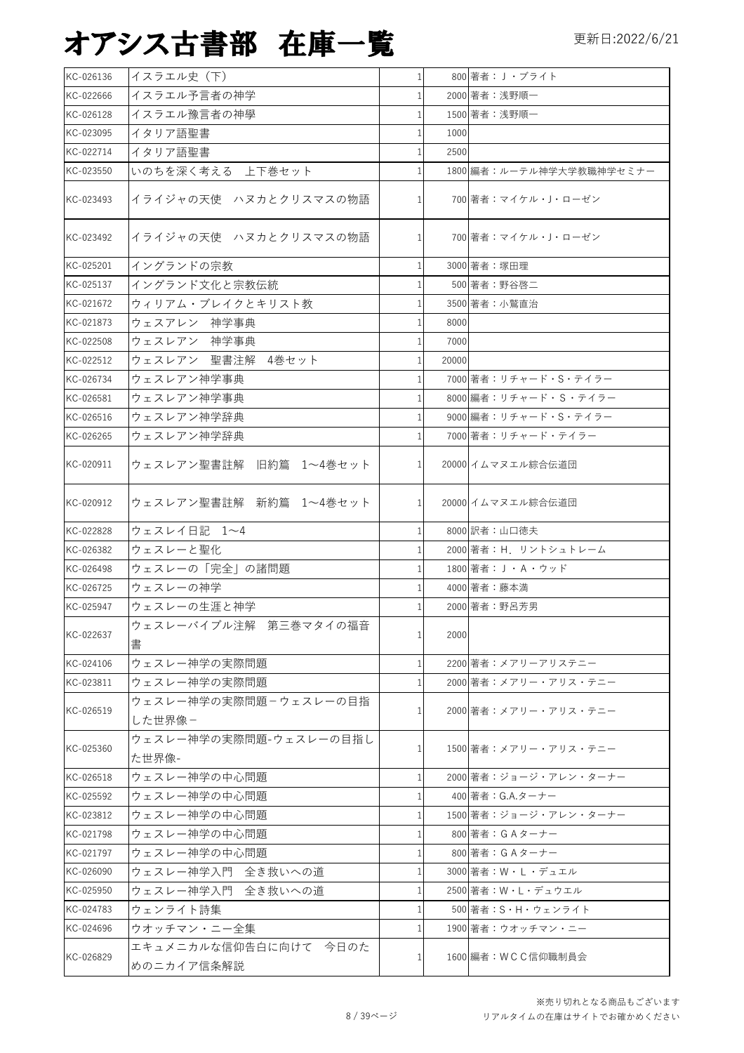| KC-026136 | イスラエル史 (下)                          | 1              |       | 800 著者: J·ブライト           |
|-----------|-------------------------------------|----------------|-------|--------------------------|
| KC-022666 | イスラエル予言者の神学                         | 1              |       | 2000 著者:浅野順一             |
| KC-026128 | イスラエル豫言者の神學                         | 1              |       | 1500 著者:浅野順一             |
| KC-023095 | イタリア語聖書                             | 1              | 1000  |                          |
| KC-022714 | イタリア語聖書                             | 1              | 2500  |                          |
| KC-023550 | いのちを深く考える 上下巻セット                    |                |       | 1800 編者:ルーテル神学大学教職神学セミナー |
| KC-023493 | イライジャの天使 ハヌカとクリスマスの物語               | $\mathbf{1}$   |       | 700 著者: マイケル・J・ローゼン      |
| KC-023492 | イライジャの天使 ハヌカとクリスマスの物語               | $1\vert$       |       | 700 著者: マイケル・J・ローゼン      |
| KC-025201 | イングランドの宗教                           | 1              |       | 3000 著者: 塚田理             |
| KC-025137 | イングランド文化と宗教伝統                       |                |       | 500 著者:野谷啓二              |
| KC-021672 | ウィリアム・ブレイクとキリスト教                    | 1              |       | 3500 著者:小鷲直治             |
| KC-021873 | ウェスアレン 神学事典                         | 1              | 8000  |                          |
| KC-022508 | ウェスレアン 神学事典                         | 1              | 7000  |                          |
| KC-022512 | ウェスレアン 聖書注解 4巻セット                   | 1              | 20000 |                          |
| KC-026734 | ウェスレアン神学事典                          |                |       | 7000 著者: リチャード・S・テイラー    |
| KC-026581 | ウェスレアン神学事典                          |                |       | 8000 編者: リチャード・S・テイラー    |
| KC-026516 | ウェスレアン神学辞典                          |                |       | 9000 編者: リチャード・S・テイラー    |
| KC-026265 | ウェスレアン神学辞典                          |                |       | 7000 著者:リチャード・テイラー       |
| KC-020911 | ウェスレアン聖書註解 旧約篇 1~4巻セット              | 1              |       | 20000 イムマヌエル綜合伝道団        |
| KC-020912 | ウェスレアン聖書註解 新約篇 1~4巻セット              | 1 <sup>1</sup> |       | 20000 イムマヌエル綜合伝道団        |
| KC-022828 | ウェスレイ日記 1~4                         | 1              |       | 8000 訳者:山口徳夫             |
| KC-026382 | ウェスレーと聖化                            |                |       | 2000 著者: H. リントシュトレーム    |
| KC-026498 | ウェスレーの「完全」の諸問題                      |                |       | 1800 著者: J·A·ウッド         |
| KC-026725 | ウェスレーの神学                            |                |       | 4000 著者:藤本満              |
| KC-025947 | ウェスレーの生涯と神学                         |                |       | 2000 著者:野呂芳男             |
| KC-022637 | ウェスレーバイブル注解 第三巻マタイの福音<br>書          | 1              | 2000  |                          |
| KC-024106 | ウェスレー神学の実際問題                        | 1              |       | 2200 著者:メアリーアリステニー       |
| KC-023811 | ウェスレー神学の実際問題                        |                |       | 2000 著者:メアリー・アリス・テニー     |
| KC-026519 | ウェスレー神学の実際問題ーウェスレーの目指<br>した世界像-     | 1              |       | 2000 著者:メアリー・アリス・テニー     |
| KC-025360 | ウェスレー神学の実際問題-ウェスレーの目指し<br>た世界像-     | 1              |       | 1500 著者:メアリー・アリス・テニー     |
| KC-026518 | ウェスレー神学の中心問題                        | 1              |       | 2000 著者:ジョージ・アレン・ターナー    |
| KC-025592 | ウェスレー神学の中心問題                        | 1              |       | 400 著者: G.A.ターナー         |
| KC-023812 | ウェスレー神学の中心問題                        | 1              |       | 1500 著者: ジョージ・アレン・ターナー   |
| KC-021798 | ウェスレー神学の中心問題                        | 1              |       | 800 著者: GAターナー           |
| KC-021797 | ウェスレー神学の中心問題                        | 1              |       | 800 著者: GA ターナー          |
| KC-026090 | ウェスレー神学入門 全き救いへの道                   | 1              |       | 3000 著者:W・L・デュエル         |
| KC-025950 | ウェスレー神学入門 全き救いへの道                   | $\mathbf 1$    |       | 2500 著者: W · L · デュウエル   |
| KC-024783 | ウェンライト詩集                            | 1              |       | 500 著者: S · H · ウェンライト   |
| KC-024696 | ウオッチマン・ニー全集                         | 1              |       | 1900 著者:ウオッチマン・ニー        |
| KC-026829 | エキュメニカルな信仰告白に向けて 今日のた<br>めのニカイア信条解説 | $\mathbf{1}$   |       | 1600 編者: WCC信仰職制員会       |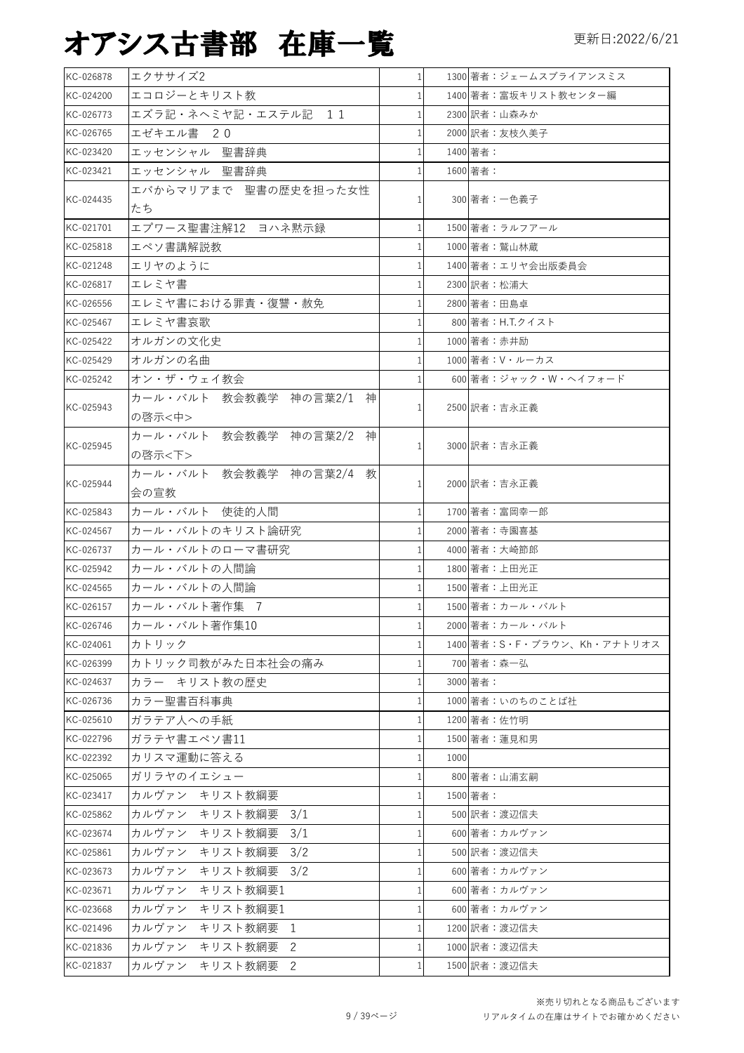| KC-026878 | エクササイズ2                            | 1              | 1300 著者:ジェームスブライアンスミス      |
|-----------|------------------------------------|----------------|----------------------------|
| KC-024200 | エコロジーとキリスト教                        | $\mathbf{1}$   | 1400 著者:富坂キリスト教センター編       |
| KC-026773 | エズラ記・ネヘミヤ記・エステル記 11                | 1              | 2300 訳者:山森みか               |
| KC-026765 | エゼキエル書 20                          | 1              | 2000 訳者:友枝久美子              |
| KC-023420 | エッセンシャル 聖書辞典                       | 1              | 1400 著者:                   |
| KC-023421 | エッセンシャル 聖書辞典                       | 1              | 1600 著者:                   |
| KC-024435 | エバからマリアまで 聖書の歴史を担った女性<br>たち        | 1              | 300 著者:一色義子                |
| KC-021701 | エプワース聖書注解12 ヨハネ黙示録                 | $\mathbf{1}$   | 1500 著者:ラルフアール             |
| KC-025818 | エペソ書講解説教                           | $\mathbf{1}$   | 1000 著者:鷲山林蔵               |
| KC-021248 | エリヤのように                            | $\mathbf{1}$   | 1400 著者:エリヤ会出版委員会          |
| KC-026817 | エレミヤ書                              | $\mathbf{1}$   | 2300 訳者:松浦大                |
| KC-026556 | エレミヤ書における罪責・復讐・赦免                  | 1              | 2800 著者:田島卓                |
| KC-025467 | エレミヤ書哀歌                            | $\mathbf{1}$   | 800 著者:H.T.クイスト            |
| KC-025422 | オルガンの文化史                           | $\mathbf{1}$   | 1000 著者:赤井励                |
| KC-025429 | オルガンの名曲                            | $\mathbf{1}$   | 1000 著者: V・ルーカス            |
| KC-025242 | オン・ザ・ウェイ教会                         |                | 600 著者:ジャック・W・ヘイフォード       |
|           | カール・バルト 教会教義学 神の言葉2/1 神            |                |                            |
| KC-025943 | の啓示<中>                             | 1              | 2500 訳者:吉永正義               |
|           | カール・バルト<br>教会教義学 神の言葉2/2 神         |                |                            |
| KC-025945 | の啓示<下>                             | 1 <sup>1</sup> | 3000 訳者:吉永正義               |
|           | カール・バルト 教会教義学 神の言葉2/4 教            |                |                            |
| KC-025944 | 会の宣教                               | $\mathbf{1}$   | 2000 訳者:吉永正義               |
| KC-025843 | カール・バルト 使徒的人間                      | $\mathbf{1}$   | 1700 著者:富岡幸一郎              |
| KC-024567 | カール・バルトのキリスト論研究                    | $\mathbf{1}$   | 2000 著者:寺園喜基               |
| KC-026737 | カール・バルトのローマ書研究                     | $\mathbf{1}$   | 4000 著者:大崎節郎               |
| KC-025942 | カール・バルトの人間論                        | 1              | 1800 著者:上田光正               |
| KC-024565 | カール・バルトの人間論                        |                | 1500 著者:上田光正               |
| KC-026157 | カール・バルト著作集 7                       | 1              | 1500 著者:カール・バルト            |
| KC-026746 | カール・バルト著作集10                       | 1 <sup>1</sup> | 2000 著者:カール・バルト            |
| KC-024061 | カトリック                              | 1 <sup>1</sup> | 1400 著者:S・F・ブラウン、Kh・アナトリオス |
| KC-026399 | カトリック司教がみた日本社会の痛み                  | $\mathbf{1}$   | 700 著者:森一弘                 |
| KC-024637 | カラー キリスト教の歴史                       | $1\vert$       | 3000 著者:                   |
| KC-026736 | カラー聖書百科事典                          | 1              | 1000 著者:いのちのことば社           |
| KC-025610 | ガラテア人への手紙                          | $\mathbf{1}$   | 1200 著者:佐竹明                |
| KC-022796 | ガラテヤ書エペソ書11                        | $\mathbf{1}$   | 1500 著者:蓮見和男               |
| KC-022392 | カリスマ運動に答える                         | $1\vert$       | 1000                       |
| KC-025065 | ガリラヤのイエシュー                         | $\mathbf{1}$   | 800 著者:山浦玄嗣                |
| KC-023417 | カルヴァン キリスト教綱要                      | $\mathbf 1$    | 1500 著者:                   |
| KC-025862 | カルヴァン<br>キリスト教綱要<br>3/1            | 1              | 500 訳者:渡辺信夫                |
| KC-023674 | カルヴァン キリスト教綱要<br>3/1               | $\mathbf{1}$   | 600 著者:カルヴァン               |
| KC-025861 | カルヴァン<br>キリスト教綱要<br>3/2            | 1              | 500 訳者:渡辺信夫                |
| KC-023673 | カルヴァン<br>キリスト教綱要<br>3/2            | $\mathbf{1}$   | 600 著者:カルヴァン               |
| KC-023671 | カルヴァン<br>キリスト教綱要1                  | 1              | 600 著者:カルヴァン               |
| KC-023668 |                                    | $\mathbf{1}$   | 600 著者:カルヴァン               |
| KC-021496 | カルヴァン<br>キリスト教綱要1<br>カルヴァン         | $\mathbf{1}$   | 1200 訳者:渡辺信夫               |
| KC-021836 | キリスト教網要<br>1<br>カルヴァン キリスト教網要<br>2 | $\mathbf{1}$   | 1000 訳者:渡辺信夫               |
|           |                                    |                | 1500 訳者: 渡辺信夫              |
| KC-021837 | カルヴァン キリスト教網要<br>2                 | $1\vert$       |                            |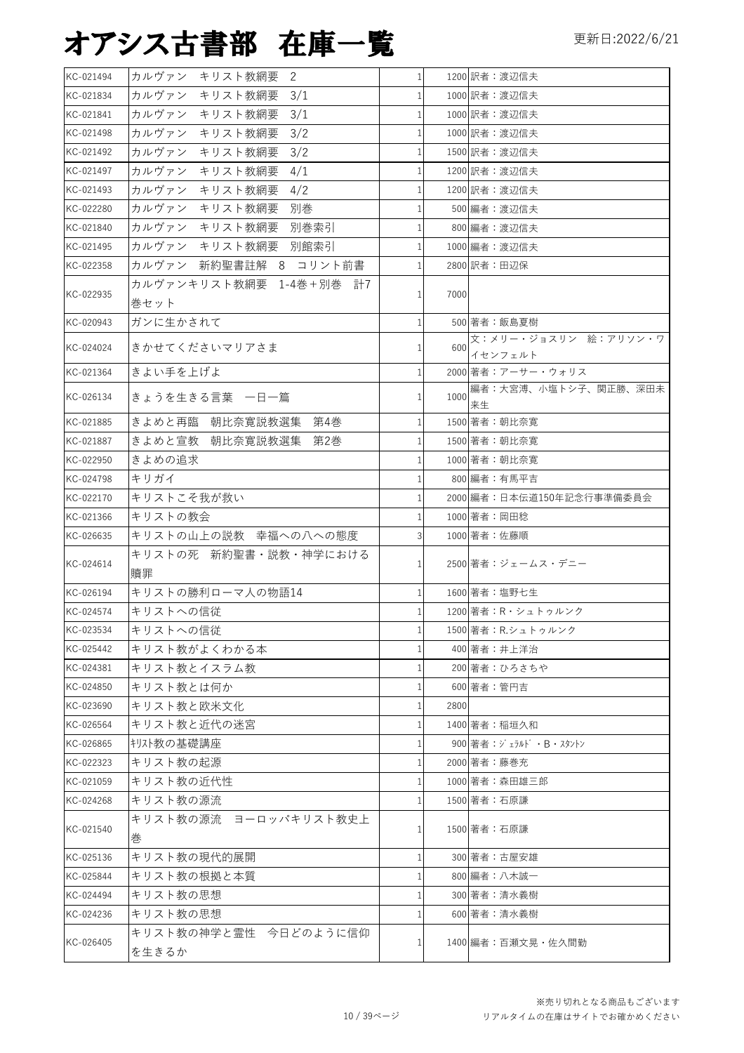| KC-021494 | カルヴァン<br>キリスト教網要<br>-2  | $1\vert$       |      | 1200 訳者:渡辺信夫                    |
|-----------|-------------------------|----------------|------|---------------------------------|
| KC-021834 | カルヴァン<br>キリスト教網要<br>3/1 | 1              |      | 1000 訳者:渡辺信夫                    |
| KC-021841 | カルヴァン<br>キリスト教網要<br>3/1 | $\mathbf{1}$   |      | 1000 訳者:渡辺信夫                    |
| KC-021498 | 3/2<br>カルヴァン<br>キリスト教網要 | 1              |      | 1000 訳者:渡辺信夫                    |
| KC-021492 | 3/2<br>カルヴァン<br>キリスト教網要 | $\mathbf{1}$   |      | 1500 訳者: 渡辺信夫                   |
| KC-021497 | カルヴァン<br>キリスト教網要<br>4/1 | 1              |      | 1200 訳者:渡辺信夫                    |
| KC-021493 | カルヴァン<br>キリスト教網要<br>4/2 | $\mathbf{1}$   |      | 1200 訳者: 渡辺信夫                   |
| KC-022280 | キリスト教網要<br>別巻<br>カルヴァン  | 1              |      | 500 編者:渡辺信夫                     |
| KC-021840 | カルヴァン キリスト教網要<br>別巻索引   | $\mathbf{1}$   |      | 800 編者:渡辺信夫                     |
| KC-021495 | カルヴァン キリスト教網要<br>別館索引   | $\mathbf 1$    |      | 1000 編者:渡辺信夫                    |
| KC-022358 | カルヴァン 新約聖書註解 8 コリント前書   | $\mathbf{1}$   |      | 2800 訳者:田辺保                     |
| KC-022935 | カルヴァンキリスト教網要 1-4巻+別巻 計7 | 1 <sup>1</sup> | 7000 |                                 |
|           | 巻セット                    |                |      |                                 |
| KC-020943 | ガンに生かされて                | $\mathbf{1}$   |      | 500 著者:飯島夏樹                     |
| KC-024024 | きかせてくださいマリアさま           | $\mathbf{1}$   | 600  | 文:メリー・ジョスリン 絵:アリソン・ワ<br>イセンフェルト |
| KC-021364 | きよい手を上げよ                | $\mathbf{1}$   |      | 2000 著者: アーサー・ウォリス              |
| KC-026134 | きょうを生きる言葉 一日一篇          | $\mathbf{1}$   | 1000 | 編者:大宮溥、小塩トシ子、関正勝、深田未<br>来生      |
| KC-021885 | きよめと再臨 朝比奈寛説教選集<br>第4巻  | $\mathbf{1}$   |      | 1500 著者: 朝比奈寛                   |
| KC-021887 | きよめと宣教 朝比奈寛説教選集<br>第2巻  | 1              |      | 1500 著者:朝比奈寛                    |
| KC-022950 | きよめの追求                  | $\mathbf{1}$   |      | 1000 著者:朝比奈寛                    |
| KC-024798 | キリガイ                    | 1              |      | 800 編者:有馬平吉                     |
| KC-022170 | キリストこそ我が救い              | 1              |      | 2000 編者:日本伝道150年記念行事準備委員会       |
| KC-021366 | キリストの教会                 | $\mathbf{1}$   |      | 1000 著者:岡田稔                     |
| KC-026635 | キリストの山上の説教 幸福への八への態度    | $\overline{3}$ |      | 1000 著者:佐藤順                     |
| KC-024614 | キリストの死 新約聖書・説教・神学における   | $1\vert$       |      | 2500 著者:ジェームス・デニー               |
| KC-026194 | 贖罪<br>キリストの勝利ローマ人の物語14  | $\mathbf{1}$   |      | 1600 著者:塩野七生                    |
| KC-024574 | キリストへの信従                | $\mathbf{1}$   |      | 1200 著者:R·シュトゥルンク               |
| KC-023534 | キリストへの信従                | $\mathbf{1}$   |      | 1500 著者: R.シュトゥルンク              |
| KC-025442 | キリスト教がよくわかる本            | 1              |      | 400 著者:井上洋治                     |
| KC-024381 | キリスト教とイスラム教             | 1              |      | 200 著者:ひろさちや                    |
| KC-024850 | キリスト教とは何か               | $\mathbf{1}$   |      | 600 著者:管円吉                      |
| KC-023690 | キリスト教と欧米文化              | $\mathbf{1}$   | 2800 |                                 |
| KC-026564 | キリスト教と近代の迷宮             | $\mathbf{1}$   |      | 1400 著者:稲垣久和                    |
| KC-026865 | キリスト教の基礎講座              | $\mathbf{1}$   |      | 900 著者: ジェラルド・B・スタントン           |
| KC-022323 | キリスト教の起源                | 1              |      | 2000 著者:藤巻充                     |
| KC-021059 | キリスト教の近代性               | $\mathbf{1}$   |      | 1000 著者:森田雄三郎                   |
| KC-024268 | キリスト教の源流                | 1              |      |                                 |
|           | キリスト教の源流 ヨーロッパキリスト教史上   |                |      | 1500 著者:石原謙                     |
| KC-021540 | 巻                       | $\mathbf{1}$   |      | 1500 著者:石原謙                     |
| KC-025136 | キリスト教の現代的展開             | $\mathbf{1}$   |      | 300 著者:古屋安雄                     |
| KC-025844 | キリスト教の根拠と本質             | 1              |      | 800 編者: 八木誠一                    |
| KC-024494 | キリスト教の思想                | $\mathbf{1}$   |      | 300 著者:清水義樹                     |
| KC-024236 | キリスト教の思想                | $\mathbf{1}$   |      | 600 著者:清水義樹                     |
|           | キリスト教の神学と霊性 今日どのように信仰   |                |      |                                 |
| KC-026405 | を生きるか                   | $\frac{1}{2}$  |      | 1400 編者:百瀬文晃・佐久間勤               |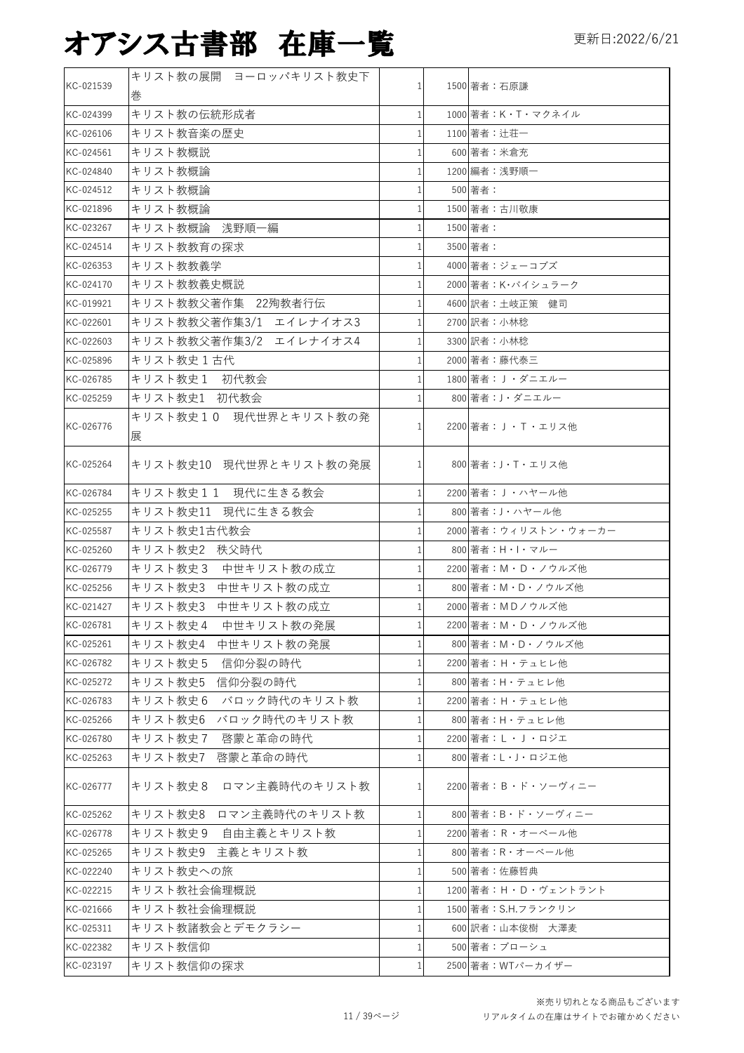| KC-021539 | キリスト教の展開 ヨーロッパキリスト教史下      |              | 1500 著者:石原謙            |
|-----------|----------------------------|--------------|------------------------|
|           | 巻                          |              |                        |
| KC-024399 | キリスト教の伝統形成者                |              | 1000 著者: K・T・マクネイル     |
| KC-026106 | キリスト教音楽の歴史                 | $\mathbf{1}$ | 1100 著者: 辻荘一           |
| KC-024561 | キリスト教概説                    |              | 600 著者:米倉充             |
| KC-024840 | キリスト教概論                    |              | 1200 編者: 浅野順一          |
| KC-024512 | キリスト教概論                    |              | 500 著者:                |
| KC-021896 | キリスト教概論                    | 1            | 1500 著者:古川敬康           |
| KC-023267 | キリスト教概論 浅野順一編              |              | 1500 著者:               |
| KC-024514 | キリスト教教育の探求                 |              | 3500 著者:               |
| KC-026353 | キリスト教教義学                   |              | 4000 著者:ジェーコブズ         |
| KC-024170 | キリスト教教義史概説                 | $\mathbf{1}$ | 2000 著者: K·バイシュラーク     |
| KC-019921 | キリスト教教父著作集 22殉教者行伝         |              | 4600 訳者:土岐正策 健司        |
| KC-022601 | キリスト教教父著作集3/1 エイレナイオス3     | $\mathbf{1}$ | 2700 訳者:小林稔            |
| KC-022603 | キリスト教教父著作集3/2 エイレナイオス4     | $\mathbf{1}$ | 3300 訳者:小林稔            |
| KC-025896 | キリスト教史1古代                  |              | 2000 著者:藤代泰三           |
| KC-026785 | キリスト教史1 初代教会               |              | 1800 著者: J ・ダニエルー      |
| KC-025259 | キリスト教史1 初代教会               |              | 800 著者: J・ダニエルー        |
| KC-026776 | キリスト教史10 現代世界とキリスト教の発<br>展 |              | 2200 著者: J·T·エリス他      |
| KC-025264 | キリスト教史10 現代世界とキリスト教の発展     | $\mathbf{1}$ | 800 著者:J・T・エリス他        |
| KC-026784 | キリスト教史11 現代に生きる教会          | 1            | 2200 著者: J ・ ハヤール他     |
| KC-025255 | キリスト教史11 現代に生きる教会          |              | 800 著者: J・ハヤール他        |
| KC-025587 | キリスト教史1古代教会                | 1            | 2000 著者:ウィリストン・ウォーカー   |
| KC-025260 | キリスト教史2 秩父時代               |              | 800 著者: H · I · マルー    |
| KC-026779 | キリスト教史3 中世キリスト教の成立         | 1            | 2200 著者: M · D · ノウルズ他 |
| KC-025256 | キリスト教史3 中世キリスト教の成立         |              | 800 著者: M · D · ノウルズ他  |
| KC-021427 | キリスト教史3 中世キリスト教の成立         |              | 2000 著者: MDノウルズ他       |
| KC-026781 | 中世キリスト教の発展<br>キリスト教史4      | 1            | 2200 著者: M · D · ノウルズ他 |
| KC-025261 | キリスト教史4 中世キリスト教の発展         | $\mathbf{1}$ | 800 著者:M・D・ノウルズ他       |
| KC-026782 | キリスト教史5 信仰分裂の時代            | 1            | 2200 著者: H · テュヒレ他     |
| KC-025272 | キリスト教史5<br>信仰分裂の時代         | $\mathbf{1}$ | 800 著者:H・テュヒレ他         |
| KC-026783 | キリスト教史6 バロック時代のキリスト教       | 1            | 2200 著者:H・テュヒレ他        |
| KC-025266 | キリスト教史6 バロック時代のキリスト教       | $\mathbf{1}$ | 800 著者:H・テュヒレ他         |
| KC-026780 | キリスト教史7 啓蒙と革命の時代           | 1            | 2200 著者: L · J · ロジエ   |
| KC-025263 | 啓蒙と革命の時代<br>キリスト教史7        | $\mathbf{1}$ | 800 著者: L · J · ロジエ他   |
| KC-026777 | キリスト教史8 ロマン主義時代のキリスト教      | 1            | 2200 著者: B · ド・ソーヴィニー  |
| KC-025262 | キリスト教史8 ロマン主義時代のキリスト教      | $\mathbf{1}$ | 800 著者: B・ド・ソーヴィニー     |
| KC-026778 | キリスト教史9 自由主義とキリスト教         | 1            | 2200 著者: R · オーベール他    |
| KC-025265 | キリスト教史9 主義とキリスト教           | 1            | 800 著者:R・オーベール他        |
| KC-022240 | キリスト教史への旅                  | 1            | 500 著者:佐藤哲典            |
| KC-022215 | キリスト教社会倫理概説                | 1            | 1200 著者:H・D・ヴェントラント    |
| KC-021666 | キリスト教社会倫理概説                | 1            | 1500 著者:S.H.フランクリン     |
| KC-025311 | キリスト教諸教会とデモクラシー            | 1            | 600 訳者:山本俊樹 大澤麦        |
| KC-022382 | キリスト教信仰                    |              | 500 著者:ブローシュ           |
| KC-023197 | キリスト教信仰の探求                 | $\mathbf{1}$ | 2500 著者: WTパーカイザー      |
|           |                            |              |                        |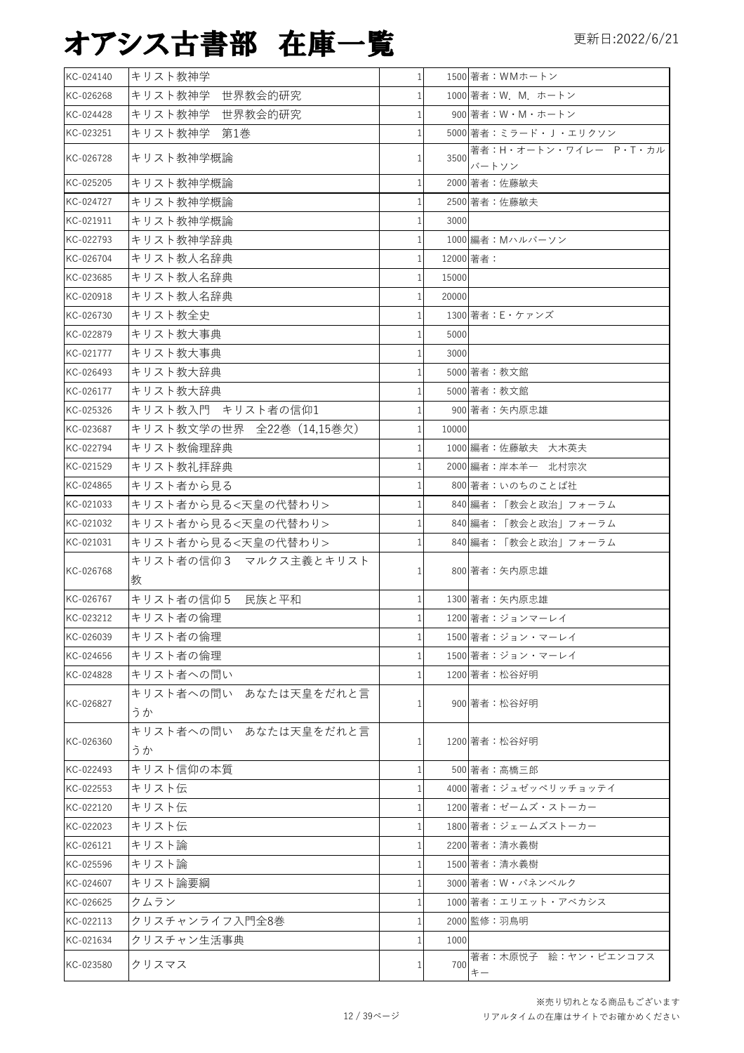| KC-024140 | キリスト教神学                     | $\mathbf{1}$ |           | 1500 著者: WMホートン                     |
|-----------|-----------------------------|--------------|-----------|-------------------------------------|
| KC-026268 | キリスト教神学 世界教会的研究             | 1            |           | 1000 著者: W. M. ホートン                 |
| KC-024428 | キリスト教神学 世界教会的研究             | 1            |           | 900 著者: W · M · ホートン                |
| KC-023251 | キリスト教神学 第1巻                 | $\mathbf 1$  |           | 5000 著者: ミラード・J・エリクソン               |
| KC-026728 | キリスト教神学概論                   | 1            | 3500      | 著者:H·オートン・ワイレー P·T·カル<br>バートソン      |
| KC-025205 | キリスト教神学概論                   | 1            |           | 2000 著者:佐藤敏夫                        |
| KC-024727 | キリスト教神学概論                   | 1            |           | 2500 著者:佐藤敏夫                        |
| KC-021911 | キリスト教神学概論                   | 1            | 3000      |                                     |
| KC-022793 | キリスト教神学辞典                   | $\mathbf{1}$ |           | 1000 編者: Mハルバーソン                    |
| KC-026704 | キリスト教人名辞典                   | 1            | 12000 著者: |                                     |
| KC-023685 | キリスト教人名辞典                   | $\mathbf{1}$ | 15000     |                                     |
| KC-020918 | キリスト教人名辞典                   | $\mathbf{1}$ | 20000     |                                     |
| KC-026730 | キリスト教全史                     | $\mathbf{1}$ |           | 1300 著者: E·ケァンズ                     |
| KC-022879 | キリスト教大事典                    | 1            | 5000      |                                     |
| KC-021777 | キリスト教大事典                    | 1            | 3000      |                                     |
| KC-026493 | キリスト教大辞典                    | 1            |           | 5000 著者:教文館                         |
| KC-026177 | キリスト教大辞典                    | 1            |           | 5000 著者: 教文館                        |
| KC-025326 | キリスト教入門 キリスト者の信仰1           | 1            |           | 900 著者:矢内原忠雄                        |
| KC-023687 | キリスト教文学の世界 全22巻 (14,15巻欠)   | 1            | 10000     |                                     |
| KC-022794 | キリスト教倫理辞典                   | $\mathbf{1}$ |           | 1000 編者:佐藤敏夫 大木英夫                   |
| KC-021529 | キリスト教礼拝辞典                   |              |           | 2000 編者:岸本羊一 北村宗次                   |
| KC-024865 | キリスト者から見る                   | 1            |           | 800 著者:いのちのことば社                     |
| KC-021033 | キリスト者から見る<天皇の代替わり>          | 1            |           | 840 編者:「教会と政治」フォーラム                 |
| KC-021032 | キリスト者から見る<天皇の代替わり>          | $\mathbf 1$  |           | 840 編者:「教会と政治」フォーラム                 |
| KC-021031 | キリスト者から見る<天皇の代替わり>          | 1            |           | 840 編者:「教会と政治」フォーラム                 |
| KC-026768 | キリスト者の信仰3 マルクス主義とキリスト<br>教  | 1            |           | 800 著者:矢内原忠雄                        |
| KC-026767 | キリスト者の信仰5<br>民族と平和          | 1            |           | 1300 著者:矢内原忠雄                       |
| KC-023212 | キリスト者の倫理                    | 1            |           | 1200 著者:ジョンマーレイ                     |
| KC-026039 | キリスト者の倫理                    | $\mathbf{1}$ |           | 1500 著者:ジョン・マーレイ                    |
| KC-024656 | キリスト者の倫理                    |              |           | 1500 著者:ジョン・マーレイ                    |
| KC-024828 | キリスト者への問い                   |              |           | 1200 著者:松谷好明                        |
| KC-026827 | キリスト者への問い あなたは天皇をだれと言<br>うか | 1            |           | 900 著者:松谷好明                         |
| KC-026360 | キリスト者への問い あなたは天皇をだれと言<br>うか | $\mathbf{1}$ |           | 1200 著者:松谷好明                        |
| KC-022493 | キリスト信仰の本質                   | 1            |           | 500 著者:高橋三郎                         |
| KC-022553 | キリスト伝                       |              |           | 4000 著者: ジュゼッペリッチョッテイ               |
| KC-022120 | キリスト伝                       | 1            |           | 1200 著者:ゼームズ・ストーカー                  |
| KC-022023 | キリスト伝                       |              |           | 1800 著者:ジェームズストーカー                  |
| KC-026121 | キリスト論                       |              |           | 2200 著者:清水義樹                        |
| KC-025596 | キリスト論                       |              |           | 1500 著者:清水義樹                        |
| KC-024607 | キリスト論要綱                     |              |           | 3000 著者: W・パネンベルク                   |
| KC-026625 | クムラン                        |              |           | 1000 著者:エリエット・アベカシス                 |
| KC-022113 | クリスチャンライフ入門全8巻              | 1            |           | 2000 監修:羽鳥明                         |
| KC-021634 | クリスチャン生活事典                  |              | 1000      |                                     |
| KC-023580 | クリスマス                       | 1            | 700       | 著者:木原悦子 絵:ヤン・ピエンコフス<br>$\ddagger -$ |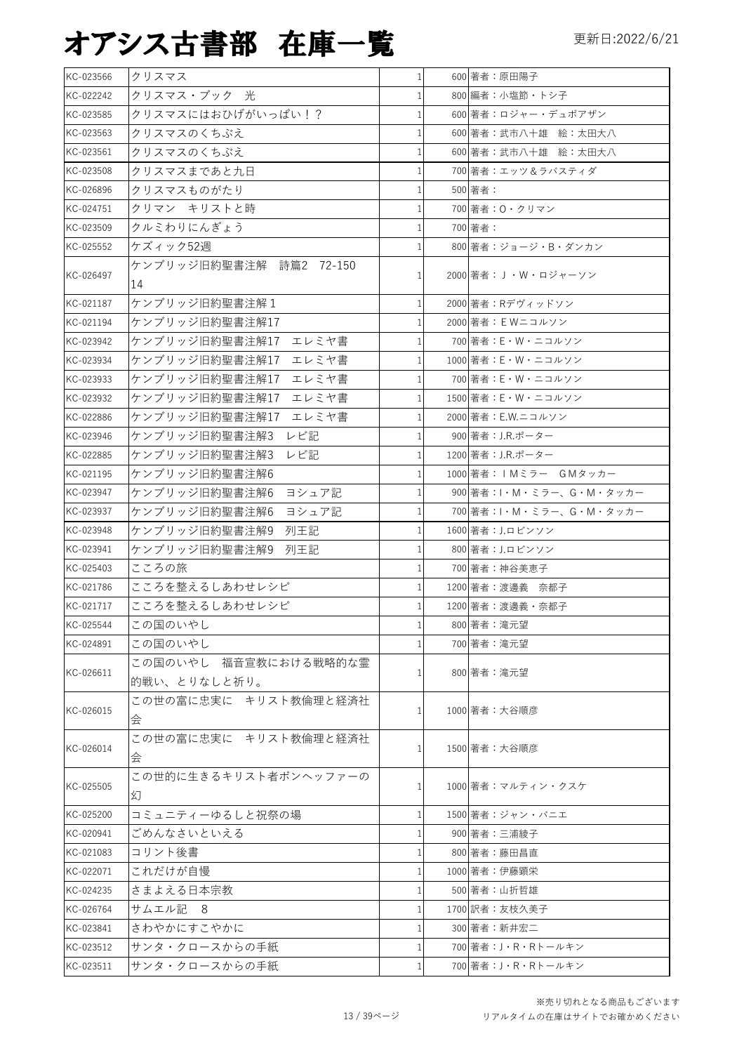| KC-023566 | クリスマス                                 | $\mathbf{1}$   | 600 著者:原田陽子                      |
|-----------|---------------------------------------|----------------|----------------------------------|
| KC-022242 | クリスマス・ブック 光                           |                | 800 編者:小塩節・トシ子                   |
| KC-023585 | クリスマスにはおひげがいっぱい!?                     |                | 600 著者:ロジャー・デュボアザン               |
| KC-023563 | クリスマスのくちぶえ                            | $\mathbf{1}$   | 600 著者:武市八十雄 絵:太田大八              |
| KC-023561 | クリスマスのくちぶえ                            |                | 600 著者:武市八十雄 絵:太田大八              |
| KC-023508 | クリスマスまであと九日                           |                | 700 著者:エッツ&ラバスティダ                |
| KC-026896 | クリスマスものがたり                            |                | 500 著者:                          |
| KC-024751 | クリマン キリストと時                           |                | 700 著者: 0・クリマン                   |
| KC-023509 | クルミわりにんぎょう                            |                | 700 著者:                          |
| KC-025552 | ケズィック52週                              |                | 800 著者: ジョージ・B・ダンカン              |
| KC-026497 | ケンブリッジ旧約聖書注解 詩篇2 72-150<br>14         | $\mathbf{1}$   | 2000 著者:J・W・ロジャーソン               |
| KC-021187 | ケンブリッジ旧約聖書注解1                         |                | 2000 著者: Rデヴィッドソン                |
| KC-021194 | ケンブリッジ旧約聖書注解17                        |                | 2000 著者: EWニコルソン                 |
| KC-023942 | ケンブリッジ旧約聖書注解17 エレミヤ書                  | 1              | 700 著者:E・W・ニコルソン                 |
| KC-023934 | ケンブリッジ旧約聖書注解17 エレミヤ書                  |                | 1000 著者: E · W · ニコルソン           |
| KC-023933 | ケンブリッジ旧約聖書注解17 エレミヤ書                  |                | 700 著者: E · W · ニコルソン            |
| KC-023932 | ケンブリッジ旧約聖書注解17<br>エレミヤ書               |                | 1500 著者: E · W · ニコルソン           |
| KC-022886 | ケンブリッジ旧約聖書注解17 エレミヤ書                  |                | 2000 著者: E.W.ニコルソン               |
| KC-023946 | ケンブリッジ旧約聖書注解3<br>レビ記                  |                | 900 著者:J.R.ポーター                  |
| KC-022885 | ケンブリッジ旧約聖書注解3<br>レビ記                  |                | 1200 著者: J.R.ポーター                |
| KC-021195 | ケンブリッジ旧約聖書注解6                         |                | 1000 著者:IMミラー GMタッカー             |
| KC-023947 | ヨシュア記<br>ケンブリッジ旧約聖書注解6                | $\mathbf{1}$   | 900 著者: I · M · ミラー、G · M · タッカー |
| KC-023937 | ケンブリッジ旧約聖書注解6<br>ヨシュア記                |                | 700 著者: I·M·ミラー、G·M·タッカー         |
| KC-023948 | ケンブリッジ旧約聖書注解9 列王記                     |                | 1600 著者: J.ロビンソン                 |
| KC-023941 | ケンブリッジ旧約聖書注解9 列王記                     |                | 800 著者:J.ロビンソン                   |
| KC-025403 | こころの旅                                 |                | 700 著者:神谷美恵子                     |
| KC-021786 | こころを整えるしあわせレシピ                        |                | 1200 著者:渡邊義 奈都子                  |
| KC-021717 | こころを整えるしあわせレシピ                        |                | 1200 著者: 渡邊義·奈都子                 |
| KC-025544 |                                       |                |                                  |
|           | この国のいやし                               |                | 800 著者:滝元望                       |
| KC-024891 | この国のいやし                               |                | 700 著者:滝元望                       |
| KC-026611 | この国のいやし 福音宣教における戦略的な霊<br>的戦い、とりなしと祈り。 |                | 800 著者:滝元望                       |
| KC-026015 | この世の富に忠実に キリスト教倫理と経済社<br>会            | 1 <sup>1</sup> | 1000 著者:大谷順彦                     |
| KC-026014 | この世の富に忠実に キリスト教倫理と経済社<br>会            | 1              | 1500 著者:大谷順彦                     |
| KC-025505 | この世的に生きるキリスト者ボンヘッファーの<br>幻            |                | 1000 著者:マルティン・クスケ                |
| KC-025200 | コミュニティーゆるしと祝祭の場                       |                | 1500 著者:ジャン・バニエ                  |
| KC-020941 | ごめんなさいといえる                            |                | 900 著者:三浦綾子                      |
| KC-021083 | コリント後書                                |                | 800 著者:藤田昌直                      |
| KC-022071 | これだけが自慢                               |                | 1000 著者:伊藤顕栄                     |
| KC-024235 | さまよえる日本宗教                             |                | 500 著者:山折哲雄                      |
| KC-026764 | サムエル記 8                               |                | 1700 訳者:友枝久美子                    |
| KC-023841 | さわやかにすこやかに                            |                | 300 著者:新井宏二                      |
| KC-023512 | サンタ・クロースからの手紙                         |                | 700 著者:J・R・Rトールキン                |
| KC-023511 | サンタ・クロースからの手紙                         |                | 700 著者: J·R·Rトールキン               |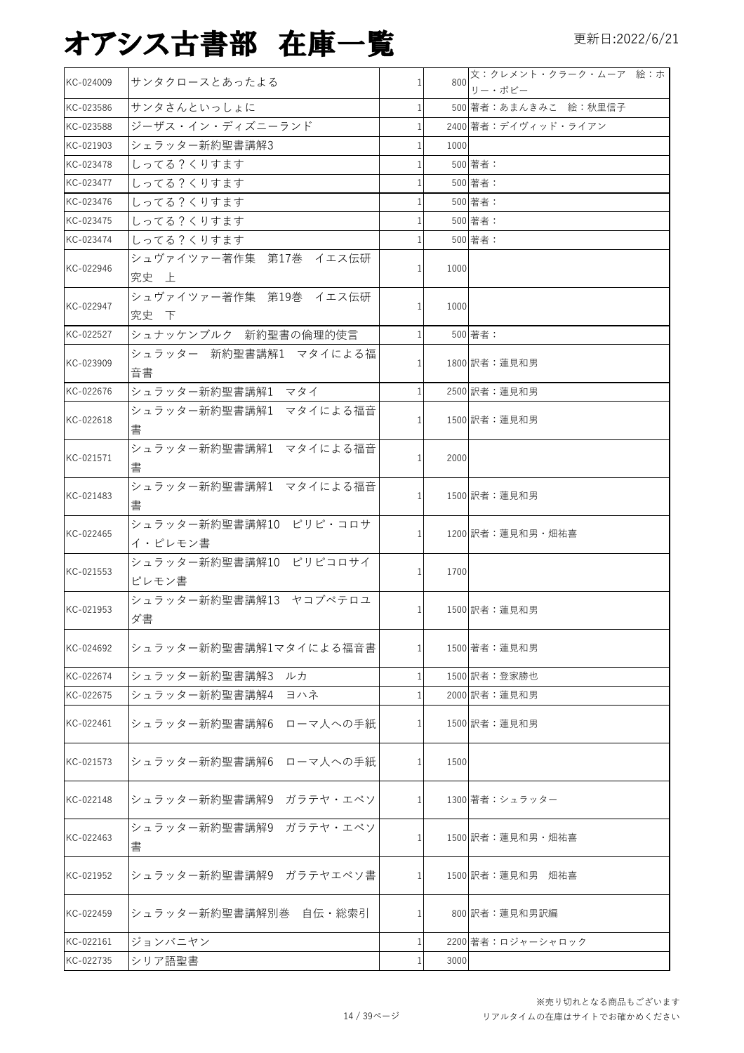| KC-024009 | サンタクロースとあったよる                     |                | 800  | 文:クレメント・クラーク・ムーア 絵:ホ<br>リー・ボビー |
|-----------|-----------------------------------|----------------|------|--------------------------------|
| KC-023586 | サンタさんといっしょに                       |                |      | 500 著者: あまんきみこ 絵: 秋里信子         |
| KC-023588 | ジーザス・イン・ディズニーランド                  |                |      | 2400 著者:デイヴィッド・ライアン            |
| KC-021903 | シェラッター新約聖書講解3                     |                | 1000 |                                |
| KC-023478 | しってる?くりすます                        |                |      | 500 著者:                        |
| KC-023477 | しってる?くりすます                        |                |      | 500 著者:                        |
| KC-023476 | しってる?くりすます                        |                |      | 500 著者:                        |
| KC-023475 | しってる?くりすます                        |                |      | 500 著者:                        |
| KC-023474 | しってる?くりすます                        | $\mathbf{1}$   |      | 500 著者:                        |
| KC-022946 | シュヴァイツァー著作集 第17巻 イエス伝研<br>究史 上    |                | 1000 |                                |
| KC-022947 | シュヴァイツァー著作集 第19巻 イエス伝研<br>究史下     |                | 1000 |                                |
| KC-022527 | シュナッケンブルク 新約聖書の倫理的使言              |                |      | 500 著者:                        |
| KC-023909 | シュラッター 新約聖書講解1 マタイによる福<br>音書      |                |      | 1800 訳者:蓮見和男                   |
| KC-022676 | シュラッター新約聖書講解1 マタイ                 |                |      | 2500 訳者:蓮見和男                   |
| KC-022618 | シュラッター新約聖書講解1 マタイによる福音<br>書       |                |      | 1500 訳者:蓮見和男                   |
| KC-021571 | シュラッター新約聖書講解1 マタイによる福音<br>書       | 1 <sup>1</sup> | 2000 |                                |
| KC-021483 | シュラッター新約聖書講解1 マタイによる福音<br>書       |                |      | 1500 訳者:蓮見和男                   |
| KC-022465 | シュラッター新約聖書講解10 ピリピ・コロサ<br>イ・ピレモン書 | 11             |      | 1200 訳者:蓮見和男・畑祐喜               |
| KC-021553 | シュラッター新約聖書講解10 ピリピコロサイ<br>ピレモン書   |                | 1700 |                                |
| KC-021953 | シュラッター新約聖書講解13 ヤコブペテロユ<br>ダ書      | $\mathbf{1}$   |      | 1500 訳者:蓮見和男                   |
| KC-024692 | シュラッター新約聖書講解1マタイによる福音書            |                |      | 1500 著者:蓮見和男                   |
| KC-022674 | シュラッター新約聖書講解3<br>ルカ               |                |      | 1500 訳者:登家勝也                   |
| KC-022675 | ヨハネ<br>シュラッター新約聖書講解4              |                |      | 2000 訳者:蓮見和男                   |
| KC-022461 | シュラッター新約聖書講解6<br>ローマ人への手紙         |                |      | 1500 訳者:蓮見和男                   |
| KC-021573 | シュラッター新約聖書講解6 ローマ人への手紙            |                | 1500 |                                |
| KC-022148 | シュラッター新約聖書講解9<br>ガラテヤ・エペソ         |                |      | 1300 著者:シュラッター                 |
| KC-022463 | シュラッター新約聖書講解9 ガラテヤ・エペソ<br>書       |                |      | 1500 訳者:蓮見和男・畑祐喜               |
| KC-021952 | シュラッター新約聖書講解9 ガラテヤエペソ書            |                |      | 1500 訳者:蓮見和男 畑祐喜               |
| KC-022459 | シュラッター新約聖書講解別巻 自伝・総索引             |                |      | 800 訳者:蓮見和男訳編                  |
| KC-022161 | ジョンバニヤン                           |                |      | 2200 著者:ロジャーシャロック              |
| KC-022735 | シリア語聖書                            |                | 3000 |                                |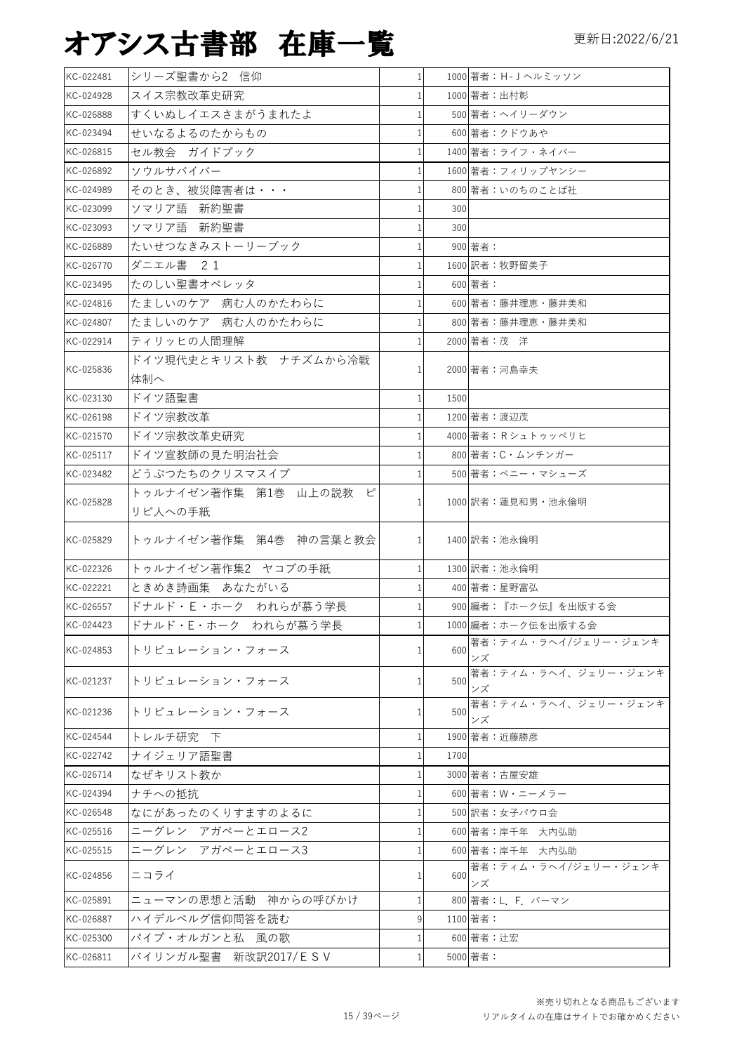| KC-022481 | シリーズ聖書から2 信仰              | $1\vert$     |      | 1000 著者: H-J ヘルミッソン        |
|-----------|---------------------------|--------------|------|----------------------------|
| KC-024928 | スイス宗教改革史研究                |              |      | 1000 著者:出村彰                |
| KC-026888 | すくいぬしイエスさまがうまれたよ          |              |      | 500 著者:ヘイリーダウン             |
| KC-023494 | せいなるよるのたからもの              |              |      | 600 著者:クドウあや               |
| KC-026815 | セル教会 ガイドブック               |              |      | 1400 著者: ライフ・ネイバー          |
| KC-026892 | ソウルサバイバー                  |              |      | 1600 著者:フィリップヤンシー          |
| KC-024989 | そのとき、被災障害者は・・・            |              |      | 800 著者:いのちのことば社            |
| KC-023099 | ソマリア語 新約聖書                |              | 300  |                            |
| KC-023093 | ソマリア語 新約聖書                |              | 300  |                            |
| KC-026889 | たいせつなきみストーリーブック           |              |      | 900 著者:                    |
| KC-026770 | ダニエル書 21                  | 1            |      | 1600 訳者:牧野留美子              |
| KC-023495 | たのしい聖書オペレッタ               |              |      | 600 著者:                    |
| KC-024816 | たましいのケア 病む人のかたわらに         |              |      | 600 著者:藤井理恵・藤井美和           |
| KC-024807 | たましいのケア 病む人のかたわらに         |              |      | 800 著者:藤井理恵・藤井美和           |
| KC-022914 | ティリッヒの人間理解                |              |      | 2000 著者:茂洋                 |
|           | ドイツ現代史とキリスト教 ナチズムから冷戦     |              |      |                            |
| KC-025836 | 体制へ                       |              |      | 2000 著者:河島幸夫               |
| KC-023130 | ドイツ語聖書                    | $\mathbf{1}$ | 1500 |                            |
| KC-026198 | ドイツ宗教改革                   |              |      | 1200 著者: 渡辺茂               |
| KC-021570 | ドイツ宗教改革史研究                |              |      | 4000 著者: Rシュトゥッペリヒ         |
| KC-025117 | ドイツ宣教師の見た明治社会             |              |      | 800 著者:C・ムンチンガー            |
| KC-023482 | どうぶつたちのクリスマスイブ            |              |      | 500 著者:ペニー・マシューズ           |
|           | トゥルナイゼン著作集 第1巻 山上の説教<br>ピ |              |      |                            |
| KC-025828 | リピ人への手紙                   |              |      | 1000 訳者:蓮見和男・池永倫明          |
| KC-025829 | トゥルナイゼン著作集 第4巻 神の言葉と教会    |              |      | 1400 訳者:池永倫明               |
| KC-022326 | トゥルナイゼン著作集2 ヤコブの手紙        |              |      | 1300 訳者:池永倫明               |
| KC-022221 | ときめき詩画集 あなたがいる            |              |      | 400 著者:星野富弘                |
| KC-026557 | ドナルド・E·ホーク われらが慕う学長       |              |      | 900 編者:『ホーク伝』を出版する会        |
| KC-024423 | ドナルド・E・ホーク われらが慕う学長       | $\mathbf{1}$ |      | 1000 編者:ホーク伝を出版する会         |
| KC-024853 | トリビュレーション・フォース            | 1            | 600  | 著者:ティム・ラヘイ/ジェリー・ジェンキ       |
|           |                           |              |      | ンズ<br>著者:ティム・ラヘイ、ジェリー・ジェンキ |
| KC-021237 | トリビュレーション・フォース            |              | 500  | ンズ                         |
| KC-021236 | トリビュレーション・フォース            |              | 500  | 著者:ティム・ラヘイ、ジェリー・ジェンキ       |
|           |                           | 1            |      | ンズ                         |
| KC-024544 | トレルチ研究 下                  | 1            |      | 1900 著者:近藤勝彦               |
| KC-022742 | ナイジェリア語聖書                 |              | 1700 |                            |
| KC-026714 | なぜキリスト教か                  |              |      | 3000 著者:古屋安雄               |
| KC-024394 | ナチへの抵抗                    |              |      | 600 著者:W・ニーメラー             |
| KC-026548 | なにがあったのくりすますのよるに          |              |      | 500 訳者:女子パウロ会              |
| KC-025516 | ニーグレン アガペーとエロース2          |              |      | 600 著者:岸千年 大内弘助            |
| KC-025515 | ニーグレン アガペーとエロース3          | 1            |      | 600 著者:岸千年 大内弘助            |
| KC-024856 | ニコライ                      | 1            | 600  | 著者:ティム・ラヘイ/ジェリー・ジェンキ<br>ンズ |
| KC-025891 | ニューマンの思想と活動 神からの呼びかけ      | 1            |      | 800 著者:L. F. バーマン          |
| KC-026887 | ハイデルベルグ信仰問答を読む            | 9            |      | 1100 著者:                   |
| KC-025300 | パイプ・オルガンと私 風の歌            |              |      | 600 著者:辻宏                  |
| KC-026811 | バイリンガル聖書 新改訳2017/ESV      | $\mathbf{1}$ |      | 5000 著者:                   |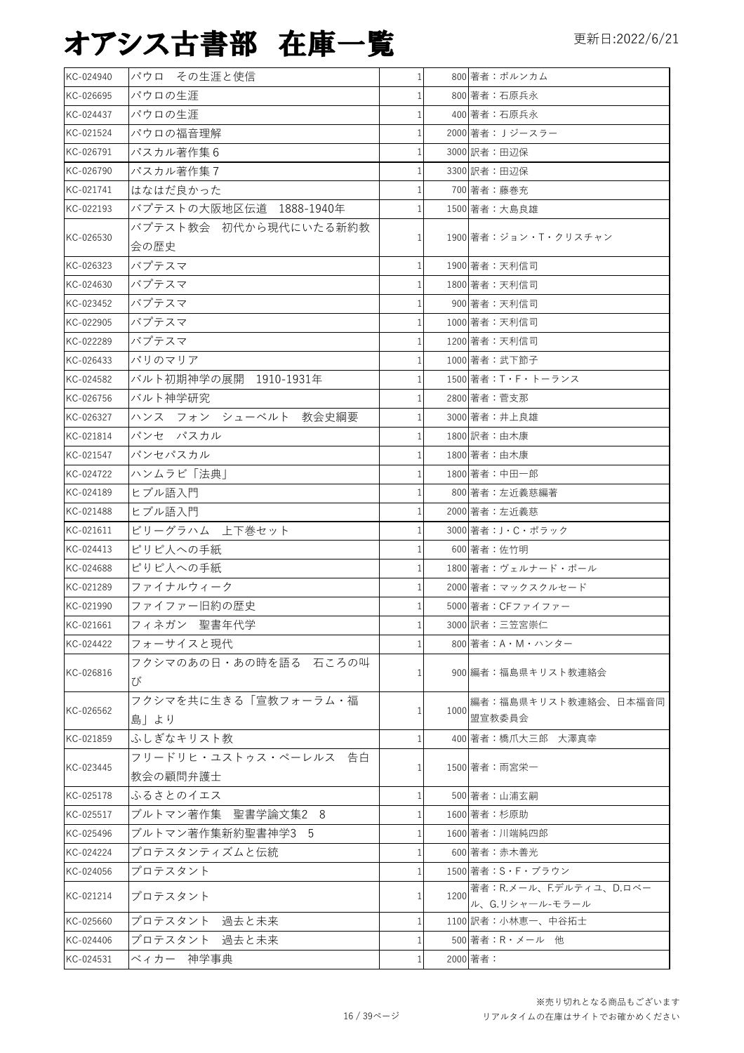| KC-024940 | パウロ その生涯と使信                       | $\mathbf{1}$ |      | 800 著者:ボルンカム                               |
|-----------|-----------------------------------|--------------|------|--------------------------------------------|
| KC-026695 | パウロの生涯                            | 1            |      | 800 著者:石原兵永                                |
| KC-024437 | パウロの生涯                            | 1            |      | 400 著者:石原兵永                                |
| KC-021524 | パウロの福音理解                          |              |      | 2000 著者: Jジースラー                            |
| KC-026791 | パスカル著作集6                          |              |      | 3000 訳者:田辺保                                |
| KC-026790 | パスカル著作集7                          |              |      | 3300 訳者:田辺保                                |
| KC-021741 | はなはだ良かった                          |              |      | 700 著者:藤巻充                                 |
| KC-022193 | バプテストの大阪地区伝道 1888-1940年           |              |      | 1500 著者:大島良雄                               |
| KC-026530 | バプテスト教会 初代から現代にいたる新約教<br>会の歴史     |              |      | 1900 著者:ジョン・T・クリスチャン                       |
| KC-026323 | バプテスマ                             | 1            |      | 1900 著者:天利信司                               |
| KC-024630 | バプテスマ                             |              |      | 1800 著者:天利信司                               |
| KC-023452 | バプテスマ                             |              |      | 900 著者:天利信司                                |
| KC-022905 | バプテスマ                             |              |      | 1000 著者:天利信司                               |
| KC-022289 | バプテスマ                             |              |      | 1200 著者:天利信司                               |
| KC-026433 | パリのマリア                            |              |      | 1000 著者:武下節子                               |
| KC-024582 | バルト初期神学の展開 1910-1931年             |              |      | 1500 著者:T・F・トーランス                          |
| KC-026756 | バルト神学研究                           |              |      | 2800 著者:菅支那                                |
| KC-026327 | ハンス フォン シューベルト 教会史綱要              |              |      | 3000 著者:井上良雄                               |
| KC-021814 | パンセ パスカル                          |              |      | 1800 訳者:由木康                                |
| KC-021547 |                                   |              |      |                                            |
|           | パンセパスカル                           |              |      | 1800 著者:由木康                                |
| KC-024722 | ハンムラビ「法典                          |              |      | 1800 著者:中田一郎                               |
| KC-024189 | ヒブル語入門                            |              |      | 800 著者:左近義慈編著                              |
| KC-021488 | ヒブル語入門                            | 1            |      | 2000 著者:左近義慈                               |
| KC-021611 | ビリーグラハム 上下巻セット                    |              |      | 3000 著者:J・C・ポラック                           |
| KC-024413 | ピリピ人への手紙                          |              |      | 600 著者:佐竹明                                 |
| KC-024688 | ピリピ人への手紙                          |              |      | 1800 著者:ヴェルナード・ボール                         |
| KC-021289 | ファイナルウィーク                         |              |      | 2000 著者: マックスクルセード                         |
| KC-021990 | ファイファー旧約の歴史                       |              |      | 5000 著者: CFファイファー                          |
| KC-021661 | フィネガン 聖書年代学                       | $\mathbf{1}$ |      | 3000 訳者:三笠宮崇仁                              |
| KC-024422 | フォーサイスと現代                         |              |      | 800 著者:A・M・ハンター                            |
| KC-026816 | フクシマのあの日・あの時を語る 石ころの叫<br>び        | 1            |      | 900 編者:福島県キリスト教連絡会                         |
| KC-026562 | フクシマを共に生きる「宣教フォーラム・福<br>島  より     |              | 1000 | 編者:福島県キリスト教連絡会、日本福音同<br>盟宣教委員会             |
| KC-021859 | ふしぎなキリスト教                         |              |      | 400 著者:橋爪大三郎 大澤真幸                          |
| KC-023445 | フリードリヒ・ユストゥス・ペーレルス 告白<br>教会の顧問弁護士 |              |      | 1500 著者:雨宮栄一                               |
| KC-025178 | ふるさとのイエス                          |              |      | 500 著者:山浦玄嗣                                |
| KC-025517 | ブルトマン著作集 聖書学論文集2 8                |              |      | 1600 著者:杉原助                                |
| KC-025496 | ブルトマン著作集新約聖書神学3―5                 |              |      | 1600 著者:川端純四郎                              |
| KC-024224 | プロテスタンティズムと伝統                     |              |      | 600 著者:赤木善光                                |
|           |                                   |              |      |                                            |
| KC-024056 | プロテスタント                           |              |      | 1500 著者:S・F・ブラウン<br>著者:R.メール、F.デルティユ、D.ロベー |
| KC-021214 | プロテスタント                           |              | 1200 | ル、G.リシャール-モラール                             |
| KC-025660 | プロテスタント 過去と未来                     |              |      | 1100 訳者:小林恵一、中谷拓士                          |
| KC-024406 | プロテスタント 過去と未来                     |              |      | 500 著者: R · メール 他                          |
| KC-024531 | ベィカー 神学事典                         | 1            |      | 2000 著者:                                   |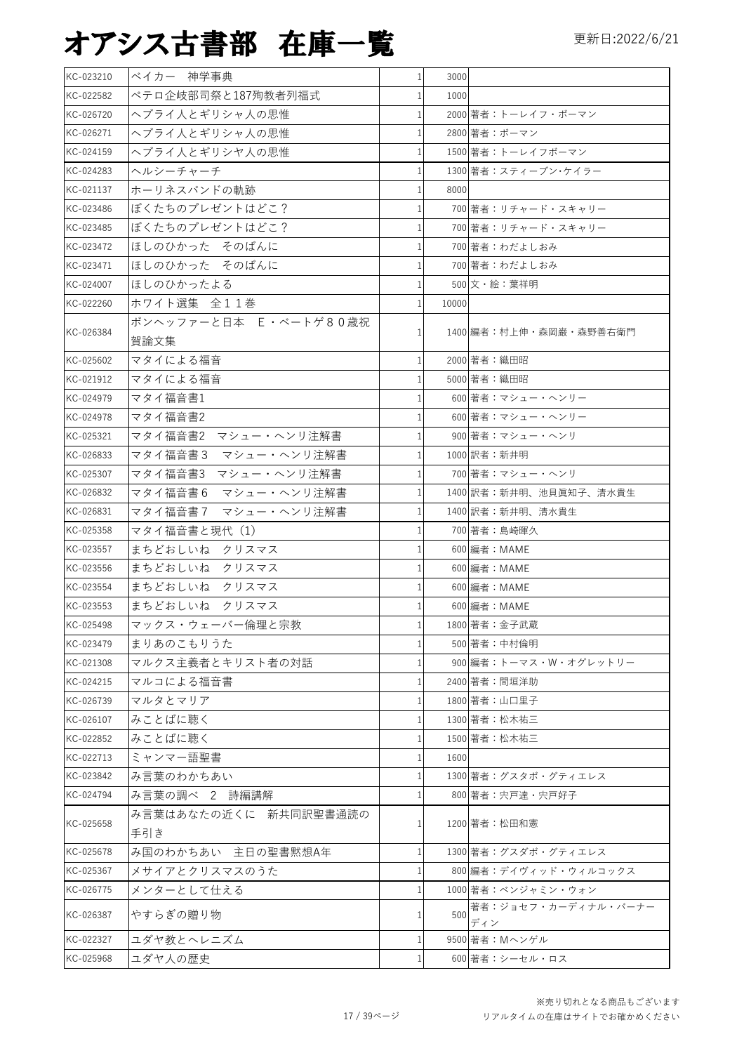| KC-023210 | ベイカー 神学事典             | $\mathbf{1}$ | 3000  |                            |
|-----------|-----------------------|--------------|-------|----------------------------|
| KC-022582 | ペテロ企岐部司祭と187殉教者列福式    | $\mathbf{1}$ | 1000  |                            |
| KC-026720 | ヘブライ人とギリシャ人の思惟        | $\mathbf{1}$ |       | 2000 著者:トーレイフ・ボーマン         |
| KC-026271 | ヘブライ人とギリシャ人の思惟        | 1            |       | 2800 著者:ボーマン               |
| KC-024159 | ヘブライ人とギリシヤ人の思惟        | 1            |       | 1500 著者:トーレイフボーマン          |
| KC-024283 | ヘルシーチャーチ              | 1            |       | 1300 著者: スティーブン・ケイラー       |
| KC-021137 | ホーリネスバンドの軌跡           | 1            | 8000  |                            |
| KC-023486 | ぼくたちのプレゼントはどこ?        | 1            |       | 700 著者:リチャード・スキャリー         |
| KC-023485 | ぼくたちのプレゼントはどこ?        | 1            |       | 700 著者:リチャード・スキャリー         |
| KC-023472 | ほしのひかった そのばんに         | 1            |       | 700 著者: わだよしおみ             |
| KC-023471 | ほしのひかった そのばんに         | 1            |       | 700 著者:わだよしおみ              |
| KC-024007 | ほしのひかったよる             | 1            |       | 500 文・絵:葉祥明                |
| KC-022260 | ホワイト選集 全11巻           |              | 10000 |                            |
| KC-026384 | ボンヘッファーと日本 E·ベートゲ80歳祝 | 1            |       | 1400 編者:村上伸・森岡巌・森野善右衛門     |
|           | 賀論文集                  |              |       |                            |
| KC-025602 | マタイによる福音              | 1            |       | 2000 著者:織田昭                |
| KC-021912 | マタイによる福音              | 1            |       | 5000 著者:織田昭                |
| KC-024979 | マタイ福音書1               | 1            |       | 600 著者: マシュー・ヘンリー          |
| KC-024978 | マタイ福音書2               | 1            |       | 600 著者: マシュー・ヘンリー          |
| KC-025321 | マタイ福音書2 マシュー・ヘンリ注解書   | 1            |       | 900 著者: マシュー・ヘンリ           |
| KC-026833 | マタイ福音書3 マシュー・ヘンリ注解書   | 1            |       | 1000 訳者: 新井明               |
| KC-025307 | マタイ福音書3 マシュー・ヘンリ注解書   | 1            |       | 700 著者: マシュー・ヘンリ           |
| KC-026832 | マタイ福音書6 マシュー・ヘンリ注解書   | $\mathbf{1}$ |       | 1400 訳者:新井明、池貝眞知子、清水貴生     |
| KC-026831 | マタイ福音書7 マシュー・ヘンリ注解書   | 1            |       | 1400 訳者:新井明、清水貴生           |
| KC-025358 | マタイ福音書と現代(1)          | 1            |       | 700 著者:島崎暉久                |
| KC-023557 | まちどおしいね クリスマス         | 1            |       | 600 編者: MAME               |
| KC-023556 | まちどおしいね クリスマス         | 1            |       | 600 編者: MAME               |
| KC-023554 | まちどおしいね クリスマス         | 1            |       | 600 編者: MAME               |
| KC-023553 | まちどおしいね クリスマス         | 1            |       | 600 編者: MAME               |
| KC-025498 | マックス・ウェーバー倫理と宗教       | 1            |       | 1800 著者:金子武蔵               |
| KC-023479 | まりあのこもりうた             | 1            |       | 500 著者:中村倫明                |
| KC-021308 | マルクス主義者とキリスト者の対話      | 1            |       | 900 編者:トーマス・W・オグレットリー      |
| KC-024215 | マルコによる福音書             | 1            |       | 2400 著者:間垣洋助               |
| KC-026739 | マルタとマリア               | 1            |       | 1800 著者:山口里子               |
| KC-026107 | みことばに聴く               |              |       | 1300 著者:松木祐三               |
| KC-022852 | みことばに聴く               | 1            |       | 1500 著者:松木祐三               |
| KC-022713 | ミャンマー語聖書              | 1            | 1600  |                            |
| KC-023842 | み言葉のわかちあい             |              |       | 1300 著者:グスタボ・グティエレス        |
| KC-024794 | み言葉の調べ 2 詩編講解         | 1            |       | 800 著者:宍戸達・宍戸好子            |
| KC-025658 | み言葉はあなたの近くに 新共同訳聖書通読の | $\mathbf{1}$ |       | 1200 著者:松田和憲               |
|           | 手引き                   |              |       |                            |
| KC-025678 | み国のわかちあい 主日の聖書黙想A年    | 1            |       | 1300 著者:グスダボ・グティエレス        |
| KC-025367 | メサイアとクリスマスのうた         | 1            |       | 800 編者:デイヴィッド・ウィルコックス      |
| KC-026775 | メンターとして仕える            | 1            |       | 1000 著者:ベンジャミン・ウォン         |
| KC-026387 | やすらぎの贈り物              | 1            | 500   | 著者:ジョセフ・カーディナル・バーナー<br>ディン |
| KC-022327 | ユダヤ教とヘレニズム            | 1            |       | 9500 著者: Mヘンゲル             |
| KC-025968 | ユダヤ人の歴史               | 1            |       | 600 著者:シーセル・ロス             |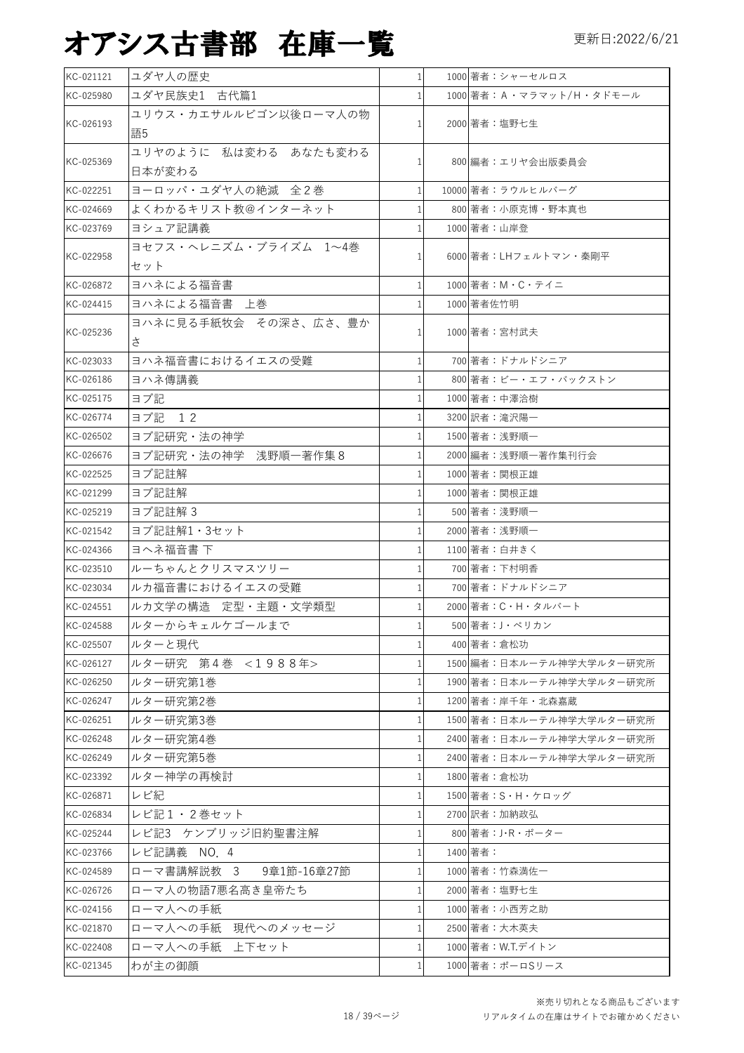| KC-021121 | ユダヤ人の歴史                 |          | 1000 著者:シャーセルロス              |
|-----------|-------------------------|----------|------------------------------|
| KC-025980 | ユダヤ民族史1 古代篇1            |          | 1000 著者: A · マラマット/H · タドモール |
|           | ユリウス・カエサルルビゴン以後ローマ人の物   |          |                              |
| KC-026193 | 語5                      |          | 2000 著者:塩野七生                 |
|           | ユリヤのように 私は変わる あなたも変わる   |          |                              |
| KC-025369 | 日本が変わる                  |          | 800 編者:エリヤ会出版委員会             |
| KC-022251 | ヨーロッパ・ユダヤ人の絶滅 全2巻       |          | 10000 著者:ラウルヒルバーグ            |
| KC-024669 | よくわかるキリスト教@インターネット      |          | 800 著者:小原克博・野本真也             |
| KC-023769 | ヨシュア記講義                 |          | 1000 著者: 山岸登                 |
|           | ヨセフス・ヘレニズム・ブライズム 1~4巻   |          |                              |
| KC-022958 | セット                     |          | 6000 著者:LHフェルトマン・秦剛平         |
| KC-026872 | ヨハネによる福音書               |          | 1000 著者: M · C · テイニ         |
| KC-024415 | ヨハネによる福音書 上巻            |          | 1000 著者佐竹明                   |
|           | ヨハネに見る手紙牧会 その深さ、広さ、豊か   |          |                              |
| KC-025236 | さ                       |          | 1000 著者:宮村武夫                 |
| KC-023033 | ヨハネ福音書におけるイエスの受難        |          | 700 著者:ドナルドシニア               |
| KC-026186 | ヨハネ傳講義                  |          | 800 著者:ビー・エフ・バックストン          |
| KC-025175 | ヨブ記                     |          | 1000 著者:中澤洽樹                 |
| KC-026774 | 12<br>ヨブ記               |          | 3200 訳者:滝沢陽一                 |
| KC-026502 | ヨブ記研究・法の神学              |          | 1500 著者:浅野順一                 |
| KC-026676 | ヨブ記研究·法の神学 浅野順一著作集8     |          | 2000 編者:浅野順一著作集刊行会           |
| KC-022525 | ヨブ記註解                   |          | 1000 著者:関根正雄                 |
| KC-021299 | ヨブ記註解                   |          | 1000 著者:関根正雄                 |
| KC-025219 | ヨブ記註解3                  |          | 500 著者:淺野順一                  |
| KC-021542 | ヨブ記註解1・3セット             |          | 2000 著者:浅野順一                 |
| KC-024366 | ヨヘネ福音書下                 |          | 1100 著者: 白井きく                |
| KC-023510 | ルーちゃんとクリスマスツリー          |          | 700 著者:下村明香                  |
| KC-023034 | ルカ福音書におけるイエスの受難         |          | 700 著者:ドナルドシニア               |
| KC-024551 | ルカ文学の構造 定型·主題·文学類型      |          | 2000 著者: C·H·タルバート           |
| KC-024588 | ルターからキェルケゴールまで          |          | 500 著者:J・ペリカン                |
| KC-025507 | ルターと現代                  |          | 400 著者:倉松功                   |
| KC-026127 | ルター研究 第4巻 <1988年>       |          | 1500 編者:日本ルーテル神学大学ルター研究所     |
| KC-026250 | ルター研究第1巻                |          | 1900 著者:日本ルーテル神学大学ルター研究所     |
| KC-026247 | ルター研究第2巻                |          | 1200 著者:岸千年・北森嘉蔵             |
| KC-026251 | ルター研究第3巻                |          | 1500 著者:日本ルーテル神学大学ルター研究所     |
| KC-026248 | ルター研究第4巻                |          | 2400 著者:日本ルーテル神学大学ルター研究所     |
| KC-026249 | ルター研究第5巻                |          | 2400 著者:日本ルーテル神学大学ルター研究所     |
| KC-023392 | ルター神学の再検討               |          | 1800 著者:倉松功                  |
| KC-026871 | レビ紀                     |          | 1500 著者:S・H・ケロッグ             |
| KC-026834 | レビ記1·2巻セット              |          | 2700 訳者:加納政弘                 |
| KC-025244 | レビ記3 ケンブリッジ旧約聖書注解       |          | 800 著者:J・R・ポーター              |
| KC-023766 | レビ記講義 NO. 4             |          | 1400 著者:                     |
| KC-024589 | ローマ書講解説教 3  9章1節-16章27節 |          | 1000 著者:竹森満佐一                |
| KC-026726 | ローマ人の物語7悪名高き皇帝たち        | $1\vert$ | 2000 著者:塩野七生                 |
| KC-024156 | ローマ人への手紙                |          | 1000 著者:小西芳之助                |
| KC-021870 | ローマ人への手紙 現代へのメッセージ      | $1\vert$ | 2500 著者:大木英夫                 |
| KC-022408 | ローマ人への手紙 上下セット          |          | 1000 著者: W.T.デイトン            |
| KC-021345 | わが主の御顔                  |          | 1000 著者:ポーロSリース              |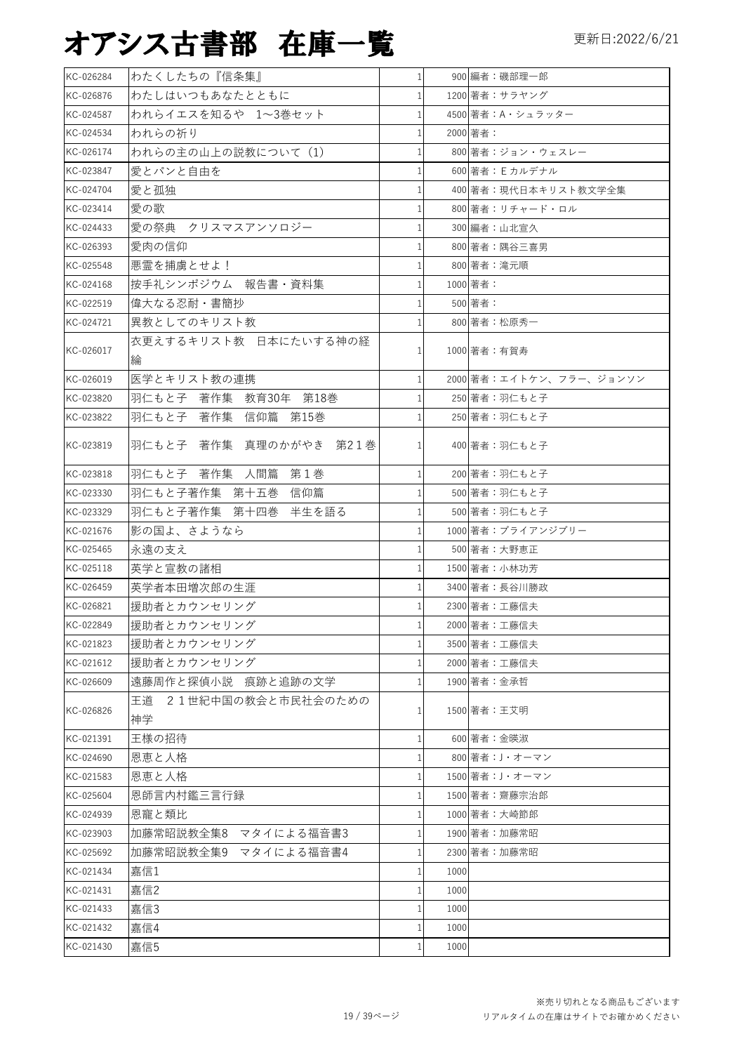| KC-026284 | わたくしたちの『信条集』                   | $\mathbf{1}$ |      | 900 編者:磯部理一郎            |
|-----------|--------------------------------|--------------|------|-------------------------|
| KC-026876 | わたしはいつもあなたとともに                 |              |      | 1200 著者: サラヤング          |
| KC-024587 | われらイエスを知るや 1~3巻セット             |              |      | 4500 著者:A・シュラッター        |
| KC-024534 | われらの祈り                         |              |      | 2000 著者:                |
| KC-026174 | われらの主の山上の説教について (1)            |              |      | 800 著者:ジョン・ウェスレー        |
| KC-023847 | 愛とパンと自由を                       |              |      | 600 著者: Eカルデナル          |
| KC-024704 | 愛と孤独                           |              |      | 400 著者:現代日本キリスト教文学全集    |
| KC-023414 | 愛の歌                            |              |      | 800 著者:リチャード・ロル         |
| KC-024433 | 愛の祭典 クリスマスアンソロジー               |              |      | 300 編者:山北宣久             |
| KC-026393 | 愛肉の信仰                          |              |      | 800 著者:隅谷三喜男            |
| KC-025548 | 悪霊を捕虜とせよ!                      |              |      | 800 著者:滝元順              |
| KC-024168 | 按手礼シンポジウム 報告書・資料集              |              |      | 1000 著者:                |
| KC-022519 | 偉大なる忍耐・書簡抄                     |              |      | 500 著者:                 |
| KC-024721 | 異教としてのキリスト教                    |              |      | 800 著者:松原秀一             |
|           | 衣更えするキリスト教 日本にたいする神の経          |              |      |                         |
| KC-026017 | 綸                              |              |      | 1000 著者:有賀寿             |
| KC-026019 | 医学とキリスト教の連携                    |              |      | 2000 著者:エイトケン、フラー、ジョンソン |
| KC-023820 | 羽仁もと子 著作集 教育30年 第18巻           |              |      | 250 著者:羽仁もと子            |
| KC-023822 | 羽仁もと子 著作集 信仰篇 第15巻             |              |      | 250 著者:羽仁もと子            |
|           |                                |              |      |                         |
| KC-023819 | 羽仁もと子 著作集 真理のかがやき 第21巻         | 1            |      | 400 著者:羽仁もと子            |
| KC-023818 | 羽仁もと子 著作集 人間篇 第1巻              |              |      | 200 著者:羽仁もと子            |
| KC-023330 | 羽仁もと子著作集 第十五巻<br>信仰篇           |              |      | 500 著者:羽仁もと子            |
| KC-023329 | 羽仁もと子著作集 第十四巻 半生を語る            |              |      | 500 著者:羽仁もと子            |
| KC-021676 | 影の国よ、さようなら                     |              |      | 1000 著者:ブライアンジブリー       |
| KC-025465 | 永遠の支え                          |              |      | 500 著者:大野恵正             |
| KC-025118 | 英学と宣教の諸相                       |              |      | 1500 著者:小林功芳            |
| KC-026459 | 英学者本田増次郎の生涯                    |              |      | 3400 著者:長谷川勝政           |
| KC-026821 | 援助者とカウンセリング                    |              |      | 2300 著者:工藤信夫            |
| KC-022849 | 援助者とカウンセリング                    |              |      | 2000 著者:工藤信夫            |
| KC-021823 | 援助者とカウンセリング                    |              |      | 3500 著者:工藤信夫            |
| KC-021612 | 援助者とカウンセリング                    |              |      | 2000 著者:工藤信夫            |
| KC-026609 | 遠藤周作と探偵小説 痕跡と追跡の文学             |              |      | 1900 著者:金承哲             |
| KC-026826 | 21世紀中国の教会と市民社会のための<br>王道<br>神学 |              |      | 1500 著者:王艾明             |
| KC-021391 | 王様の招待                          |              |      | 600 著者:金暎淑              |
| KC-024690 | 恩恵と人格                          |              |      | 800 著者:J・オーマン           |
| KC-021583 | 恩恵と人格                          |              |      | 1500 著者:J・オーマン          |
| KC-025604 | 恩師言内村鑑三言行録                     |              |      | 1500 著者:齋藤宗治郎           |
| KC-024939 | 恩寵と類比                          |              |      | 1000 著者:大崎節郎            |
| KC-023903 | 加藤常昭説教全集8 マタイによる福音書3           |              |      | 1900 著者:加藤常昭            |
| KC-025692 | 加藤常昭説教全集9 マタイによる福音書4           |              |      | 2300 著者:加藤常昭            |
| KC-021434 | 嘉信1                            |              | 1000 |                         |
| KC-021431 | 嘉信2                            |              | 1000 |                         |
| KC-021433 | 嘉信3                            |              | 1000 |                         |
| KC-021432 | 嘉信4                            |              | 1000 |                         |
| KC-021430 | 嘉信5                            |              | 1000 |                         |
|           |                                |              |      |                         |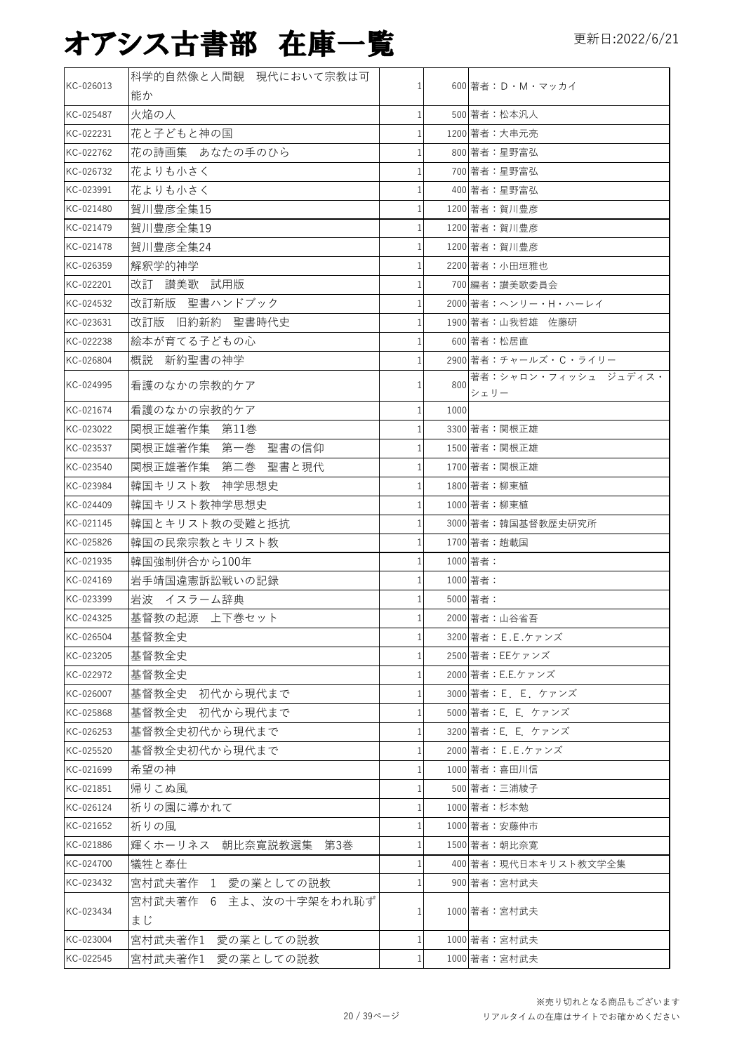| KC-026013 | 科学的自然像と人間観 現代において宗教は可  | 1              |      | 600 著者: D · M · マッカイ |
|-----------|------------------------|----------------|------|----------------------|
|           | 能か                     |                |      |                      |
| KC-025487 | 火焔の人                   | 1              |      | 500 著者:松本汎人          |
| KC-022231 | 花と子どもと神の国              | 1              |      | 1200 著者:大串元亮         |
| KC-022762 | 花の詩画集 あなたの手のひら         | 1              |      | 800 著者:星野富弘          |
| KC-026732 | 花よりも小さく                | 1              |      | 700 著者:星野富弘          |
| KC-023991 | 花よりも小さく                |                |      | 400 著者:星野富弘          |
| KC-021480 | 賀川豊彦全集15               |                |      | 1200 著者:賀川豊彦         |
| KC-021479 | 賀川豊彦全集19               |                |      | 1200 著者:賀川豊彦         |
| KC-021478 | 賀川豊彦全集24               | $\mathbf{1}$   |      | 1200 著者:賀川豊彦         |
| KC-026359 | 解釈学的神学                 |                |      | 2200 著者:小田垣雅也        |
| KC-022201 | 改訂 讃美歌 試用版             | 1              |      | 700 編者:讃美歌委員会        |
| KC-024532 | 改訂新版 聖書ハンドブック          |                |      | 2000 著者:ヘンリー・H・ハーレイ  |
| KC-023631 | 改訂版 旧約新約 聖書時代史         |                |      | 1900 著者:山我哲雄 佐藤研     |
| KC-022238 | 絵本が育てる子どもの心            |                |      | 600 著者:松居直           |
| KC-026804 | 概説 新約聖書の神学             |                |      | 2900 著者:チャールズ・C・ライリー |
|           |                        |                |      | 著者:シャロン・フィッシュ ジュディス・ |
| KC-024995 | 看護のなかの宗教的ケア            | 1              | 800  | シェリー                 |
| KC-021674 | 看護のなかの宗教的ケア            | 1              | 1000 |                      |
| KC-023022 | 関根正雄著作集 第11巻           |                |      | 3300 著者:関根正雄         |
| KC-023537 | 関根正雄著作集 第一巻 聖書の信仰      |                |      | 1500 著者:関根正雄         |
| KC-023540 | 関根正雄著作集 第二巻 聖書と現代      | 1              |      | 1700 著者:関根正雄         |
| KC-023984 | 韓国キリスト教 神学思想史          | $\mathbf{1}$   |      | 1800 著者:柳東植          |
| KC-024409 | 韓国キリスト教神学思想史           | $\mathbf{1}$   |      | 1000 著者:柳東植          |
| KC-021145 | 韓国とキリスト教の受難と抵抗         | 1              |      | 3000 著者:韓国基督教歴史研究所   |
| KC-025826 | 韓国の民衆宗教とキリスト教          | $\mathbf{1}$   |      | 1700 著者:趙載国          |
| KC-021935 | 韓国強制併合から100年           | 1              |      | 1000 著者:             |
| KC-024169 | 岩手靖国違憲訴訟戦いの記録          | $\mathbf{1}$   |      | 1000 著者:             |
| KC-023399 | 岩波 イスラーム辞典             | $\mathbf{1}$   |      | 5000 著者:             |
| KC-024325 | 基督教の起源 上下巻セット          | $\mathbf{1}$   |      | 2000 著者:山谷省吾         |
| KC-026504 | 基督教全史                  | 1 <sup>1</sup> |      | 3200 著者: E.E.ケァンズ    |
| KC-023205 | 基督教全史                  |                |      | 2500 著者: EEケァンズ      |
| KC-022972 | 基督教全史                  |                |      | 2000 著者: E.E.ケァンズ    |
| KC-026007 | 基督教全史 初代から現代まで         |                |      | 3000 著者: E. E. ケァンズ  |
| KC-025868 | 基督教全史 初代から現代まで         | 1              |      | 5000 著者: E. E. ケァンズ  |
| KC-026253 | 基督教全史初代から現代まで          |                |      | 3200 著者: E. E. ケァンズ  |
| KC-025520 | 基督教全史初代から現代まで          |                |      | 2000 著者: E.E.ケァンズ    |
| KC-021699 | 希望の神                   | 1              |      | 1000 著者:喜田川信         |
| KC-021851 | 帰りこぬ風                  |                |      | 500 著者:三浦綾子          |
| KC-026124 | 祈りの園に導かれて              |                |      | 1000 著者:杉本勉          |
| KC-021652 | 祈りの風                   |                |      | 1000 著者:安藤仲市         |
| KC-021886 | 輝くホーリネス 朝比奈寛説教選集 第3巻   |                |      | 1500 著者:朝比奈寛         |
| KC-024700 | 犠牲と奉仕                  |                |      | 400 著者:現代日本キリスト教文学全集 |
| KC-023432 | 宮村武夫著作 1 愛の業としての説教     |                |      | 900 著者:宮村武夫          |
|           | 宮村武夫著作 6 主よ、汝の十字架をわれ恥ず |                |      |                      |
| KC-023434 | まじ                     |                |      | 1000 著者:宮村武夫         |
| KC-023004 | 宮村武夫著作1 愛の業としての説教      | 1              |      | 1000 著者:宮村武夫         |
| KC-022545 | 宮村武夫著作1 愛の業としての説教      | 1              |      | 1000 著者:宮村武夫         |
|           |                        |                |      |                      |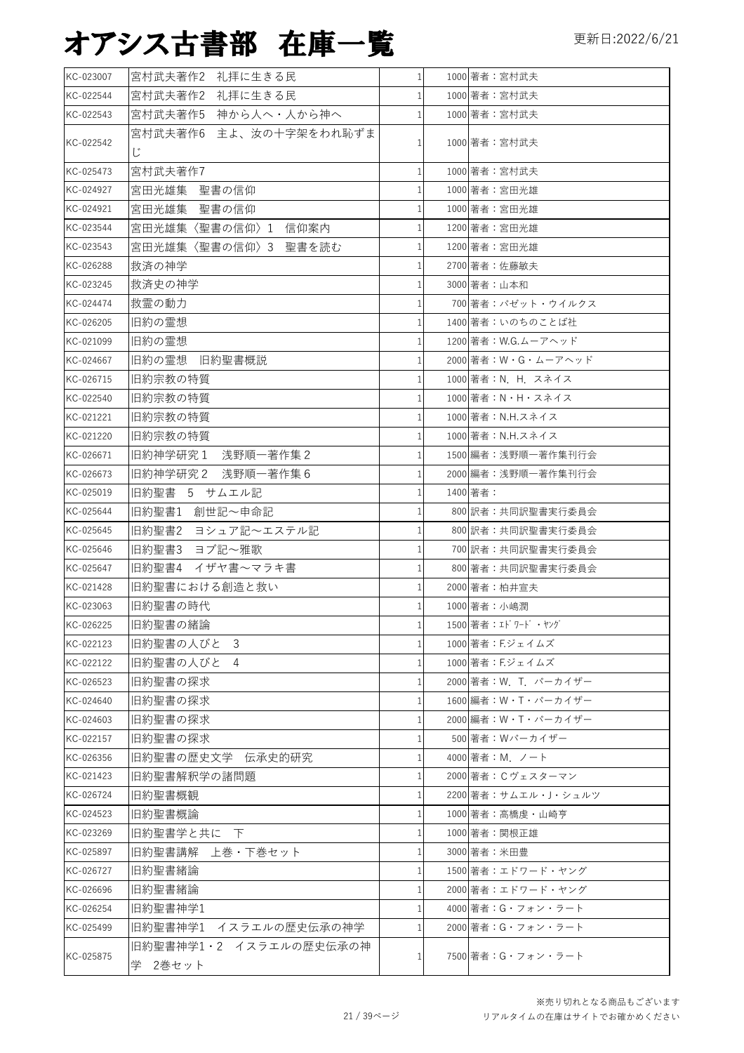| KC-023007 | 宮村武夫著作2 礼拝に生きる民             | $1\vert$     |          |                       |
|-----------|-----------------------------|--------------|----------|-----------------------|
| KC-022544 |                             |              |          | 1000 著者:宮村武夫          |
|           | 宮村武夫著作2 礼拝に生きる民             | $\mathbf{1}$ |          | 1000 著者:宮村武夫          |
| KC-022543 | 宮村武夫著作5 神から人へ・人から神へ         | 1            |          | 1000 著者:宮村武夫          |
| KC-022542 | 宮村武夫著作6 主よ、汝の十字架をわれ恥ずま<br>Ľ | 1            |          | 1000 著者:宮村武夫          |
| KC-025473 | 宮村武夫著作7                     | $\mathbf{1}$ |          | 1000 著者:宮村武夫          |
| KC-024927 | 宮田光雄集 聖書の信仰                 | 1            |          | 1000 著者:宮田光雄          |
| KC-024921 | 宮田光雄集 聖書の信仰                 | $\mathbf{1}$ |          | 1000 著者:宮田光雄          |
| KC-023544 | 宮田光雄集〈聖書の信仰〉1 信仰案内          | $\mathbf{1}$ |          | 1200 著者:宮田光雄          |
| KC-023543 | 宮田光雄集〈聖書の信仰〉3 聖書を読む         | 1            |          | 1200 著者:宮田光雄          |
| KC-026288 | 救済の神学                       | $\mathbf{1}$ |          | 2700 著者:佐藤敏夫          |
| KC-023245 | 救済史の神学                      |              |          | 3000 著者:山本和           |
| KC-024474 | 救霊の動力                       |              |          | 700 著者:パゼット・ウイルクス     |
| KC-026205 | 旧約の霊想                       |              |          | 1400 著者:いのちのことば社      |
| KC-021099 | 旧約の霊想                       | $\mathbf{1}$ |          | 1200 著者: W.G.ムーアヘッド   |
| KC-024667 | 旧約の霊想 旧約聖書概説                |              |          | 2000 著者:W・G・ムーアヘッド    |
| KC-026715 | 旧約宗教の特質                     |              |          | 1000 著者: N. H. スネイス   |
| KC-022540 | 旧約宗教の特質                     |              |          | 1000 著者:N・H・スネイス      |
| KC-021221 | 旧約宗教の特質                     |              |          | 1000 著者: N.H.スネイス     |
| KC-021220 | 旧約宗教の特質                     |              |          | 1000 著者: N.H.スネイス     |
| KC-026671 | 旧約神学研究1 浅野順一著作集2            |              |          | 1500 編者:浅野順一著作集刊行会    |
| KC-026673 | 旧約神学研究 2 浅野順一著作集 6          |              |          | 2000 編者:浅野順一著作集刊行会    |
| KC-025019 | 旧約聖書 5 サムエル記                | 1            | 1400 著者: |                       |
| KC-025644 | 旧約聖書1 創世記~申命記               | 1            |          | 800 訳者:共同訳聖書実行委員会     |
| KC-025645 | 旧約聖書2 ヨシュア記~エステル記           | 1            |          | 800 訳者:共同訳聖書実行委員会     |
| KC-025646 | 旧約聖書3 ヨブ記~雅歌                | 1            |          | 700 訳者:共同訳聖書実行委員会     |
| KC-025647 | 旧約聖書4<br>イザヤ書~マラキ書          |              |          | 800 著者:共同訳聖書実行委員会     |
| KC-021428 | 旧約聖書における創造と救い               | $\mathbf{1}$ |          | 2000 著者:柏井宣夫          |
| KC-023063 | 旧約聖書の時代                     | 1            |          | 1000 著者:小嶋潤           |
| KC-026225 | 旧約聖書の緒論                     | $1\vert$     |          | 1500 著者: エドワード・ヤング    |
| KC-022123 | 旧約聖書の人びと<br>3               | 1            |          | 1000 著者:F.ジェイムズ       |
| KC-022122 | 旧約聖書の人びと<br>4               | 1            |          | 1000 著者: F.ジェイムズ      |
| KC-026523 | 旧約聖書の探求                     |              |          | 2000 著者: W. T. パーカイザー |
| KC-024640 | 旧約聖書の探求                     | 1            |          | 1600 編者: W・T・パーカイザー   |
| KC-024603 | 旧約聖書の探求                     |              |          | 2000 編者: W·T·パーカイザー   |
| KC-022157 | 旧約聖書の探求                     | $\mathbf{1}$ |          | 500 著者: Wパーカイザー       |
| KC-026356 | 旧約聖書の歴史文学 伝承史的研究            |              |          | 4000 著者:M. ノート        |
| KC-021423 | 旧約聖書解釈学の諸問題                 |              |          | 2000 著者:Cヴェスターマン      |
| KC-026724 | 旧約聖書概観                      |              |          | 2200 著者: サムエル・J・シュルツ  |
| KC-024523 | 旧約聖書概論                      | 1            |          | 1000 著者:高橋虔・山崎亨       |
| KC-023269 | 旧約聖書学と共に 下                  |              |          | 1000 著者:関根正雄          |
| KC-025897 | 旧約聖書講解 上巻・下巻セット             | 1            |          | 3000 著者:米田豊           |
| KC-026727 | 旧約聖書緒論                      |              |          | 1500 著者:エドワード・ヤング     |
| KC-026696 | 旧約聖書緒論                      |              |          | 2000 著者:エドワード・ヤング     |
| KC-026254 | 旧約聖書神学1                     |              |          | 4000 著者:G・フォン・ラート     |
| KC-025499 | 旧約聖書神学1 イスラエルの歴史伝承の神学       |              |          | 2000 著者:G・フォン・ラート     |
|           | 旧約聖書神学1・2 イスラエルの歴史伝承の神      |              |          |                       |
| KC-025875 | 学 2巻セット                     | $\mathbf{1}$ |          | 7500 著者:G・フォン・ラート     |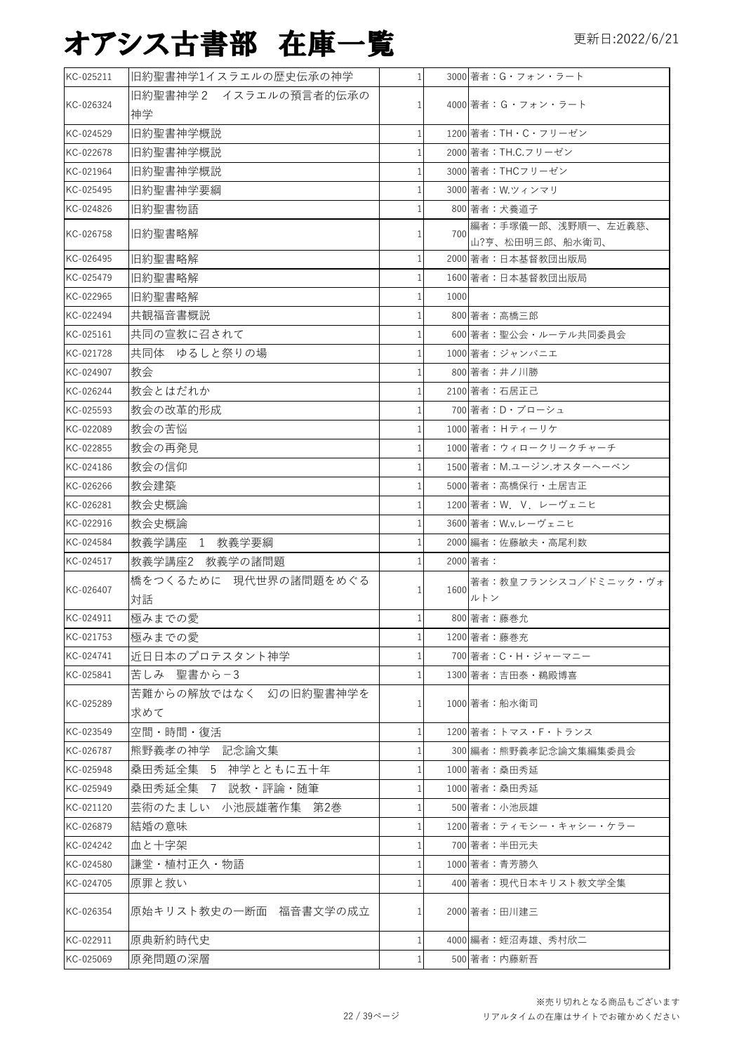| KC-025211 | 旧約聖書神学1イスラエルの歴史伝承の神学         | $1\vert$       |      | 3000 著者: G・フォン・ラート                     |
|-----------|------------------------------|----------------|------|----------------------------------------|
| KC-026324 | 旧約聖書神学2 イスラエルの預言者的伝承の        | $\mathbf{1}$   |      | 4000 著者:G・フォン・ラート                      |
|           | 神学                           |                |      |                                        |
| KC-024529 | 旧約聖書神学概説                     | $\mathbf{1}$   |      | 1200 著者: TH · C · フリーゼン                |
| KC-022678 | 旧約聖書神学概説                     | $\mathbf{1}$   |      | 2000 著者: TH.C.フリーゼン                    |
| KC-021964 | 旧約聖書神学概説                     | $\mathbf{1}$   |      | 3000 著者: THCフリーゼン                      |
| KC-025495 | 旧約聖書神学要綱                     | $\mathbf{1}$   |      | 3000 著者: W.ツィンマリ                       |
| KC-024826 | 旧約聖書物語                       | $\mathbf{1}$   |      | 800 著者:犬養道子                            |
| KC-026758 | 旧約聖書略解                       | $\mathbf{1}$   | 700  | 編者:手塚儀一郎、浅野順一、左近義慈、<br>山?亨、松田明三郎、船水衛司、 |
| KC-026495 | 旧約聖書略解                       | 1              |      | 2000 著者:日本基督教団出版局                      |
| KC-025479 | 旧約聖書略解                       | 1              |      | 1600 著者:日本基督教団出版局                      |
| KC-022965 | 旧約聖書略解                       | 1 <sup>1</sup> | 1000 |                                        |
| KC-022494 | 共観福音書概説                      | $\mathbf{1}$   |      | 800 著者:高橋三郎                            |
| KC-025161 | 共同の宣教に召されて                   | 1              |      | 600 著者:聖公会・ルーテル共同委員会                   |
| KC-021728 | 共同体 ゆるしと祭りの場                 | $\mathbf{1}$   |      | 1000 著者:ジャンバニエ                         |
| KC-024907 | 教会                           | 1              |      | 800 著者:井ノ川勝                            |
| KC-026244 | 教会とはだれか                      | $\mathbf{1}$   |      | 2100 著者:石居正己                           |
| KC-025593 | 教会の改革的形成                     | 1              |      | 700 著者: D・ブローシュ                        |
| KC-022089 | 教会の苦悩                        | 1              |      | 1000 著者: Hティーリケ                        |
| KC-022855 | 教会の再発見                       | $\mathbf{1}$   |      | 1000 著者:ウィロークリークチャーチ                   |
| KC-024186 | 教会の信仰                        | $\mathbf{1}$   |      | 1500 著者:M.ユージン.オスターヘーベン                |
| KC-026266 | 教会建築                         | 1              |      | 5000 著者:高橋保行・土居吉正                      |
| KC-026281 | 教会史概論                        | $\mathbf{1}$   |      | 1200 著者: W. V. レーヴェニヒ                  |
| KC-022916 | 教会史概論                        | $\mathbf{1}$   |      | 3600 著者: W.v.レーヴェニヒ                    |
| KC-024584 | 教義学講座 1 教義学要綱                | 1              |      | 2000 編者:佐藤敏夫・高尾利数                      |
| KC-024517 | 教義学講座2 教義学の諸問題               | 1              |      | 2000 著者:                               |
| KC-026407 | 橋をつくるために 現代世界の諸問題をめぐる<br> 対話 | 1 <sup>1</sup> | 1600 | 著者:教皇フランシスコ/ドミニック・ヴォ<br>ルトン            |
| KC-024911 | 極みまでの愛                       | 1 <sup>1</sup> |      | 800 著者:藤巻允                             |
| KC-021753 | 極みまでの愛                       | $\mathbf{1}$   |      | 1200 著者:藤巻充                            |
| KC-024741 | 近日日本のプロテスタント神学               | 1              |      | 700 著者: C · H · ジャーマニー                 |
| KC-025841 | 苦しみ 聖書から-3                   | 1              |      | 1300 著者:吉田泰・鵜殿博喜                       |
|           | 苦難からの解放ではなく 幻の旧約聖書神学を        |                |      |                                        |
| KC-025289 | 求めて                          | 1              |      | 1000 著者:船水衛司                           |
| KC-023549 | 空間・時間・復活                     | $\mathbf{1}$   |      | 1200 著者:トマス・F・トランス                     |
| KC-026787 | 熊野義孝の神学 記念論文集                | 1              |      | 300 編者:熊野義孝記念論文集編集委員会                  |
| KC-025948 | 桑田秀延全集 5 神学とともに五十年           | $\mathbf{1}$   |      | 1000 著者:桑田秀延                           |
| KC-025949 | 桑田秀延全集 7 説教・評論・随筆            | 1              |      | 1000 著者:桑田秀延                           |
| KC-021120 | 芸術のたましい 小池辰雄著作集 第2巻          | $\mathbf{1}$   |      | 500 著者:小池辰雄                            |
| KC-026879 | 結婚の意味                        | 1              |      | 1200 著者: ティモシー・キャシー・ケラー                |
| KC-024242 | 血と十字架                        | $\mathbf{1}$   |      | 700 著者:半田元夫                            |
| KC-024580 | 謙堂・植村正久・物語                   | 1              |      | 1000 著者:青芳勝久                           |
| KC-024705 | 原罪と救い                        | $\mathbf{1}$   |      | 400 著者:現代日本キリスト教文学全集                   |
| KC-026354 | 原始キリスト教史の一断面 福音書文学の成立        | 1              |      | 2000 著者:田川建三                           |
| KC-022911 | 原典新約時代史                      | 1              |      | 4000 編者:蛭沼寿雄、秀村欣二                      |
| KC-025069 | 原発問題の深層                      | 1              |      | 500 著者: 内藤新吾                           |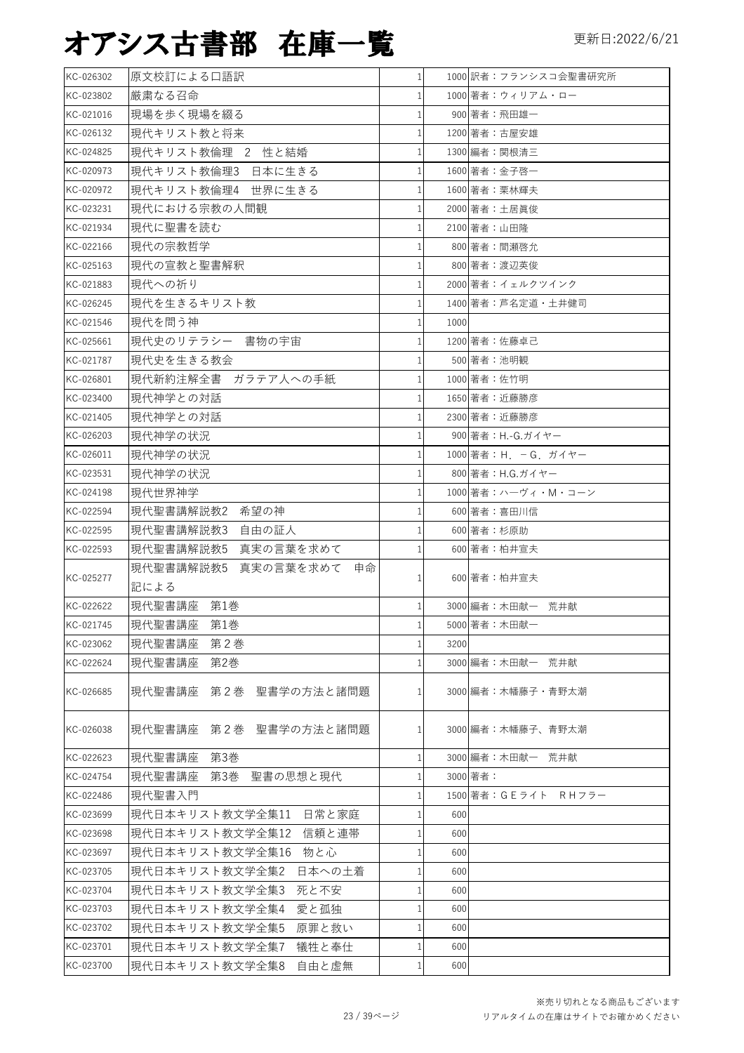| KC-026302              | 原文校訂による口語訳                     |   |      | 1000 訳者:フランシスコ会聖書研究所  |
|------------------------|--------------------------------|---|------|-----------------------|
| KC-023802              | 厳粛なる召命                         |   |      | 1000 著者:ウィリアム・ロー      |
| KC-021016              | 現場を歩く現場を綴る                     |   |      | 900 著者:飛田雄一           |
| KC-026132              | 現代キリスト教と将来                     |   |      | 1200 著者:古屋安雄          |
| KC-024825              | 現代キリスト教倫理 2 性と結婚               |   |      | 1300 編者:関根清三          |
| KC-020973              | 現代キリスト教倫理3 日本に生きる              |   |      | 1600 著者:金子啓一          |
| KC-020972              | 現代キリスト教倫理4 世界に生きる              |   |      | 1600 著者:栗林輝夫          |
| KC-023231              | 現代における宗教の人間観                   |   |      | 2000 著者:土居眞俊          |
| KC-021934              | 現代に聖書を読む                       |   |      | 2100 著者:山田隆           |
| KC-022166              | 現代の宗教哲学                        |   |      | 800 著者:間瀬啓允           |
| KC-025163              | 現代の宣教と聖書解釈                     |   |      | 800 著者:渡辺英俊           |
| KC-021883              | 現代への祈り                         |   |      | 2000 著者:イェルクツインク      |
| KC-026245              | 現代を生きるキリスト教                    |   |      | 1400 著者: 芦名定道 · 土井健司  |
| KC-021546              | 現代を問う神                         |   | 1000 |                       |
| KC-025661              | 現代史のリテラシー 書物の宇宙                |   |      | 1200 著者:佐藤卓己          |
| KC-021787              | 現代史を生きる教会                      |   |      | 500 著者:池明観            |
| KC-026801              | 現代新約注解全書 ガラテア人への手紙             |   |      | 1000 著者:佐竹明           |
| KC-023400              | 現代神学との対話                       |   |      | 1650 著者:近藤勝彦          |
| KC-021405              | 現代神学との対話                       |   |      | 2300 著者:近藤勝彦          |
| KC-026203              | 現代神学の状況                        |   |      | 900 著者:H.-G.ガイヤー      |
| KC-026011              | 現代神学の状況                        |   |      | 1000 著者: H. - G. ガイヤー |
| KC-023531              | 現代神学の状況                        |   |      | 800 著者: H.G.ガイヤー      |
| KC-024198              | 現代世界神学                         |   |      | 1000 著者: ハーヴィ・M・コーン   |
| KC-022594              | 現代聖書講解説教2 希望の神                 |   |      | 600 著者:喜田川信           |
| KC-022595              | 現代聖書講解説教3 自由の証人                |   |      | 600 著者:杉原助            |
| KC-022593              | 現代聖書講解説教5 真実の言葉を求めて            |   |      | 600 著者:柏井宣夫           |
| KC-025277              | 現代聖書講解説教5 真実の言葉を求めて<br>申命      |   |      | 600 著者:柏井宣夫           |
|                        | 記による                           |   |      | 3000 編者: 木田献一 荒井献     |
| KC-022622              | 現代聖書講座 第1巻                     |   |      |                       |
| KC-021745              | 現代聖書講座 第1巻                     |   | 3200 | 5000 著者:木田献一          |
| KC-023062<br>KC-022624 | 現代聖書講座<br>第2巻<br>現代聖書講座<br>第2巻 |   |      | 3000 編者:木田献一 荒井献      |
|                        |                                |   |      |                       |
| KC-026685              | 現代聖書講座 第2巻 聖書学の方法と諸問題          |   |      | 3000 編者:木幡藤子・青野太潮     |
| KC-026038              | 現代聖書講座 第2巻 聖書学の方法と諸問題          |   |      | 3000 編者:木幡藤子、青野太潮     |
| KC-022623              | 現代聖書講座 第3巻                     |   |      | 3000 編者:木田献一 荒井献      |
| KC-024754              | 現代聖書講座<br>第3巻 聖書の思想と現代         |   |      | 3000 著者:              |
| KC-022486              | 現代聖書入門                         |   |      | 1500 著者:GEライト RHフラー   |
| KC-023699              | 現代日本キリスト教文学全集11 日常と家庭          | 1 | 600  |                       |
| KC-023698              | 現代日本キリスト教文学全集12<br>信頼と連帯       |   | 600  |                       |
| KC-023697              | 現代日本キリスト教文学全集16 物と心            |   | 600  |                       |
| KC-023705              | 現代日本キリスト教文学全集2<br>日本への土着       | 1 | 600  |                       |
| KC-023704              | 現代日本キリスト教文学全集3 <br>死と不安        | 1 | 600  |                       |
| KC-023703              | 現代日本キリスト教文学全集4<br>愛と孤独         |   | 600  |                       |
| KC-023702              | 現代日本キリスト教文学全集5 原罪と救い           |   | 600  |                       |
| KC-023701              | 現代日本キリスト教文学全集7<br>犠牲と奉仕        |   | 600  |                       |
| KC-023700              | 現代日本キリスト教文学全集8 <br>自由と虚無       |   | 600  |                       |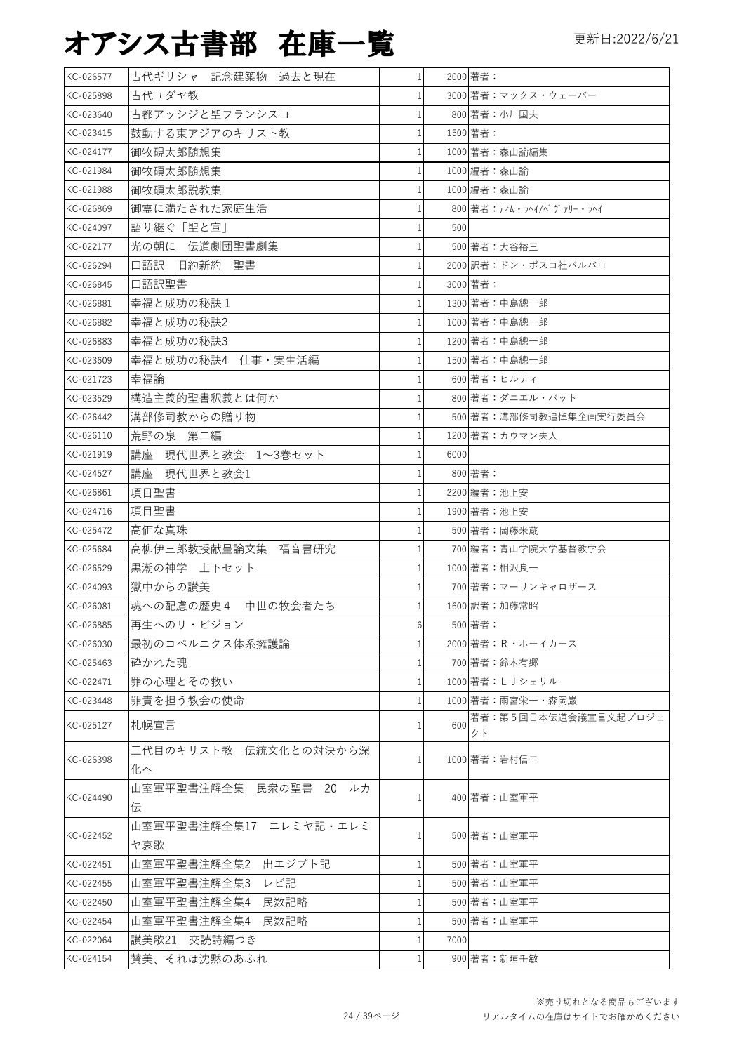| KC-026577 | 古代ギリシャ 記念建築物 過去と現在     | $1\vert$       |      | 2000 著者:                 |
|-----------|------------------------|----------------|------|--------------------------|
| KC-025898 | 古代ユダヤ教                 |                |      | 3000 著者: マックス・ウェーバー      |
| KC-023640 | 古都アッシジと聖フランシスコ         |                |      | 800 著者:小川国夫              |
| KC-023415 | 鼓動する東アジアのキリスト教         | $\mathbf{1}$   |      | 1500 著者:                 |
| KC-024177 | 御牧硯太郎随想集               |                |      | 1000 著者:森山諭編集            |
| KC-021984 | 御牧碩太郎随想集               | $\mathbf{1}$   |      | 1000 編者: 森山諭             |
| KC-021988 | 御牧碩太郎説教集               | $\mathbf{1}$   |      | 1000 編者:森山諭              |
| KC-026869 | 御霊に満たされた家庭生活           | 1 <sup>1</sup> |      | 800 著者:ティム・ラヘイ/ベヴァリー・ラヘイ |
| KC-024097 | 語り継ぐ「聖と宣」              | 1              | 500  |                          |
| KC-022177 | 光の朝に 伝道劇団聖書劇集          | $\mathbf{1}$   |      | 500 著者:大谷裕三              |
| KC-026294 | 口語訳 旧約新約 聖書            |                |      | 2000 訳者:ドン・ボスコ社バルバロ      |
| KC-026845 | 口語訳聖書                  |                |      | 3000 著者:                 |
| KC-026881 | 幸福と成功の秘訣1              |                |      | 1300 著者:中島總一郎            |
| KC-026882 | 幸福と成功の秘訣2              |                |      | 1000 著者:中島總一郎            |
| KC-026883 | 幸福と成功の秘訣3              |                |      | 1200 著者:中島總一郎            |
| KC-023609 | 幸福と成功の秘訣4 仕事·実生活編      |                |      | 1500 著者:中島總一郎            |
| KC-021723 | 幸福論                    |                |      | 600 著者:ヒルティ              |
| KC-023529 | 構造主義的聖書釈義とは何か          |                |      | 800 著者:ダニエル・パット          |
| KC-026442 | 溝部修司教からの贈り物            |                |      | 500 著者:溝部修司教追悼集企画実行委員会   |
| KC-026110 | 荒野の泉 第二編               |                |      | 1200 著者:カウマン夫人           |
| KC-021919 | 講座 現代世界と教会 1~3巻セット     |                | 6000 |                          |
| KC-024527 | 講座 現代世界と教会1            | 1              |      | 800 著者:                  |
| KC-026861 | 項目聖書                   | 1              |      | 2200 編者: 池上安             |
| KC-024716 | 項目聖書                   |                |      | 1900 著者: 池上安             |
| KC-025472 | 高価な真珠                  |                |      | 500 著者:岡藤米蔵              |
| KC-025684 | 高柳伊三郎教授献呈論文集 福音書研究     |                |      | 700 編者:青山学院大学基督教学会       |
| KC-026529 | 黒潮の神学 上下セット            | $\mathbf{1}$   |      | 1000 著者:相沢良一             |
| KC-024093 | 獄中からの讃美                |                |      | 700 著者: マーリンキャロザース       |
| KC-026081 | 魂への配慮の歴史4 中世の牧会者たち     | $\mathbf{1}$   |      | 1600 訳者:加藤常昭             |
| KC-026885 | 再生へのリ・ビジョン             | 6 <sup>1</sup> |      | 500 著者:                  |
| KC-026030 | 最初のコペルニクス体系擁護論         | 1 <sup>1</sup> |      | 2000 著者: R · ホーイカース      |
| KC-025463 | 砕かれた魂                  |                |      | 700 著者:鈴木有郷              |
| KC-022471 | 罪の心理とその救い              | $\mathbf{1}$   |      | 1000 著者:L J シェリル         |
| KC-023448 | 罪責を担う教会の使命             |                |      | 1000 著者: 雨宮栄一・森岡巌        |
| KC-025127 | 札幌宣言                   | 1              | 600  | 著者:第5回日本伝道会議宣言文起プロジェ     |
|           |                        |                |      | クト                       |
| KC-026398 | 三代目のキリスト教 伝統文化との対決から深  |                |      | 1000 著者:岩村信二             |
|           | 化へ                     |                |      |                          |
| KC-024490 | 山室軍平聖書注解全集 民衆の聖書 20 ルカ | $\mathbf{1}$   |      | 400 著者:山室軍平              |
|           | 伝                      |                |      |                          |
| KC-022452 | 山室軍平聖書注解全集17 エレミヤ記・エレミ |                |      | 500 著者:山室軍平              |
|           | ヤ哀歌                    |                |      |                          |
| KC-022451 | 山室軍平聖書注解全集2 出エジプト記     |                |      | 500 著者:山室軍平              |
| KC-022455 | 山室軍平聖書注解全集3<br>レビ記     |                |      | 500 著者:山室軍平              |
| KC-022450 | 山室軍平聖書注解全集4 民数記略       |                |      | 500 著者:山室軍平              |
| KC-022454 | 山室軍平聖書注解全集4 民数記略       | 1              |      | 500 著者:山室軍平              |
| KC-022064 | 讃美歌21 交読詩編つき           | 1              | 7000 |                          |
| KC-024154 | 賛美、それは沈黙のあふれ           | $\mathbf{1}$   |      | 900 著者:新垣壬敏              |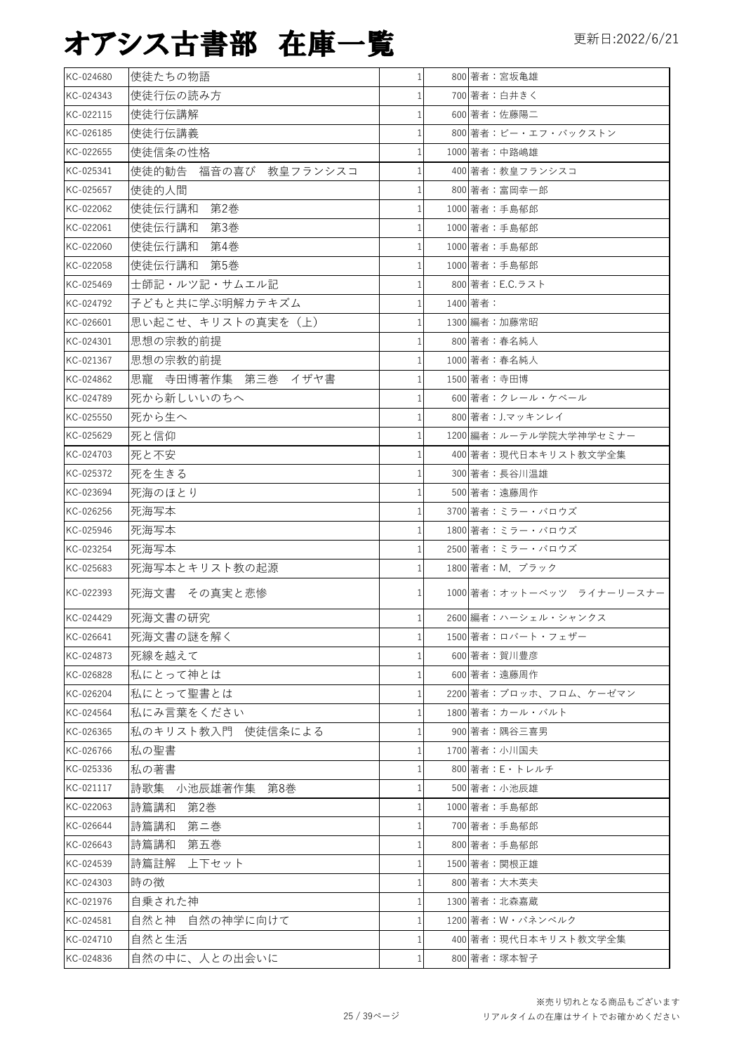| KC-024680 | 使徒たちの物語                 | $\mathbf{1}$ | 800 著者:宮坂亀雄               |
|-----------|-------------------------|--------------|---------------------------|
| KC-024343 | 使徒行伝の読み方                | 1            | 700 著者:白井きく               |
| KC-022115 | 使徒行伝講解                  | 1            | 600 著者:佐藤陽二               |
| KC-026185 | 使徒行伝講義                  | 1            | 800 著者:ビー・エフ・バックストン       |
| KC-022655 | 使徒信条の性格                 | 1            | 1000 著者:中路嶋雄              |
| KC-025341 | 使徒的勧告<br>福音の喜び 教皇フランシスコ | 1            | 400 著者:教皇フランシスコ           |
| KC-025657 | 使徒的人間                   | 1            | 800 著者:富岡幸一郎              |
| KC-022062 | 使徒伝行講和 第2巻              | 1            | 1000 著者:手島郁郎              |
| KC-022061 | 使徒伝行講和<br>第3巻           | $\mathbf{1}$ | 1000 著者:手島郁郎              |
| KC-022060 | 使徒伝行講和<br>第4巻           | 1            | 1000 著者:手島郁郎              |
| KC-022058 | 使徒伝行講和<br>第5巻           | 1            | 1000 著者:手島郁郎              |
| KC-025469 | 士師記・ルツ記・サムエル記           |              | 800 著者: E.C.ラスト           |
| KC-024792 | 子どもと共に学ぶ明解カテキズム         | 1            | 1400 著者:                  |
| KC-026601 | 思い起こせ、キリストの真実を(上)       | 1            | 1300 編者:加藤常昭              |
| KC-024301 | 思想の宗教的前提                | 1            | 800 著者:春名純人               |
| KC-021367 | 思想の宗教的前提                |              | 1000 著者:春名純人              |
| KC-024862 | 思寵 寺田博著作集 第三巻 イザヤ書      | 1            | 1500 著者:寺田博               |
| KC-024789 | 死から新しいいのちへ              | 1            | 600 著者:クレール・ケベール          |
| KC-025550 | 死から生へ                   |              | 800 著者:J.マッキンレイ           |
| KC-025629 | 死と信仰                    | 1            | 1200 編者:ルーテル学院大学神学セミナー    |
| KC-024703 | 死と不安                    | 1            | 400 著者:現代日本キリスト教文学全集      |
| KC-025372 | 死を生きる                   | $\mathbf{1}$ | 300 著者:長谷川温雄              |
| KC-023694 | 死海のほとり                  | 1            | 500 著者:遠藤周作               |
| KC-026256 | 死海写本                    |              | 3700 著者:ミラー・バロウズ          |
| KC-025946 | 死海写本                    | 1            | 1800 著者: ミラー・バロウズ         |
| KC-023254 | 死海写本                    | 1            | 2500 著者:ミラー・バロウズ          |
| KC-025683 | 死海写本とキリスト教の起源           | 1            | 1800 著者: M. ブラック          |
| KC-022393 | 死海文書 その真実と悲惨            | 1            | 1000 著者:オットーベッツ ライナーリースナー |
| KC-024429 | 死海文書の研究                 | $\mathbf{1}$ | 2600 編者:ハーシェル・シャンクス       |
| KC-026641 | 死海文書の謎を解く               | $\mathbf{1}$ | 1500 著者:ロバート・フェザー         |
| KC-024873 | 死線を越えて                  |              | 600 著者:賀川豊彦               |
| KC-026828 | 私にとって神とは                |              | 600 著者:遠藤周作               |
| KC-026204 | 私にとって聖書とは               | 1            | 2200 著者:ブロッホ、フロム、ケーゼマン    |
| KC-024564 | 私にみ言葉をください              |              | 1800 著者:カール・バルト           |
| KC-026365 | 私のキリスト教入門 使徒信条による       | 1            | 900 著者:隅谷三喜男              |
| KC-026766 | 私の聖書                    |              | 1700 著者:小川国夫              |
| KC-025336 | 私の著書                    |              | 800 著者: E・トレルチ            |
| KC-021117 | 詩歌集 小池辰雄著作集 第8巻         |              | 500 著者:小池辰雄               |
| KC-022063 | 詩篇講和<br>第2巻             |              | 1000 著者:手島郁郎              |
| KC-026644 | 詩篇講和<br>第二巻             | 1            | 700 著者:手島郁郎               |
| KC-026643 | 詩篇講和<br>第五巻             | 1            | 800 著者:手島郁郎               |
| KC-024539 | 詩篇註解<br>上下セット           | 1            | 1500 著者:関根正雄              |
| KC-024303 | 時の徴                     | 1            | 800 著者:大木英夫               |
| KC-021976 | 自乗された神                  | 1            | 1300 著者:北森嘉蔵              |
| KC-024581 | 自然と神 自然の神学に向けて          |              | 1200 著者: W・パネンベルク         |
| KC-024710 | 自然と生活                   | 1            | 400 著者:現代日本キリスト教文学全集      |
| KC-024836 | 自然の中に、人との出会いに           | 1            | 800 著者:塚本智子               |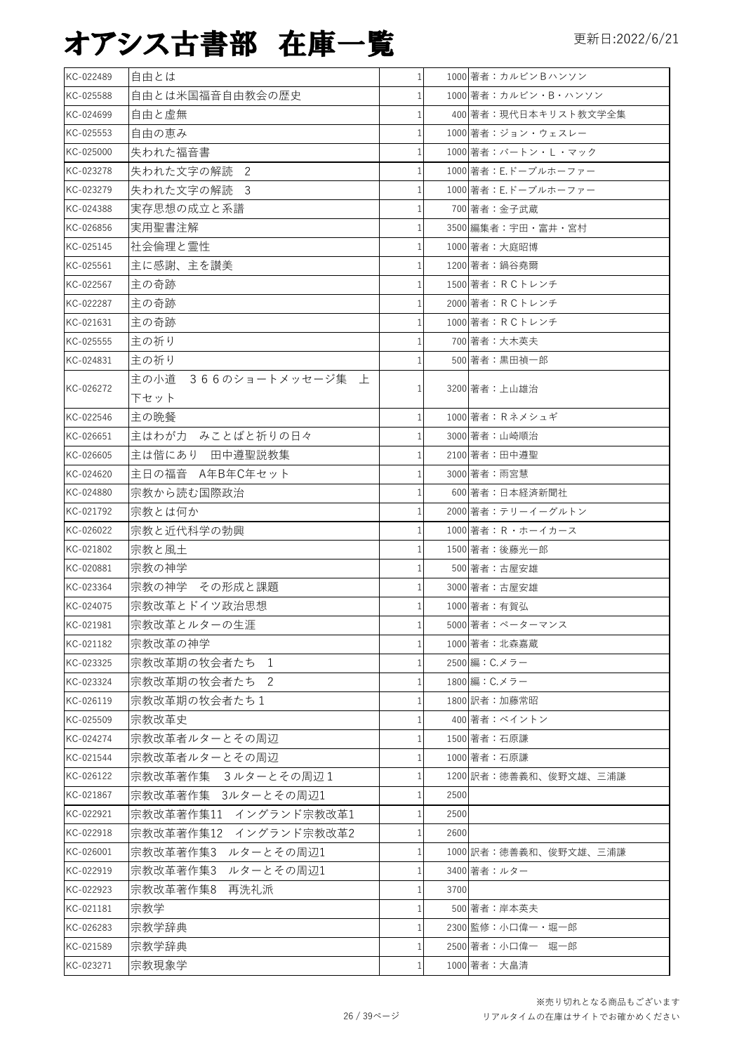| KC-022489 | 自由とは                     | 1            |      | 1000 著者:カルビンBハンソン     |
|-----------|--------------------------|--------------|------|-----------------------|
| KC-025588 | 自由とは米国福音自由教会の歴史          |              |      | 1000 著者:カルビン・B・ハンソン   |
| KC-024699 | 自由と虚無                    |              |      | 400 著者:現代日本キリスト教文学全集  |
| KC-025553 | 自由の恵み                    | 1            |      | 1000 著者:ジョン・ウェスレー     |
| KC-025000 | 失われた福音書                  |              |      | 1000 著者:バートン・L・マック    |
| KC-023278 | 失われた文字の解読 2              |              |      | 1000 著者: E.ドーブルホーファー  |
| KC-023279 | 失われた文字の解読 3              |              |      | 1000 著者: E.ドーブルホーファー  |
| KC-024388 | 実存思想の成立と系譜               | 1            |      | 700 著者:金子武蔵           |
| KC-026856 | 実用聖書注解                   |              |      | 3500 編集者: 宇田・富井・宮村    |
| KC-025145 | 社会倫理と霊性                  |              |      | 1000 著者:大庭昭博          |
| KC-025561 | 主に感謝、主を讃美                | 1            |      | 1200 著者:鍋谷堯爾          |
| KC-022567 | 主の奇跡                     | $\mathbf{1}$ |      | 1500 著者: R C トレンチ     |
| KC-022287 | 主の奇跡                     |              |      | 2000 著者: RCトレンチ       |
| KC-021631 | 主の奇跡                     |              |      | 1000 著者: R C トレンチ     |
| KC-025555 | 主の祈り                     |              |      | 700 著者:大木英夫           |
| KC-024831 | 主の祈り                     |              |      | 500 著者:黒田禎一郎          |
|           | 366のショートメッセージ集 上<br>主の小道 |              |      |                       |
| KC-026272 | 下セット                     | 1            |      | 3200 著者:上山雄治          |
| KC-022546 | 主の晩餐                     | 1            |      | 1000 著者: Rネメシュギ       |
| KC-026651 | 主はわが力 みことばと祈りの日々         |              |      | 3000 著者:山崎順治          |
| KC-026605 | 主は偕にあり 田中遵聖説教集           |              |      | 2100 著者:田中遵聖          |
| KC-024620 | 主日の福音 A年B年C年セット          |              |      | 3000 著者: 雨宮慧          |
| KC-024880 | 宗教から読む国際政治               | 1            |      | 600 著者:日本経済新聞社        |
| KC-021792 | 宗教とは何か                   |              |      | 2000 著者:テリーイーグルトン     |
| KC-026022 | 宗教と近代科学の勃興               |              |      | 1000 著者: R・ホーイカース     |
| KC-021802 | 宗教と風土                    |              |      | 1500 著者:後藤光一郎         |
| KC-020881 | 宗教の神学                    |              |      | 500 著者:古屋安雄           |
| KC-023364 | 宗教の神学 その形成と課題            |              |      | 3000 著者:古屋安雄          |
| KC-024075 | 宗教改革とドイツ政治思想             |              |      | 1000 著者:有賀弘           |
| KC-021981 | 宗教改革とルターの生涯              | $\mathbf{1}$ |      | 5000 著者:ペーターマンス       |
| KC-021182 | 宗教改革の神学                  | $\mathbf{1}$ |      | 1000 著者:北森嘉蔵          |
| KC-023325 | 宗教改革期の牧会者たち<br>1         | 1            |      | 2500 編: C.メラー         |
| KC-023324 | 宗教改革期の牧会者たち 2            | 1            |      | 1800 編: C.メラー         |
| KC-026119 | 宗教改革期の牧会者たち1             | 1            |      | 1800 訳者:加藤常昭          |
| KC-025509 | 宗教改革史                    | $\mathbf{1}$ |      | 400 著者:ベイントン          |
| KC-024274 | 宗教改革者ルターとその周辺            | 1            |      | 1500 著者:石原謙           |
| KC-021544 | 宗教改革者ルターとその周辺            | $\mathbf 1$  |      | 1000 著者:石原謙           |
| KC-026122 | 宗教改革著作集 3ルターとその周辺1       | $\mathbf{1}$ |      | 1200 訳者:徳善義和、俊野文雄、三浦謙 |
| KC-021867 | 宗教改革著作集 3ルターとその周辺1       | $\mathbf{1}$ | 2500 |                       |
| KC-022921 | 宗教改革著作集11 イングランド宗教改革1    | $\mathbf{1}$ | 2500 |                       |
| KC-022918 | 宗教改革著作集12 イングランド宗教改革2    | 1            | 2600 |                       |
| KC-026001 | 宗教改革著作集3 ルターとその周辺1       | 1            |      | 1000 訳者:徳善義和、俊野文雄、三浦謙 |
| KC-022919 | 宗教改革著作集3 ルターとその周辺1       | $\mathbf{1}$ |      | 3400 著者:ルター           |
| KC-022923 | 宗教改革著作集8 再洗礼派            | $\mathbf{1}$ | 3700 |                       |
| KC-021181 | 宗教学                      | 1            |      | 500 著者:岸本英夫           |
| KC-026283 | 宗教学辞典                    | 1            |      | 2300 監修:小口偉一・堀一郎      |
| KC-021589 | 宗教学辞典                    | 1            |      | 2500 著者:小口偉一 堀一郎      |
| KC-023271 | 宗教現象学                    | $\mathbf{1}$ |      | 1000 著者: 大畠清          |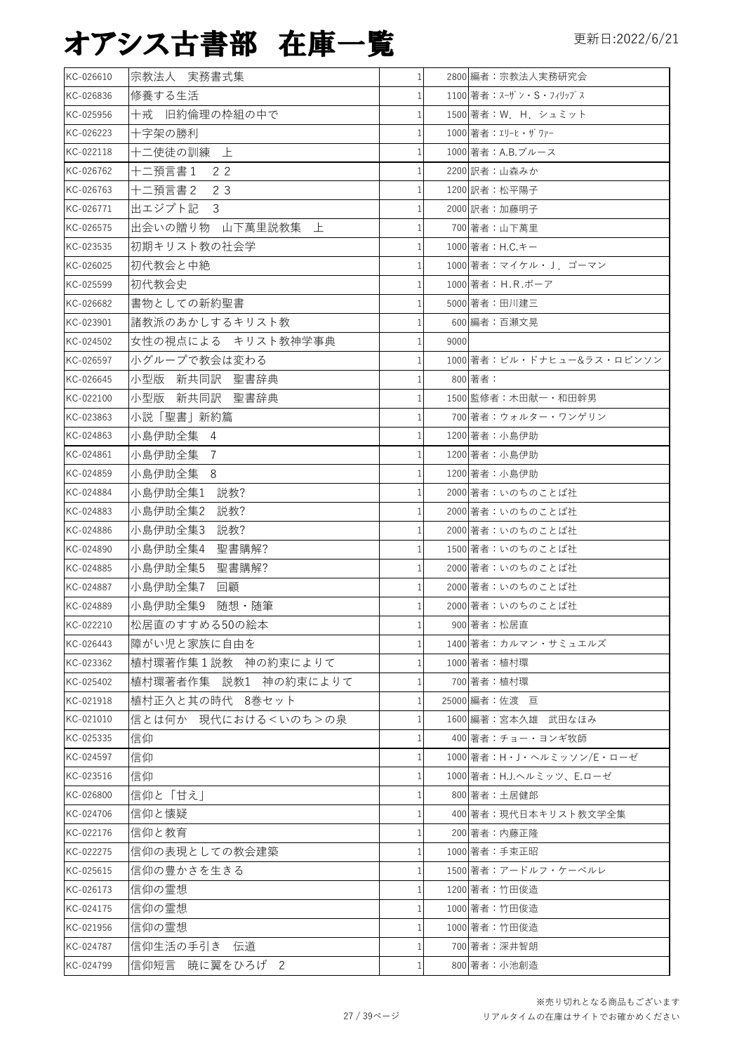| KC-026610 | 宗教法人 実務書式集               | 1 <sup>1</sup> |      | 2800 編者:宗教法人実務研究会         |
|-----------|--------------------------|----------------|------|---------------------------|
| KC-026836 | 修養する生活                   | $\mathbf{1}$   |      | 1100 著者:スーザン・S・フィリップス     |
| KC-025956 | 十戒 旧約倫理の枠組の中で            | 1              |      | 1500 著者: W. H. シュミット      |
| KC-026223 | 十字架の勝利                   | $\mathbf{1}$   |      | 1000 著者: エリーヒ・ザワァー        |
| KC-022118 | 十二使徒の訓練<br>上             | 1              |      | 1000 著者:A.B.ブルース          |
| KC-026762 | 2 <sub>2</sub><br>十二預言書1 | 1              |      | 2200 訳者:山森みか              |
| KC-026763 | 十二預言書2<br>23             | 1              |      | 1200 訳者:松平陽子              |
| KC-026771 | 出エジプト記<br>3              | $\mathbf{1}$   |      | 2000 訳者:加藤明子              |
| KC-026575 | 出会いの贈り物 山下萬里説教集 上        | $\mathbf{1}$   |      | 700 著者:山下萬里               |
| KC-023535 | 初期キリスト教の社会学              | 1 <sup>1</sup> |      | 1000 著者: H.C.キー           |
| KC-026025 | 初代教会と中絶                  | 1              |      | 1000 著者:マイケル・J. ゴーマン      |
| KC-025599 | 初代教会史                    | $\mathbf{1}$   |      | 1000 著者: H.R.ボーア          |
| KC-026682 | 書物としての新約聖書               | 1              |      | 5000 著者:田川建三              |
| KC-023901 | 諸教派のあかしするキリスト教           | 1              |      | 600 編者:百瀬文晃               |
| KC-024502 | 女性の視点による キリスト教神学事典       | $\mathbf{1}$   | 9000 |                           |
| KC-026597 | 小グループで教会は変わる             | $\mathbf{1}$   |      | 1000 著者:ビル・ドナヒュー&ラス・ロビンソン |
| KC-026645 | 小型版 新共同訳 聖書辞典            | 1              |      | 800 著者:                   |
| KC-022100 | 小型版 新共同訳 聖書辞典            | $\mathbf{1}$   |      | 1500 監修者: 木田献一・和田幹男       |
| KC-023863 | 小説「聖書」新約篇                | $\mathbf{1}$   |      | 700 著者:ウォルター・ワンゲリン        |
| KC-024863 | 小島伊助全集 4                 | 1              |      | 1200 著者:小島伊助              |
| KC-024861 | 小島伊助全集<br>- 7            | 1              |      | 1200 著者:小島伊助              |
| KC-024859 | 小島伊助全集 8                 | 1              |      | 1200 著者:小島伊助              |
| KC-024884 | 小島伊助全集1<br>説教?           | 1              |      | 2000 著者:いのちのことば社          |
| KC-024883 | 小島伊助全集2<br>説教?           | 1              |      | 2000 著者:いのちのことば社          |
| KC-024886 | 小島伊助全集3<br>説教?           | $\mathbf{1}$   |      | 2000 著者:いのちのことば社          |
| KC-024890 | 小島伊助全集4<br>聖書購解?         | $\mathbf{1}$   |      | 1500 著者:いのちのことば社          |
| KC-024885 | 小島伊助全集5<br>聖書購解?         | 1              |      | 2000 著者:いのちのことば社          |
| KC-024887 | 小島伊助全集7<br>回顧            | 1              |      | 2000 著者:いのちのことば社          |
| KC-024889 | 小島伊助全集9 随想·随筆            | $\mathbf{1}$   |      | 2000 著者:いのちのことば社          |
| KC-022210 | 松居直のすすめる50の絵本            | 1 <sup>1</sup> |      | 900 著者:松居直                |
| KC-026443 | 障がい児と家族に自由を              | 1 <sup>1</sup> |      | 1400 著者:カルマン・サミュエルズ       |
| KC-023362 | 植村環著作集1説教 神の約束によりて       | 1              |      | 1000 著者:植村環               |
| KC-025402 | 植村環著者作集 説教1 神の約束によりて     | $\mathbf{1}$   |      | 700 著者:植村環                |
| KC-021918 | 植村正久と其の時代 8巻セット          | $\mathbf{1}$   |      | 25000 編者:佐渡 亘             |
| KC-021010 | 信とは何か 現代における<いのち>の泉      | $\mathbf{1}$   |      | 1600 編著:宮本久雄 武田なほみ        |
| KC-025335 | 信仰                       | $\mathbf{1}$   |      | 400 著者:チョー・ヨンギ牧師          |
| KC-024597 | 信仰                       | $\mathbf{1}$   |      | 1000 著者:H・J・ヘルミッソン/E・ローゼ  |
| KC-023516 | 信仰                       | 1              |      | 1000 著者: H.J.へルミッツ、E.ローゼ  |
| KC-026800 | 信仰と「甘え」                  | 1              |      | 800 著者:土居健郎               |
| KC-024706 | 信仰と懐疑                    | 1              |      | 400 著者:現代日本キリスト教文学全集      |
| KC-022176 | 信仰と教育                    | 1              |      | 200 著者:内藤正隆               |
| KC-022275 | 信仰の表現としての教会建築            | 1              |      | 1000 著者:手束正昭              |
| KC-025615 | 信仰の豊かさを生きる               | 1              |      | 1500 著者:アードルフ・ケーベルレ       |
| KC-026173 | 信仰の霊想                    | 1              |      | 1200 著者:竹田俊造              |
| KC-024175 | 信仰の霊想                    | 1              |      | 1000 著者:竹田俊造              |
| KC-021956 | 信仰の霊想                    | $\mathbf{1}$   |      | 1000 著者:竹田俊造              |
| KC-024787 | 信仰生活の手引き 伝道              | 1              |      | 700 著者:深井智朗               |
| KC-024799 | 信仰短言 暁に翼をひろげ 2           | 1 <sup>1</sup> |      | 800 著者:小池創造               |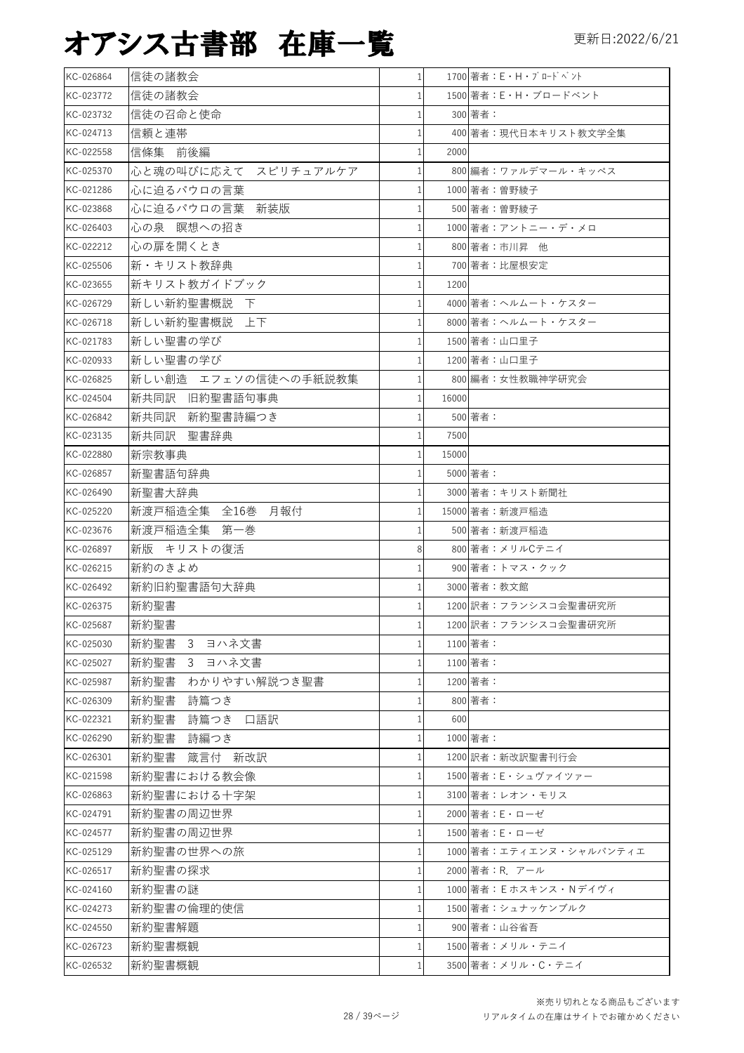| KC-026864 | 信徒の諸教会               | 1 <sup>1</sup> |       | 1700 著者: E · H · ブロードベント |
|-----------|----------------------|----------------|-------|--------------------------|
| KC-023772 | 信徒の諸教会               |                |       | 1500 著者: E · H · ブロードベント |
| KC-023732 | 信徒の召命と使命             | 1              |       | 300 著者:                  |
| KC-024713 | 信頼と連帯                |                |       | 400 著者:現代日本キリスト教文学全集     |
| KC-022558 | 信條集 前後編              |                | 2000  |                          |
| KC-025370 | 心と魂の叫びに応えて スピリチュアルケア |                |       | 800 編者:ワァルデマール・キッペス      |
| KC-021286 | 心に迫るパウロの言葉           | 1              |       | 1000 著者:曽野綾子             |
| KC-023868 | 心に迫るパウロの言葉<br>新装版    |                |       | 500 著者:曽野綾子              |
| KC-026403 | 心の泉 瞑想への招き           |                |       | 1000 著者:アントニー・デ・メロ       |
| KC-022212 | 心の扉を開くとき             |                |       | 800 著者:市川昇 他             |
| KC-025506 | 新・キリスト教辞典            |                |       | 700 著者:比屋根安定             |
| KC-023655 | 新キリスト教ガイドブック         | 1              | 1200  |                          |
| KC-026729 | 新しい新約聖書概説 <br>下      | 1              |       | 4000 著者:ヘルムート・ケスター       |
| KC-026718 | 新しい新約聖書概説<br>上下      |                |       | 8000 著者:ヘルムート・ケスター       |
| KC-021783 | 新しい聖書の学び             | 1              |       | 1500 著者:山口里子             |
| KC-020933 | 新しい聖書の学び             |                |       | 1200 著者:山口里子             |
| KC-026825 | 新しい創造 エフェソの信徒への手紙説教集 |                |       | 800 編者:女性教職神学研究会         |
| KC-024504 | 新共同訳 旧約聖書語句事典        | 1              | 16000 |                          |
| KC-026842 | 新共同訳 新約聖書詩編つき        |                |       | 500 著者:                  |
| KC-023135 | 新共同訳 聖書辞典            |                | 7500  |                          |
| KC-022880 | 新宗教事典                |                | 15000 |                          |
| KC-026857 | 新聖書語句辞典              | 1              |       | 5000 著者:                 |
| KC-026490 | 新聖書大辞典               |                |       | 3000 著者: キリスト新聞社         |
| KC-025220 | 新渡戸稲造全集 全16巻 月報付     | 1              |       | 15000 著者:新渡戸稲造           |
| KC-023676 | 新渡戸稲造全集 第一巻          |                |       | 500 著者:新渡戸稲造             |
| KC-026897 | 新版 キリストの復活           | 8              |       | 800 著者:メリルCテニイ           |
| KC-026215 | 新約のきよめ               |                |       | 900 著者:トマス・クック           |
| KC-026492 | 新約旧約聖書語句大辞典          | 1              |       | 3000 著者: 教文館             |
| KC-026375 | 新約聖書                 | 1              |       | 1200 訳者:フランシスコ会聖書研究所     |
| KC-025687 | 新約聖書                 | $\mathbf{1}$   |       | 1200 訳者:フランシスコ会聖書研究所     |
| KC-025030 | 新約聖書<br>3 ヨハネ文書      | 1              |       | 1100 著者:                 |
| KC-025027 | 新約聖書<br>3 ヨハネ文書      | 1              |       | 1100 著者:                 |
| KC-025987 | 新約聖書<br>わかりやすい解説つき聖書 | 1              |       | 1200 著者:                 |
| KC-026309 | 新約聖書<br>詩篇つき         | 1              |       | 800 著者:                  |
| KC-022321 | 新約聖書<br>詩篇つき<br>口語訳  | 1              | 600   |                          |
| KC-026290 | 新約聖書<br>詩編つき         | $\mathbf{1}$   |       | 1000 著者:                 |
| KC-026301 | 新約聖書<br>箴言付 新改訳      | 1              |       | 1200 訳者:新改訳聖書刊行会         |
| KC-021598 | 新約聖書における教会像          | $\mathbf{1}$   |       | 1500 著者:E・シュヴァイツァー       |
| KC-026863 | 新約聖書における十字架          | 1              |       | 3100 著者:レオン・モリス          |
| KC-024791 | 新約聖書の周辺世界            | $\mathbf{1}$   |       | 2000 著者: E · ローゼ         |
| KC-024577 | 新約聖書の周辺世界            | 1              |       | 1500 著者: E・ローゼ           |
| KC-025129 | 新約聖書の世界への旅           | $\mathbf{1}$   |       | 1000 著者:エティエンヌ・シャルパンティエ  |
| KC-026517 | 新約聖書の探求              | 1              |       | 2000 著者: R. アール          |
| KC-024160 | 新約聖書の謎               | $\mathbf{1}$   |       | 1000 著者:Eホスキンス・Nデイヴィ     |
| KC-024273 | 新約聖書の倫理的使信           | 1              |       | 1500 著者:シュナッケンブルク        |
| KC-024550 | 新約聖書解題               | 1              |       | 900 著者:山谷省吾              |
| KC-026723 | 新約聖書概観               | 1              |       | 1500 著者:メリル・テニイ          |
| KC-026532 | 新約聖書概観               | 1              |       | 3500 著者:メリル・C・テニイ        |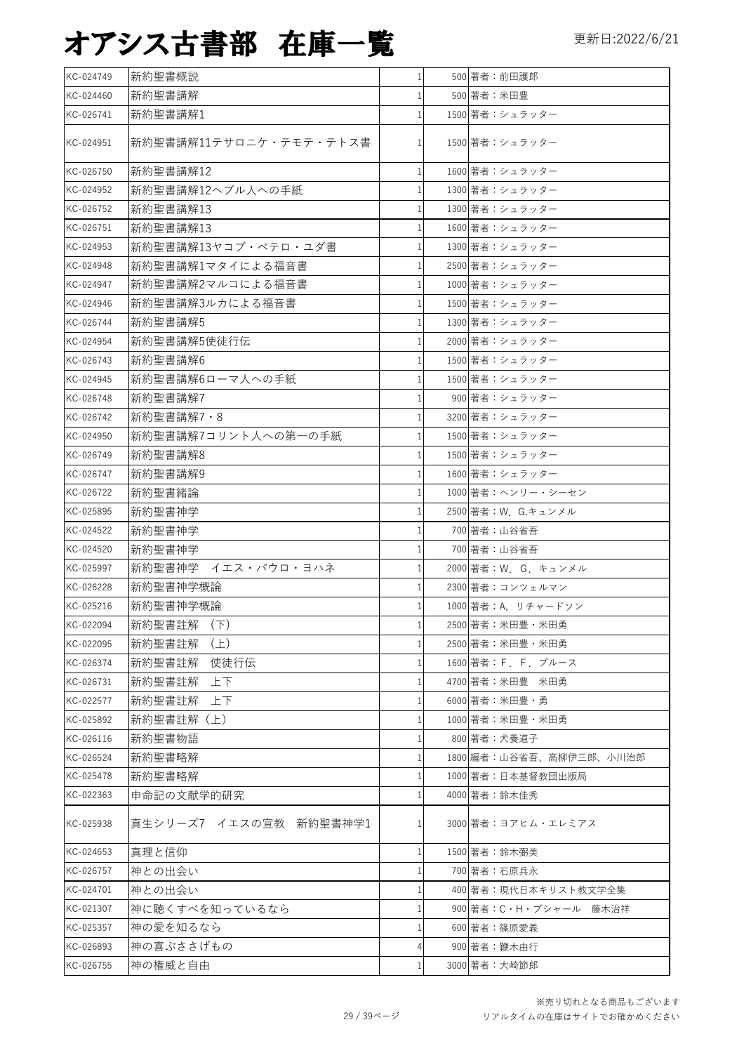| KC-024749 | 新約聖書概説                 | $\mathbf{1}$ | 500 著者:前田護郎             |
|-----------|------------------------|--------------|-------------------------|
| KC-024460 | 新約聖書講解                 |              | 500 著者:米田豊              |
| KC-026741 | 新約聖書講解1                |              | 1500 著者:シュラッター          |
| KC-024951 | 新約聖書講解11テサロニケ・テモテ・テトス書 | 1            | 1500 著者:シュラッター          |
| KC-026750 | 新約聖書講解12               | 1            | 1600 著者:シュラッター          |
| KC-024952 | 新約聖書講解12ヘブル人への手紙       | 1            | 1300 著者:シュラッター          |
| KC-026752 | 新約聖書講解13               | 1            | 1300 著者:シュラッター          |
| KC-026751 | 新約聖書講解13               | 1            | 1600 著者:シュラッター          |
| KC-024953 | 新約聖書講解13ヤコブ・ペテロ・ユダ書    | 1            | 1300 著者:シュラッター          |
| KC-024948 | 新約聖書講解1マタイによる福音書       | 1            | 2500 著者:シュラッター          |
| KC-024947 | 新約聖書講解2マルコによる福音書       | 1            | 1000 著者:シュラッター          |
| KC-024946 | 新約聖書講解3ルカによる福音書        | 1            | 1500 著者:シュラッター          |
| KC-026744 | 新約聖書講解5                | 1            | 1300 著者:シュラッター          |
| KC-024954 | 新約聖書講解5使徒行伝            | 1            | 2000 著者:シュラッター          |
| KC-026743 | 新約聖書講解6                | 1            | 1500 著者:シュラッター          |
| KC-024945 | 新約聖書講解6ローマ人への手紙        | $\mathbf{1}$ | 1500 著者:シュラッター          |
| KC-026748 | 新約聖書講解7                | 1            | 900 著者:シュラッター           |
| KC-026742 | 新約聖書講解7·8              | 1            | 3200 著者:シュラッター          |
| KC-024950 | 新約聖書講解7コリント人への第一の手紙    | 1            | 1500 著者:シュラッター          |
| KC-026749 | 新約聖書講解8                | 1            | 1500 著者:シュラッター          |
| KC-026747 | 新約聖書講解9                | $\mathbf{1}$ | 1600 著者:シュラッター          |
| KC-026722 | 新約聖書緒論                 | 1            | 1000 著者:ヘンリー・シーセン       |
| KC-025895 | 新約聖書神学                 | 1            | 2500 著者: W. G.キュンメル     |
| KC-024522 | 新約聖書神学                 |              | 700 著者:山谷省吾             |
| KC-024520 | 新約聖書神学                 |              | 700 著者:山谷省吾             |
| KC-025997 | 新約聖書神学 イエス・パウロ・ヨハネ     | 1            | 2000 著者: W. G. キュンメル    |
| KC-026228 | 新約聖書神学概論               | $\mathbf{1}$ | 2300 著者:コンツェルマン         |
| KC-025216 | 新約聖書神学概論               |              | 1000 著者: A, リチャードソン     |
| KC-022094 | 新約聖書註解 (下)             | 1            | 2500 著者:米田豊・米田勇         |
| KC-022095 | 新約聖書註解 (上)             |              | 2500 著者:米田豊・米田勇         |
| KC-026374 | 新約聖書註解<br>使徒行伝         |              | 1600 著者: F F ブルース       |
| KC-026731 | 新約聖書註解<br>上下           |              | 4700 著者:米田豊 米田勇         |
| KC-022577 | 新約聖書註解<br>上下           |              | 6000 著者:米田豊・勇           |
| KC-025892 | 新約聖書註解(上)              | 1            | 1000 著者:米田豊・米田勇         |
| KC-026116 | 新約聖書物語                 | 1            | 800 著者:犬養道子             |
| KC-026524 | 新約聖書略解                 | 1            | 1800 編者:山谷省吾、高柳伊三郎、小川治郎 |
| KC-025478 | 新約聖書略解                 | 1            | 1000 著者:日本基督教団出版局       |
| KC-022363 | 申命記の文献学的研究             |              | 4000 著者:鈴木佳秀            |
| KC-025938 | 真生シリーズ7 イエスの宣教 新約聖書神学1 | 1            | 3000 著者:ヨアヒム・エレミアス      |
| KC-024653 | 真理と信仰                  | 1            | 1500 著者:鈴木弼美            |
| KC-026757 | 神との出会い                 |              | 700 著者:石原兵永             |
| KC-024701 | 神との出会い                 | 1            | 400 著者:現代日本キリスト教文学全集    |
| KC-021307 | 神に聴くすべを知っているなら         |              | 900 著者:C・H・ブシャール 藤木治祥   |
| KC-025357 | 神の愛を知るなら               | 1            | 600 著者:篠原愛義             |
| KC-026893 | 神の喜ぶささげもの              |              | 900 著者:鞭木由行             |
| KC-026755 | 神の権威と自由                | 1            | 3000 著者:大崎節郎            |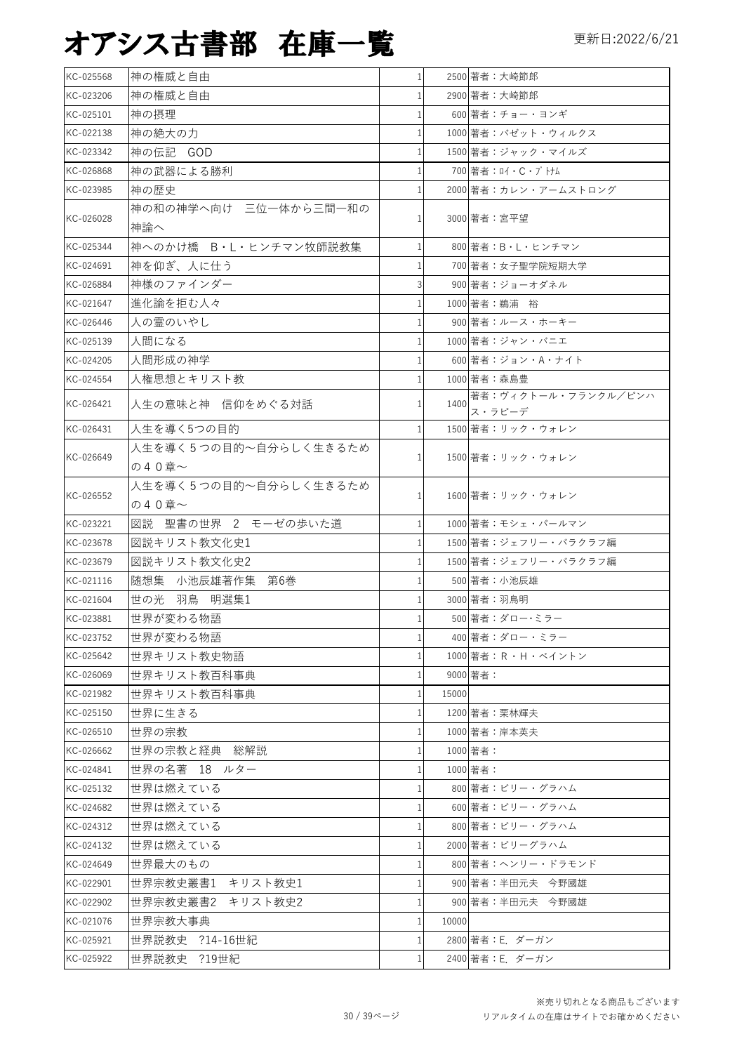| KC-025568 | 神の権威と自由                      | $\mathbf{1}$ |       | 2500 著者:大崎節郎           |
|-----------|------------------------------|--------------|-------|------------------------|
| KC-023206 | 神の権威と自由                      |              |       | 2900 著者:大崎節郎           |
| KC-025101 | 神の摂理                         |              |       | 600 著者:チョー・ヨンギ         |
| KC-022138 | 神の絶大の力                       | 1            |       | 1000 著者: パゼット・ウィルクス    |
| KC-023342 | 神の伝記 GOD                     |              |       | 1500 著者: ジャック・マイルズ     |
| KC-026868 | 神の武器による勝利                    |              |       | 700 著者: ロイ・C・ブトナム      |
| KC-023985 | 神の歴史                         |              |       | 2000 著者:カレン・アームストロング   |
| KC-026028 | 神の和の神学へ向け 三位一体から三間一和の<br>神論へ | 1            |       | 3000 著者:宮平望            |
| KC-025344 | 神へのかけ橋 B·L·ヒンチマン牧師説教集        | $\mathbf{1}$ |       | 800 著者: B · L · ヒンチマン  |
| KC-024691 | 神を仰ぎ、人に仕う                    |              |       | 700 著者:女子聖学院短期大学       |
| KC-026884 | 神様のファインダー                    |              |       | 900 著者:ジョーオダネル         |
| KC-021647 | 進化論を拒む人々                     |              |       | 1000 著者: 鵜浦 裕          |
| KC-026446 | 人の霊のいやし                      |              |       | 900 著者:ルース・ホーキー        |
| KC-025139 | 人間になる                        |              |       | 1000 著者:ジャン・バニエ        |
| KC-024205 | 人間形成の神学                      |              |       | 600 著者: ジョン・A・ナイト      |
| KC-024554 | 人権思想とキリスト教                   |              |       | 1000 著者: 森島豊           |
|           |                              |              |       | 著者:ヴィクトール・フランクル/ピンハ    |
| KC-026421 | 人生の意味と神 信仰をめぐる対話             | 1            | 1400  | ス・ラピーデ                 |
| KC-026431 | 人生を導く5つの目的                   | 1            |       | 1500 著者:リック・ウォレン       |
|           | 人生を導く5つの目的~自分らしく生きるため        |              |       |                        |
| KC-026649 | の40章~                        | $\mathbf{1}$ |       | 1500 著者:リック・ウォレン       |
|           | 人生を導く5つの目的~自分らしく生きるため        |              |       |                        |
| KC-026552 | の40章~                        | $\mathbf{1}$ |       | 1600 著者:リック・ウォレン       |
| KC-023221 | 図説 聖書の世界 2 モーゼの歩いた道          | 1            |       | 1000 著者:モシェ・パールマン      |
| KC-023678 | 図説キリスト教文化史1                  |              |       | 1500 著者:ジェフリー・バラクラフ編   |
| KC-023679 | 図説キリスト教文化史2                  |              |       | 1500 著者:ジェフリー・バラクラフ編   |
| KC-021116 | 随想集 小池辰雄著作集 第6巻              | 1            |       | 500 著者:小池辰雄            |
| KC-021604 | 世の光 羽鳥<br>明選集1               |              |       | 3000 著者:羽鳥明            |
| KC-023881 | 世界が変わる物語                     |              |       | 500 著者:ダロー・ミラー         |
| KC-023752 | 世界が変わる物語                     | $1\vert$     |       | 400 著者:ダロー・ミラー         |
| KC-025642 | 世界キリスト教史物語                   | 1            |       | 1000 著者: R · H · ベイントン |
| KC-026069 | 世界キリスト教百科事典                  | $\mathbf{1}$ |       | 9000 著者:               |
| KC-021982 | 世界キリスト教百科事典                  | 1            | 15000 |                        |
| KC-025150 | 世界に生きる                       | 1            |       | 1200 著者:栗林輝夫           |
| KC-026510 | 世界の宗教                        | 1            |       | 1000 著者:岸本英夫           |
| KC-026662 | 世界の宗教と経典 総解説                 | $\mathbf{1}$ |       | 1000 著者:               |
| KC-024841 | 世界の名著 18 ルター                 | $\mathbf{1}$ |       | 1000 著者:               |
| KC-025132 | 世界は燃えている                     | $\mathbf{1}$ |       | 800 著者:ビリー・グラハム        |
| KC-024682 | 世界は燃えている                     | 1            |       | 600 著者:ビリー・グラハム        |
| KC-024312 | 世界は燃えている                     | 1            |       | 800 著者:ビリー・グラハム        |
| KC-024132 | 世界は燃えている                     | 1            |       | 2000 著者:ビリーグラハム        |
| KC-024649 | 世界最大のもの                      | 1            |       | 800 著者:ヘンリー・ドラモンド      |
| KC-022901 | 世界宗教史叢書1 キリスト教史1             | 1            |       | 900 著者:半田元夫 今野國雄       |
| KC-022902 | 世界宗教史叢書2 キリスト教史2             | 1            |       | 900 著者:半田元夫 今野國雄       |
| KC-021076 | 世界宗教大事典                      | $\mathbf{1}$ | 10000 |                        |
| KC-025921 | 世界説教史 ?14-16世紀               | 1            |       | 2800 著者: E. ダーガン       |
|           |                              |              |       |                        |
| KC-025922 | 世界説教史 ?19世紀                  | 1            |       | 2400 著者: E. ダーガン       |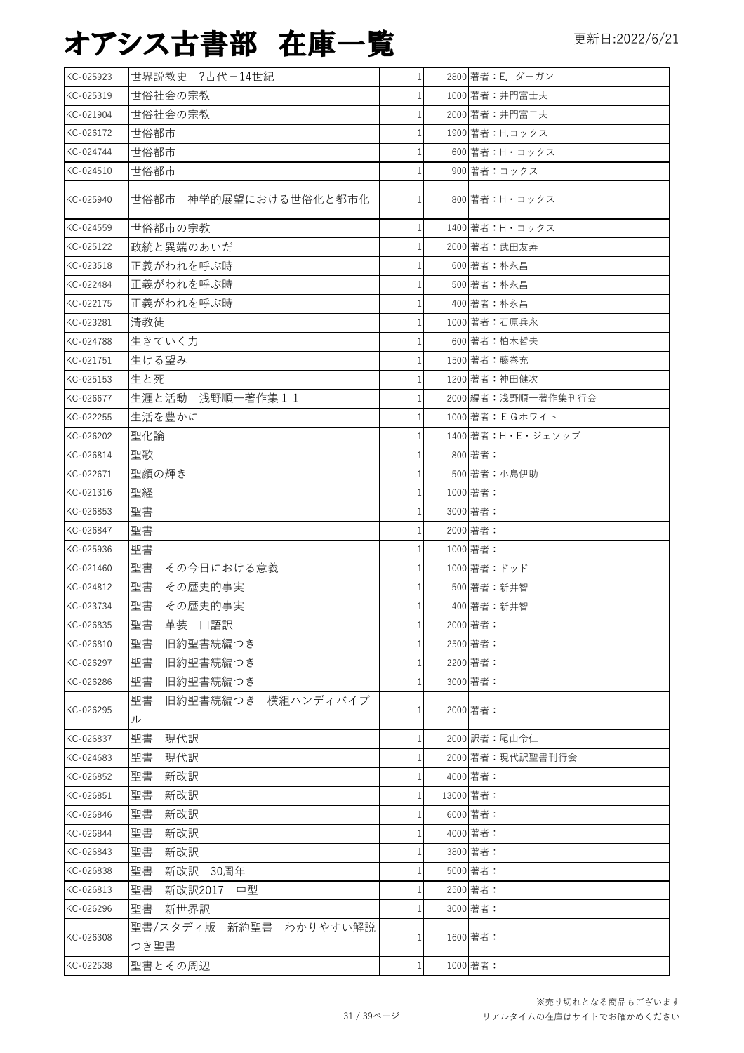| KC-025923 | 世界説教史 ?古代-14世紀                 | $\mathbf{1}$ |           | 2800 著者: E. ダーガン       |
|-----------|--------------------------------|--------------|-----------|------------------------|
| KC-025319 | 世俗社会の宗教                        | 1            |           | 1000 著者:井門富士夫          |
| KC-021904 | 世俗社会の宗教                        | 1            |           | 2000 著者:井門富二夫          |
| KC-026172 | 世俗都市                           | 1            |           | 1900 著者: H.コックス        |
| KC-024744 | 世俗都市                           | 1            |           | 600 著者:H·コックス          |
| KC-024510 | 世俗都市                           |              |           | 900 著者:コックス            |
| KC-025940 | 世俗都市 神学的展望における世俗化と都市化          | 1            |           | 800 著者:H・コックス          |
| KC-024559 | 世俗都市の宗教                        | 1            |           | 1400 著者:H・コックス         |
| KC-025122 | 政統と異端のあいだ                      |              |           | 2000 著者: 武田友寿          |
| KC-023518 | 正義がわれを呼ぶ時                      |              |           | 600 著者:朴永昌             |
| KC-022484 | 正義がわれを呼ぶ時                      |              |           | 500 著者:朴永昌             |
| KC-022175 | 正義がわれを呼ぶ時                      |              |           | 400 著者:朴永昌             |
| KC-023281 | 清教徒                            | 1            |           | 1000 著者:石原兵永           |
| KC-024788 | 生きていく力                         | 1            |           | 600 著者:柏木哲夫            |
| KC-021751 | 生ける望み                          | 1            |           | 1500 著者:藤巻充            |
| KC-025153 | 生と死                            |              |           | 1200 著者:神田健次           |
| KC-026677 | 生涯と活動 浅野順一著作集11                | 1            |           | 2000 編者: 浅野順一著作集刊行会    |
| KC-022255 | 生活を豊かに                         |              |           | 1000 著者: E G ホワイト      |
| KC-026202 | 聖化論                            |              |           | 1400 著者: H · E · ジェソップ |
| KC-026814 | 聖歌                             | 1            |           | 800 著者:                |
| KC-022671 | 聖顔の輝き                          | 1            |           | 500 著者:小島伊助            |
| KC-021316 | 聖経                             | 1            |           | 1000 著者:               |
| KC-026853 | 聖書                             |              |           | 3000 著者:               |
| KC-026847 | 聖書                             | 1            |           | 2000 著者:               |
| KC-025936 | 聖書                             | 1            |           | 1000 著者:               |
| KC-021460 | 聖書<br>その今日における意義               | 1            |           | 1000 著者:ドッド            |
| KC-024812 | 聖書<br>その歴史的事実                  | 1            |           | 500 著者: 新井智            |
| KC-023734 | 聖書<br>その歴史的事実                  |              |           | 400 著者: 新井智            |
| KC-026835 | 聖書<br>革装 口語訳                   |              |           | 2000 著者:               |
| KC-026810 | 聖書<br>旧約聖書続編つき                 |              |           | 2500 著者:               |
| KC-026297 | 聖書<br>旧約聖書続編つき                 |              |           | 2200 著者:               |
| KC-026286 | 聖書<br>旧約聖書続編つき                 |              |           | 3000 著者:               |
| KC-026295 | 聖書<br>旧約聖書続編つき 横組ハンディバイブ<br>ル  |              |           | 2000 著者:               |
| KC-026837 | 聖書<br>現代訳                      | 1            |           | 2000 訳者:尾山令仁           |
| KC-024683 | 聖書<br>現代訳                      |              |           | 2000 著者:現代訳聖書刊行会       |
| KC-026852 | 聖書<br>新改訳                      |              |           | 4000 著者:               |
| KC-026851 | 聖書<br>新改訳                      | 1            | 13000 著者: |                        |
| KC-026846 | 聖書<br>新改訳                      |              |           | 6000 著者:               |
| KC-026844 | 聖書<br>新改訳                      |              |           | 4000 著者:               |
| KC-026843 | 聖書<br>新改訳                      |              |           | 3800 著者:               |
| KC-026838 | 聖書<br>新改訳<br>30周年              |              |           | 5000 著者:               |
| KC-026813 | 聖書<br>新改訳2017<br>中型            |              |           | 2500 著者:               |
| KC-026296 | 聖書<br>新世界訳                     |              |           | 3000 著者:               |
| KC-026308 | 聖書/スタディ版 新約聖書 わかりやすい解説<br>つき聖書 |              |           | 1600 著者:               |
| KC-022538 | 聖書とその周辺                        | 1            |           | 1000 著者:               |
|           |                                |              |           |                        |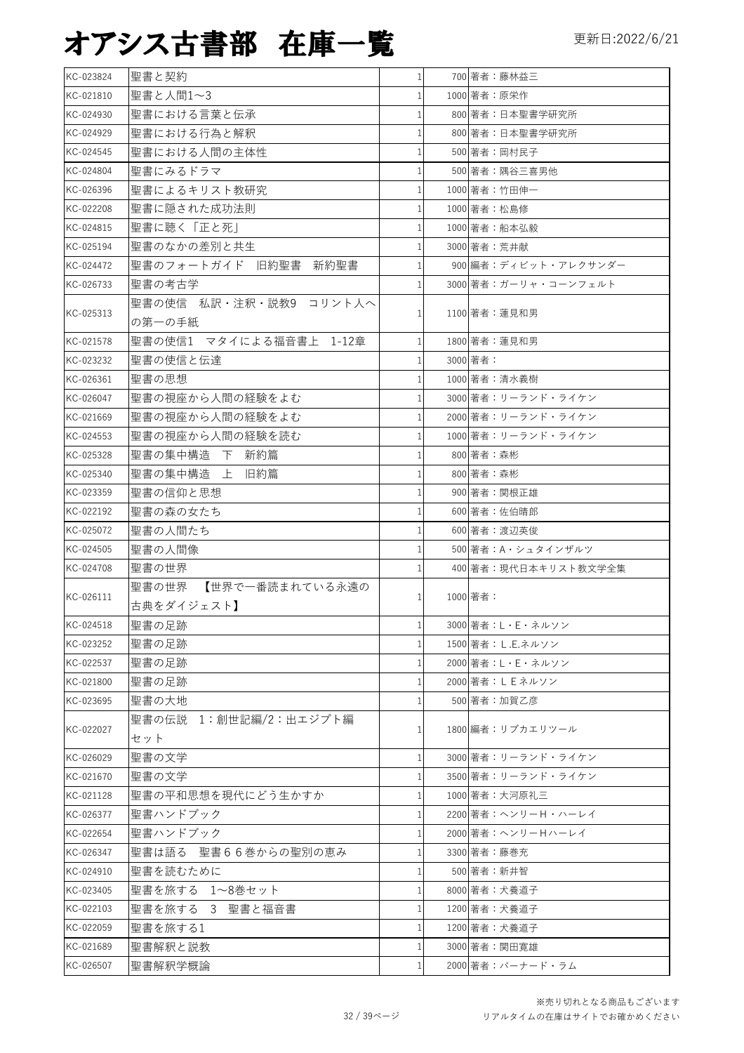| KC-023824 | 聖書と契約                   | $\mathbf{1}$ | 700 著者:藤林益三          |
|-----------|-------------------------|--------------|----------------------|
| KC-021810 | 聖書と人間1~3                |              | 1000 著者:原栄作          |
| KC-024930 | 聖書における言葉と伝承             |              | 800 著者:日本聖書学研究所      |
| KC-024929 | 聖書における行為と解釈             |              | 800 著者:日本聖書学研究所      |
| KC-024545 | 聖書における人間の主体性            |              | 500 著者:岡村民子          |
| KC-024804 | 聖書にみるドラマ                |              | 500 著者:隅谷三喜男他        |
| KC-026396 | 聖書によるキリスト教研究            |              | 1000 著者:竹田伸一         |
| KC-022208 | 聖書に隠された成功法則             |              | 1000 著者:松島修          |
| KC-024815 | 聖書に聴く「正と死               |              | 1000 著者:船本弘毅         |
| KC-025194 | 聖書のなかの差別と共生             |              | 3000 著者: 荒井献         |
| KC-024472 | 聖書のフォートガイド 旧約聖書 新約聖書    |              | 900 編者:ディビット・アレクサンダー |
| KC-026733 | 聖書の考古学                  |              | 3000 著者:ガーリャ・コーンフェルト |
|           | 聖書の使信 私訳・注釈・説教9 コリント人へ  |              |                      |
| KC-025313 | の第一の手紙                  | $1\vert$     | 1100 著者:蓮見和男         |
| KC-021578 | 聖書の使信1 マタイによる福音書上 1-12章 | $\mathbf{1}$ | 1800 著者: 蓮見和男        |
| KC-023232 | 聖書の使信と伝達                |              | 3000 著者:             |
| KC-026361 | 聖書の思想                   |              | 1000 著者:清水義樹         |
| KC-026047 | 聖書の視座から人間の経験をよむ         |              | 3000 著者:リーランド・ライケン   |
| KC-021669 | 聖書の視座から人間の経験をよむ         |              | 2000 著者:リーランド・ライケン   |
| KC-024553 | 聖書の視座から人間の経験を読む         |              | 1000 著者:リーランド・ライケン   |
| KC-025328 | 聖書の集中構造 下 新約篇           |              | 800 著者: 森彬           |
| KC-025340 | 聖書の集中構造 上 旧約篇           |              | 800 著者: 森彬           |
| KC-023359 | 聖書の信仰と思想                |              | 900 著者:関根正雄          |
| KC-022192 | 聖書の森の女たち                |              | 600 著者:佐伯晴郎          |
| KC-025072 | 聖書の人間たち                 |              | 600 著者:渡辺英俊          |
| KC-024505 | 聖書の人間像                  |              | 500 著者: A · シュタインザルツ |
| KC-024708 | 聖書の世界                   |              |                      |
|           | 【世界で一番読まれている永遠の         |              | 400 著者:現代日本キリスト教文学全集 |
| KC-026111 | 聖書の世界                   |              | 1000 著者:             |
|           | 古典をダイジェスト】              |              |                      |
| KC-024518 | 聖書の足跡                   | $\mathbf{1}$ | 3000 著者:L・E・ネルソン     |
| KC-023252 | 聖書の足跡                   |              | 1500 著者:L.E.ネルソン     |
| KC-022537 | 聖書の足跡                   |              | 2000 著者:L·E·ネルソン     |
| KC-021800 | 聖書の足跡                   |              | 2000 著者: L E ネルソン    |
| KC-023695 | 聖書の大地                   |              | 500 著者:加賀乙彦          |
| KC-022027 | 聖書の伝説 1:創世記編/2:出エジプト編   |              | 1800 編者:リブカエリツール     |
|           | セット                     |              |                      |
| KC-026029 | 聖書の文学                   |              | 3000 著者:リーランド・ライケン   |
| KC-021670 | 聖書の文学                   |              | 3500 著者:リーランド・ライケン   |
| KC-021128 | 聖書の平和思想を現代にどう生かすか       |              | 1000 著者:大河原礼三        |
| KC-026377 | 聖書ハンドブック                |              | 2200 著者:ヘンリーH・ハーレイ   |
| KC-022654 | 聖書ハンドブック                |              | 2000 著者:ヘンリーHハーレイ    |
| KC-026347 | 聖書は語る 聖書66巻からの聖別の恵み     |              | 3300 著者:藤巻充          |
| KC-024910 | 聖書を読むために                |              | 500 著者:新井智           |
| KC-023405 | 聖書を旅する 1~8巻セット          | $\mathbf{1}$ | 8000 著者:犬養道子         |
| KC-022103 | 聖書を旅する 3 聖書と福音書         |              | 1200 著者:犬養道子         |
| KC-022059 | 聖書を旅する1                 |              | 1200 著者:犬養道子         |
| KC-021689 | 聖書解釈と説教                 |              | 3000 著者:関田寛雄         |
| KC-026507 | 聖書解釈学概論                 |              | 2000 著者:バーナード・ラム     |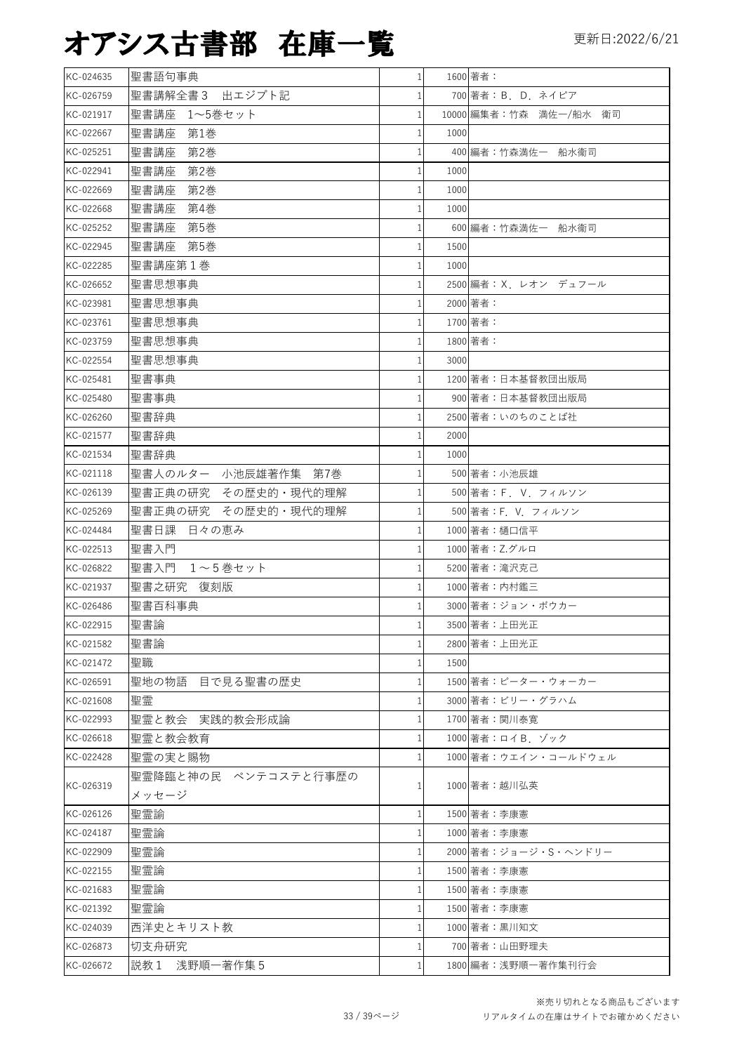| KC-024635 | 聖書語句事典               | $\mathbf{1}$ | 1600 著者:               |
|-----------|----------------------|--------------|------------------------|
| KC-026759 | 出エジプト記<br>聖書講解全書3    |              | 700 著者: B. D. ネイピア     |
| KC-021917 | 聖書講座<br>1~5巻セット      |              | 10000 編集者:竹森 満佐一/船水 衛司 |
| KC-022667 | 聖書講座<br>第1巻          | 1000<br>1    |                        |
| KC-025251 | 聖書講座<br>第2巻          |              | 400 編者:竹森満佐一 船水衞司      |
| KC-022941 | 聖書講座<br>第2巻          | 1000         |                        |
| KC-022669 | 聖書講座<br>第2巻          | 1000<br>1    |                        |
| KC-022668 | 聖書講座<br>第4巻          | 1000         |                        |
| KC-025252 | 聖書講座<br>第5巻          |              | 600 編者:竹森満佐一 船水衞司      |
| KC-022945 | 聖書講座 第5巻             | 1500         |                        |
| KC-022285 | 聖書講座第1巻              | 1000         |                        |
| KC-026652 | 聖書思想事典               |              | 2500 編者: X. レオン デュフール  |
| KC-023981 | 聖書思想事典               |              | 2000 著者:               |
| KC-023761 | 聖書思想事典               |              | 1700 著者:               |
| KC-023759 | 聖書思想事典               |              | 1800 著者:               |
| KC-022554 | 聖書思想事典               | 3000         |                        |
| KC-025481 | 聖書事典                 |              | 1200 著者:日本基督教団出版局      |
| KC-025480 | 聖書事典                 |              | 900 著者:日本基督教団出版局       |
| KC-026260 | 聖書辞典                 |              | 2500 著者:いのちのことば社       |
| KC-021577 | 聖書辞典                 | 2000         |                        |
| KC-021534 | 聖書辞典                 | 1000         |                        |
| KC-021118 | 聖書人のルター 小池辰雄著作集 第7巻  |              | 500 著者:小池辰雄            |
| KC-026139 | 聖書正典の研究 その歴史的・現代的理解  | 1            | 500 著者: F. V. フィルソン    |
| KC-025269 | 聖書正典の研究 その歴史的·現代的理解  |              | 500 著者:F. V. フィルソン     |
| KC-024484 | 聖書日課 日々の恵み           |              | 1000 著者:樋口信平           |
| KC-022513 | 聖書入門                 |              | 1000 著者: Z.グルロ         |
| KC-026822 | 聖書入門 1~5巻セット         |              | 5200 著者:滝沢克己           |
| KC-021937 | 聖書之研究 復刻版            |              | 1000 著者: 内村鑑三          |
| KC-026486 | 聖書百科事典               |              | 3000 著者:ジョン・ボウカー       |
| KC-022915 | 聖書論                  | $\mathbf{1}$ | 3500 著者:上田光正           |
| KC-021582 | 聖書論                  | 1            | 2800 著者:上田光正           |
| KC-021472 | 聖職                   | 1500         |                        |
| KC-026591 | 聖地の物語 目で見る聖書の歴史      | 1            | 1500 著者:ピーター・ウォーカー     |
| KC-021608 | 聖霊                   |              | 3000 著者:ビリー・グラハム       |
| KC-022993 | 聖霊と教会  実践的教会形成論      | 1            | 1700 著者:関川泰寛           |
| KC-026618 | 聖霊と教会教育              |              | 1000 著者: ロイB. ゾック      |
| KC-022428 | 聖霊の実と賜物              |              | 1000 著者:ウエイン・コールドウェル   |
|           | 聖霊降臨と神の民 ペンテコステと行事歴の |              |                        |
| KC-026319 | メッセージ                | 1            | 1000 著者:越川弘英           |
| KC-026126 | 聖霊諭                  |              | 1500 著者:李康憲            |
| KC-024187 | 聖霊論                  |              | 1000 著者:李康憲            |
| KC-022909 | 聖霊論                  |              | 2000 著者: ジョージ・S・ヘンドリー  |
| KC-022155 | 聖霊論                  |              | 1500 著者:李康憲            |
| KC-021683 | 聖霊論                  | 1            | 1500 著者:李康憲            |
| KC-021392 | 聖霊論                  |              | 1500 著者:李康憲            |
| KC-024039 | 西洋史とキリスト教            |              | 1000 著者:黒川知文           |
| KC-026873 | 切支舟研究                |              | 700 著者:山田野理夫           |
| KC-026672 | 説教 1 浅野順一著作集 5       | 1            | 1800 編者:浅野順一著作集刊行会     |
|           |                      |              |                        |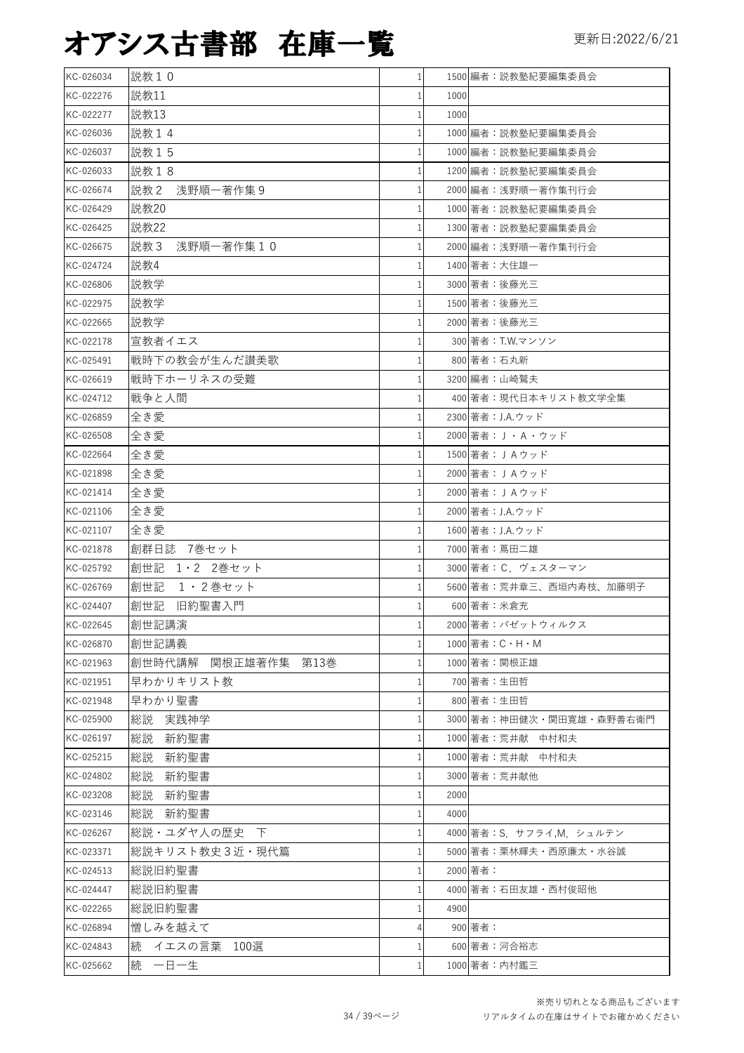| KC-026034 | 説教10                |   |      | 1500 編者:説教塾紀要編集委員会              |
|-----------|---------------------|---|------|---------------------------------|
| KC-022276 | 説教11                |   | 1000 |                                 |
| KC-022277 | 説教13                |   | 1000 |                                 |
| KC-026036 | 説教14                |   |      | 1000 編者:説教塾紀要編集委員会              |
| KC-026037 | 説教15                |   |      | 1000 編者:説教塾紀要編集委員会              |
| KC-026033 | 説教18                |   |      | 1200 編者:説教塾紀要編集委員会              |
| KC-026674 | 説教 2 浅野順一著作集 9      |   |      | 2000 編者:浅野順一著作集刊行会              |
| KC-026429 | 説教20                |   |      | 1000 著者:説教塾紀要編集委員会              |
| KC-026425 | 説教22                |   |      | 1300 著者:説教塾紀要編集委員会              |
| KC-026675 | 浅野順一著作集10<br>説教 3   |   |      | 2000 編者:浅野順一著作集刊行会              |
| KC-024724 | 説教4                 |   |      | 1400 著者:大住雄一                    |
| KC-026806 | 説教学                 |   |      | 3000 著者:後藤光三                    |
| KC-022975 | 説教学                 |   |      | 1500 著者:後藤光三                    |
| KC-022665 | 説教学                 |   |      | 2000 著者:後藤光三                    |
| KC-022178 | 宣教者イエス              |   |      | 300 著者: T.W.マンソン                |
| KC-025491 | 戦時下の教会が生んだ讃美歌       |   |      | 800 著者:石丸新                      |
| KC-026619 | 戦時下ホーリネスの受難         |   |      | 3200 編者:山崎鷲夫                    |
| KC-024712 | 戦争と人間               |   |      | 400 著者:現代日本キリスト教文学全集            |
| KC-026859 | 全き愛                 |   |      | 2300 著者: J.A.ウッド                |
| KC-026508 | 全き愛                 |   |      | 2000 著者: J · A · ウッド            |
| KC-022664 | 全き愛                 |   |      | 1500 著者: J A ウッド                |
| KC-021898 | 全き愛                 |   |      | 2000 著者: J A ウッド                |
| KC-021414 | 全き愛                 |   |      | 2000 著者: J A ウッド                |
| KC-021106 | 全き愛                 |   |      | 2000 著者: J.A.ウッド                |
| KC-021107 | 全き愛                 |   |      | 1600 著者: J.A.ウッド                |
| KC-021878 | 創群日誌 7巻セット          |   |      | 7000 著者:蔦田二雄                    |
| KC-025792 | 創世記 1・2 2巻セット       |   |      | 3000 著者: C. ヴェスターマン             |
| KC-026769 | 創世記<br>1 · 2巻セット    |   |      | 5600 著者:荒井章三、西垣内寿枝、加藤明子         |
| KC-024407 | 創世記<br>旧約聖書入門       |   |      | 600 著者:米倉充                      |
| KC-022645 | 創世記講演               |   |      | 2000 著者:パゼットウィルクス               |
| KC-026870 | 創世記講義               |   |      | $1000$  著者: $C \cdot H \cdot M$ |
| KC-021963 | 創世時代講解 関根正雄著作集 第13巻 |   |      | 1000 著者:関根正雄                    |
| KC-021951 | 早わかりキリスト教           |   |      | 700 著者:生田哲                      |
| KC-021948 | 早わかり聖書              |   |      | 800 著者:生田哲                      |
| KC-025900 | 総説<br>実践神学          |   |      | 3000 著者:神田健次・関田寛雄・森野善右衛門        |
| KC-026197 | 新約聖書<br>総説          |   |      | 1000 著者:荒井献 中村和夫                |
| KC-025215 | 総説<br>新約聖書          |   |      | 1000 著者:荒井献 中村和夫                |
| KC-024802 | 総説<br>新約聖書          |   |      | 3000 著者: 荒井献他                   |
| KC-023208 | 総説<br>新約聖書          |   | 2000 |                                 |
| KC-023146 | 総説 新約聖書             |   | 4000 |                                 |
| KC-026267 | 総説・ユダヤ人の歴史 下        |   |      | 4000 著者:S. サフライ,M. シュルテン        |
| KC-023371 | 総説キリスト教史3近・現代篇      |   |      | 5000 著者:栗林輝夫・西原廉太・水谷誠           |
| KC-024513 | 総説旧約聖書              |   |      | 2000 著者:                        |
| KC-024447 | 総説旧約聖書              |   |      | 4000 著者:石田友雄・西村俊昭他              |
| KC-022265 | 総説旧約聖書              |   | 4900 |                                 |
| KC-026894 | 憎しみを越えて             |   |      | 900 著者:                         |
| KC-024843 | 続 イエスの言葉 100選       |   |      | 600 著者:河合裕志                     |
| KC-025662 | 続 一日一生              | 1 |      | 1000 著者:内村鑑三                    |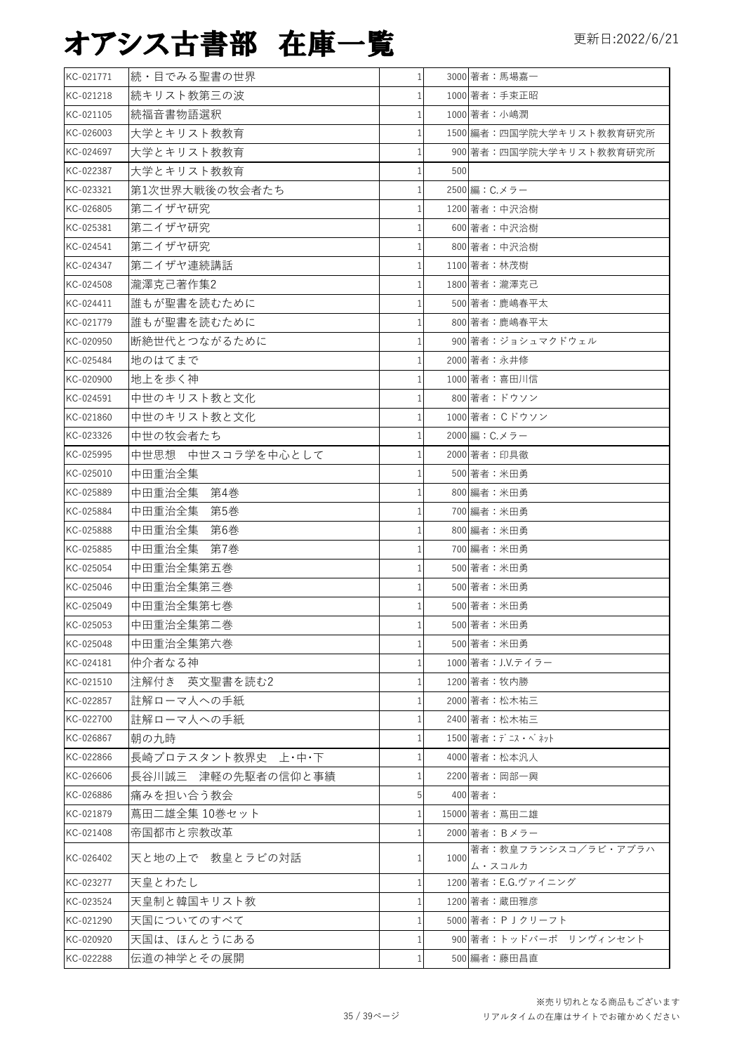| KC-021771 | 続・目でみる聖書の世界        | 1            | 3000 著者:馬場嘉一        |                          |
|-----------|--------------------|--------------|---------------------|--------------------------|
| KC-021218 | 続キリスト教第三の波         | 1            | 1000 著者:手束正昭        |                          |
| KC-021105 | 続福音書物語選釈           | 1            | 1000 著者:小嶋潤         |                          |
| KC-026003 | 大学とキリスト教教育         | 1            |                     | 1500 編者:四国学院大学キリスト教教育研究所 |
| KC-024697 | 大学とキリスト教教育         |              |                     | 900 著者:四国学院大学キリスト教教育研究所  |
| KC-022387 | 大学とキリスト教教育         | 1            | 500                 |                          |
| KC-023321 | 第1次世界大戦後の牧会者たち     |              | 2500 編: C.メラー       |                          |
| KC-026805 | 第二イザヤ研究            | 1            | 1200 著者:中沢洽樹        |                          |
| KC-025381 | 第二イザヤ研究            |              | 600 著者:中沢洽樹         |                          |
| KC-024541 | 第二イザヤ研究            |              | 800 著者:中沢洽樹         |                          |
| KC-024347 | 第二イザヤ連続講話          | 1            | 1100 著者:林茂樹         |                          |
| KC-024508 | 瀧澤克己著作集2           | 1            | 1800 著者:瀧澤克己        |                          |
| KC-024411 | 誰もが聖書を読むために        |              | 500 著者:鹿嶋春平太        |                          |
| KC-021779 | 誰もが聖書を読むために        |              | 800 著者:鹿嶋春平太        |                          |
| KC-020950 | 断絶世代とつながるために       | 1            | 900 著者:ジョシュマクドウェル   |                          |
| KC-025484 | 地のはてまで             | 1            | 2000 著者:永井修         |                          |
| KC-020900 | 地上を歩く神             | 1            | 1000 著者: 喜田川信       |                          |
| KC-024591 | 中世のキリスト教と文化        |              | 800 著者:ドウソン         |                          |
| KC-021860 | 中世のキリスト教と文化        | 1            | 1000 著者: Cドウソン      |                          |
| KC-023326 | 中世の牧会者たち           |              | 2000 編: C.メラー       |                          |
| KC-025995 | 中世思想 中世スコラ学を中心として  | $\mathbf{1}$ | 2000 著者: 印具徹        |                          |
| KC-025010 | 中田重治全集             | 1            | 500 著者:米田勇          |                          |
| KC-025889 | 中田重治全集<br>第4巻      | 1            | 800 編者:米田勇          |                          |
| KC-025884 | 中田重治全集<br>第5巻      | 1            | 700 編者:米田勇          |                          |
| KC-025888 | 中田重治全集<br>第6巻      | 1            | 800 編者:米田勇          |                          |
| KC-025885 | 中田重治全集<br>第7巻      | 1            | 700 編者:米田勇          |                          |
| KC-025054 | 中田重治全集第五巻          | 1            | 500 著者:米田勇          |                          |
| KC-025046 | 中田重治全集第三巻          | 1            | 500 著者:米田勇          |                          |
| KC-025049 | 中田重治全集第七巻          |              | 500 著者:米田勇          |                          |
| KC-025053 | 中田重治全集第二巻          | 1            | 500 著者:米田勇          |                          |
| KC-025048 | 中田重治全集第六巻          | 1            | 500 著者:米田勇          |                          |
| KC-024181 | 仲介者なる神             |              | 1000 著者: J.V.テイラー   |                          |
| KC-021510 | 注解付き 英文聖書を読む2      | 1            | 1200 著者:牧内勝         |                          |
| KC-022857 | 註解ローマ人への手紙         |              | 2000 著者:松木祐三        |                          |
| KC-022700 | 註解ローマ人への手紙         |              | 2400 著者:松木祐三        |                          |
| KC-026867 | 朝の九時               | 1            | 1500 著者:デニス・ベネット    |                          |
| KC-022866 | 長崎プロテスタント教界史 上・中・下 | 1            | 4000 著者:松本汎人        |                          |
| KC-026606 | 長谷川誠三 津軽の先駆者の信仰と事績 |              | 2200 著者:岡部一興        |                          |
| KC-026886 | 痛みを担い合う教会          | 5            | 400 著者:             |                          |
| KC-021879 | 蔦田二雄全集 10巻セット      | 1            | 15000 著者: 蔦田二雄      |                          |
| KC-021408 | 帝国都市と宗教改革          | 1            | 2000 著者: Bメラー       |                          |
| KC-026402 | 天と地の上で 教皇とラビの対話    | 1            | 1000<br>ム・スコルカ      | 著者:教皇フランシスコ/ラビ・アブラハ      |
| KC-023277 | 天皇とわたし             | 1            | 1200 著者: E.G.ヴァイニング |                          |
| KC-023524 | 天皇制と韓国キリスト教        | 1            | 1200 著者:蔵田雅彦        |                          |
| KC-021290 | 天国についてのすべて         | 1            | 5000 著者: P J クリーフト  |                          |
| KC-020920 | 天国は、ほんとうにある        | 1            |                     | 900 著者:トッドバーポ リンヴィンセント   |
| KC-022288 | 伝道の神学とその展開         | 1            | 500 編者:藤田昌直         |                          |
|           |                    |              |                     |                          |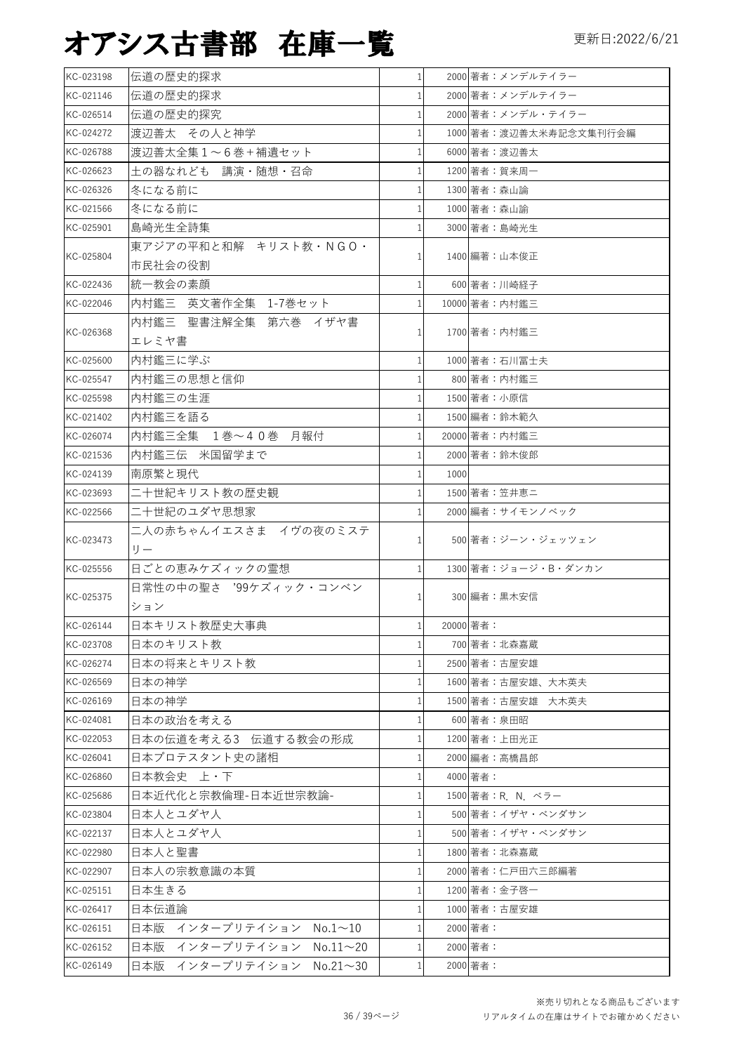| KC-023198 | 伝道の歴史的探求                              | 1 <sup>1</sup> |      | 2000 著者:メンデルテイラー       |
|-----------|---------------------------------------|----------------|------|------------------------|
| KC-021146 | 伝道の歴史的探求                              |                |      | 2000 著者:メンデルテイラー       |
| KC-026514 | 伝道の歴史的探究                              |                |      | 2000 著者:メンデル・テイラー      |
| KC-024272 | 渡辺善太 その人と神学                           |                |      | 1000 著者:渡辺善太米寿記念文集刊行会編 |
| KC-026788 | 渡辺善太全集1~6巻+補遺セット                      |                |      | 6000 著者:渡辺善太           |
| KC-026623 | 土の器なれども 講演・随想・召命                      |                |      | 1200 著者:賀来周一           |
| KC-026326 | 冬になる前に                                | 1              |      | 1300 著者: 森山論           |
| KC-021566 | 冬になる前に                                |                |      | 1000 著者:森山諭            |
| KC-025901 | 島崎光生全詩集                               |                |      | 3000 著者:島崎光生           |
|           | 東アジアの平和と和解 キリスト教·NGO·                 |                |      |                        |
| KC-025804 | 市民社会の役割                               |                |      | 1400 編著:山本俊正           |
| KC-022436 | 統一教会の素顔                               | $\mathbf{1}$   |      | 600 著者:川崎経子            |
| KC-022046 | 内村鑑三 英文著作全集 1-7巻セット                   |                |      | 10000 著者: 内村鑑三         |
|           | 内村鑑三 聖書注解全集 第六巻 イザヤ書                  |                |      |                        |
| KC-026368 | エレミヤ書                                 |                |      | 1700 著者:内村鑑三           |
| KC-025600 | 内村鑑三に学ぶ                               | $\mathbf{1}$   |      | 1000 著者:石川冨士夫          |
| KC-025547 | 内村鑑三の思想と信仰                            |                |      | 800 著者:内村鑑三            |
| KC-025598 | 内村鑑三の生涯                               |                |      | 1500 著者:小原信            |
| KC-021402 | 内村鑑三を語る                               | $\mathbf{1}$   |      | 1500 編者:鈴木範久           |
| KC-026074 | 内村鑑三全集 1巻~40巻 月報付                     |                |      | 20000 著者: 内村鑑三         |
| KC-021536 | 内村鑑三伝 米国留学まで                          | $\mathbf{1}$   |      | 2000 著者:鈴木俊郎           |
| KC-024139 | 南原繁と現代                                | 1              | 1000 |                        |
| KC-023693 | 二十世紀キリスト教の歴史観                         | $\mathbf{1}$   |      | 1500 著者:笠井恵二           |
| KC-022566 | 二十世紀のユダヤ思想家                           |                |      | 2000 編者: サイモンノベック      |
|           | 二人の赤ちゃんイエスさま イヴの夜のミステ                 |                |      |                        |
| KC-023473 | $U -$                                 |                |      | 500 著者:ジーン・ジェッツェン      |
| KC-025556 | 日ごとの恵みケズィックの霊想                        |                |      | 1300 著者:ジョージ・B・ダンカン    |
|           | 日常性の中の聖さ '99ケズィック・コンベン                |                |      |                        |
| KC-025375 | ション                                   |                |      | 300 編者:黒木安信            |
| KC-026144 | 日本キリスト教歴史大事典                          | $\mathbf{1}$   |      | 20000 著者:              |
| KC-023708 | 日本のキリスト教                              |                |      | 700 著者:北森嘉蔵            |
| KC-026274 | 日本の将来とキリスト教                           | 1              |      | 2500 著者:古屋安雄           |
| KC-026569 | 日本の神学                                 |                |      | 1600 著者:古屋安雄、大木英夫      |
| KC-026169 | 日本の神学                                 | 1              |      | 1500 著者:古屋安雄 大木英夫      |
| KC-024081 | 日本の政治を考える                             |                |      | 600 著者:泉田昭             |
| KC-022053 | 日本の伝道を考える3 伝道する教会の形成                  |                |      | 1200 著者:上田光正           |
| KC-026041 | 日本プロテスタント史の諸相                         |                |      | 2000 編者:高橋昌郎           |
| KC-026860 | 日本教会史 上·下                             | 1              |      | 4000 著者:               |
| KC-025686 | 日本近代化と宗教倫理-日本近世宗教論-                   |                |      | 1500 著者:R. N. ベラー      |
| KC-023804 | 日本人とユダヤ人                              |                |      | 500 著者: イザヤ・ベンダサン      |
| KC-022137 | 日本人とユダヤ人                              |                |      | 500 著者: イザヤ・ベンダサン      |
| KC-022980 | 日本人と聖書                                |                |      | 1800 著者:北森嘉蔵           |
| KC-022907 | 日本人の宗教意識の本質                           | 1              |      | 2000 著者:仁戸田六三郎編著       |
| KC-025151 | 日本生きる                                 | $\mathbf{1}$   |      | 1200 著者:金子啓一           |
| KC-026417 | 日本伝道論                                 |                |      | 1000 著者:古屋安雄           |
| KC-026151 | 日本版 インタープリテイション No.1~10               |                |      | 2000 著者:               |
| KC-026152 | 日本版<br>インタープリテイション<br>$No.11 \sim 20$ | 1              |      | 2000 著者:               |
| KC-026149 | 日本版<br>インタープリテイション No.21~30           | 1              |      | 2000 著者:               |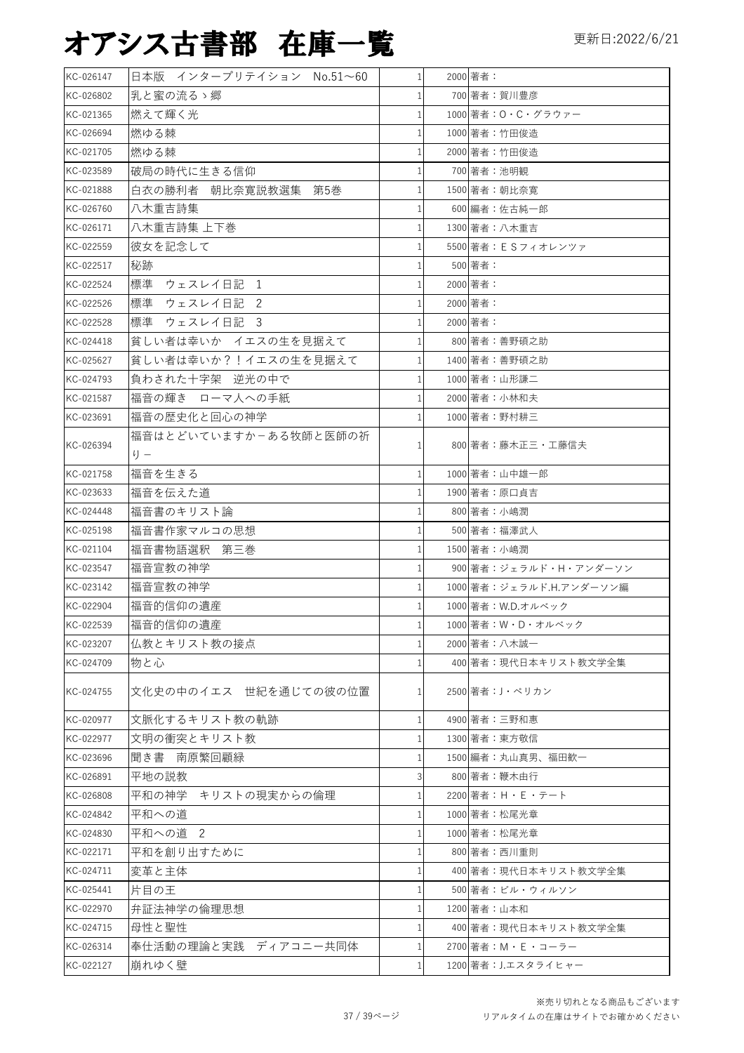| KC-026147 | 日本版 インタープリテイション No.51~60     | 1 <sup>1</sup> | 2000 著者:                |
|-----------|------------------------------|----------------|-------------------------|
| KC-026802 | 乳と蜜の流るゝ郷                     | $\mathbf{1}$   | 700 著者:賀川豊彦             |
| KC-021365 | 燃えて輝く光                       | 1              | 1000 著者: O · C · グラウァー  |
| KC-026694 | 燃ゆる棘                         | 1              | 1000 著者:竹田俊造            |
| KC-021705 | 燃ゆる棘                         | 1              | 2000 著者:竹田俊造            |
| KC-023589 | 破局の時代に生きる信仰                  | $\mathbf{1}$   | 700 著者:池明観              |
| KC-021888 | 白衣の勝利者 朝比奈寛説教選集 第5巻          | 1              | 1500 著者:朝比奈寛            |
| KC-026760 | 八木重吉詩集                       | 1              | 600 編者:佐古純一郎            |
| KC-026171 | 八木重吉詩集 上下巻                   | 1              | 1300 著者:八木重吉            |
| KC-022559 | 彼女を記念して                      | 1              | 5500 著者: E S フィオレンツァ    |
| KC-022517 | 秘跡                           | 1              | 500 著者:                 |
| KC-022524 | 標準<br>ウェスレイ日記 1              | $\mathbf{1}$   | 2000 著者:                |
| KC-022526 | 標準<br>ウェスレイ日記 2              | 1              | 2000 著者:                |
| KC-022528 | 標準 ウェスレイ日記<br>$\overline{3}$ | $\mathbf{1}$   | 2000 著者:                |
| KC-024418 | 貧しい者は幸いか イエスの生を見据えて          | $\mathbf{1}$   | 800 著者:善野碩之助            |
| KC-025627 | 貧しい者は幸いか?!イエスの生を見据えて         | 1 <sup>1</sup> | 1400 著者:善野碩之助           |
| KC-024793 | 負わされた十字架 逆光の中で               | $\mathbf{1}$   | 1000 著者:山形謙二            |
| KC-021587 | 福音の輝き ローマ人への手紙               | $\mathbf{1}$   | 2000 著者:小林和夫            |
| KC-023691 | 福音の歴史化と回心の神学                 | 1              | 1000 著者:野村耕三            |
| KC-026394 | 福音はとどいていますかーある牧師と医師の祈<br>り — | $\mathbf{1}$   | 800 著者:藤木正三・工藤信夫        |
| KC-021758 | 福音を生きる                       | $\mathbf{1}$   | 1000 著者:山中雄一郎           |
| KC-023633 | 福音を伝えた道                      | 1              | 1900 著者:原口貞吉            |
| KC-024448 | 福音書のキリスト論                    | 1              | 800 著者:小嶋潤              |
| KC-025198 | 福音書作家マルコの思想                  | 1              | 500 著者:福澤武人             |
| KC-021104 | 福音書物語選釈 第三巻                  | 1              | 1500 著者:小嶋潤             |
| KC-023547 | 福音宣教の神学                      | $\mathbf{1}$   | 900 著者:ジェラルド・H・アンダーソン   |
| KC-023142 | 福音宣教の神学                      | $\mathbf{1}$   | 1000 著者:ジェラルド.H.アンダーソン編 |
| KC-022904 | 福音的信仰の遺産                     | $\mathbf{1}$   | 1000 著者: W.D.オルベック      |
| KC-022539 | 福音的信仰の遺産                     | 1 <sup>1</sup> | 1000 著者:W・D・オルベック       |
| KC-023207 | 仏教とキリスト教の接点                  | 1              | 2000 著者:八木誠一            |
| KC-024709 | 物と心                          | 1              | 400 著者:現代日本キリスト教文学全集    |
| KC-024755 | 文化史の中のイエス 世紀を通じての彼の位置        | 1              | 2500 著者: J·ペリカン         |
| KC-020977 | 文脈化するキリスト教の軌跡                | $\mathbf{1}$   | 4900 著者:三野和惠            |
| KC-022977 | 文明の衝突とキリスト教                  | $\mathbf{1}$   | 1300 著者:東方敬信            |
| KC-023696 | 聞き書 南原繁回顧緑                   | $\mathbf{1}$   | 1500 編者: 丸山真男、福田歓一      |
| KC-026891 | 平地の説教                        | 3              | 800 著者:鞭木由行             |
| KC-026808 | 平和の神学 キリストの現実からの倫理           | $\mathbf{1}$   | 2200 著者: H · E · テート    |
| KC-024842 | 平和への道                        | 1              | 1000 著者:松尾光章            |
| KC-024830 | 平和への道 2                      | $\mathbf{1}$   | 1000 著者:松尾光章            |
| KC-022171 | 平和を創り出すために                   | 1              | 800 著者:西川重則             |
| KC-024711 | 変革と主体                        | 1              | 400 著者:現代日本キリスト教文学全集    |
| KC-025441 | 片目の王                         | 1              | 500 著者:ビル・ウィルソン         |
| KC-022970 | 弁証法神学の倫理思想                   | 1              | 1200 著者:山本和             |
| KC-024715 | 母性と聖性                        | 1              | 400 著者:現代日本キリスト教文学全集    |
| KC-026314 | 奉仕活動の理論と実践 ディアコニー共同体         | 1              | 2700 著者:M・E・コーラー        |
| KC-022127 | 崩れゆく壁                        | $\mathbf{1}$   | 1200 著者: J.エスタライヒャー     |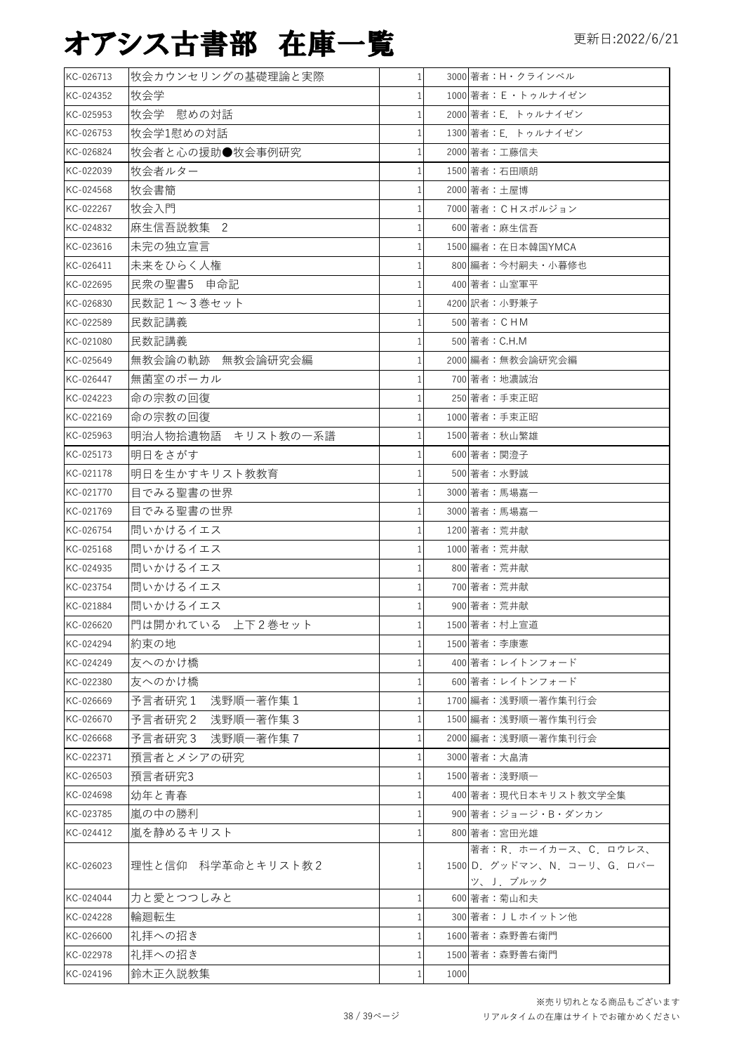| KC-026713 | 牧会カウンセリングの基礎理論と実際    | $1\vert$       | 3000 著者:H·クラインベル                                                  |
|-----------|----------------------|----------------|-------------------------------------------------------------------|
| KC-024352 | 牧会学                  | $\mathbf{1}$   | 1000 著者: E · トゥルナイゼン                                              |
| KC-025953 | 牧会学 慰めの対話            | $\mathbf{1}$   | 2000 著者: E. トゥルナイゼン                                               |
| KC-026753 | 牧会学1慰めの対話            | 1              | 1300 著者: E トゥルナイゼン                                                |
| KC-026824 | 牧会者と心の援助●牧会事例研究      | 1              | 2000 著者:工藤信夫                                                      |
| KC-022039 | 牧会者ルター               | 1              | 1500 著者:石田順朗                                                      |
| KC-024568 | 牧会書簡                 | 1              | 2000 著者: 土屋博                                                      |
| KC-022267 | 牧会入門                 | $\mathbf{1}$   | 7000 著者: CHスポルジョン                                                 |
| KC-024832 | 麻生信吾説教集 2            | 1              | 600 著者:麻生信吾                                                       |
| KC-023616 | 未完の独立宣言              | 1              | 1500 編者: 在日本韓国YMCA                                                |
| KC-026411 | 未来をひらく人権             | $\mathbf{1}$   | 800 編者:今村嗣夫·小暮修也                                                  |
| KC-022695 | 民衆の聖書5 申命記           | 1              | 400 著者:山室軍平                                                       |
| KC-026830 | 民数記1~3巻セット           | $\mathbf{1}$   | 4200 訳者:小野兼子                                                      |
| KC-022589 | 民数記講義                | 1              | 500 著者: CHM                                                       |
| KC-021080 | 民数記講義                | $\mathbf{1}$   | 500 著者: C.H.M                                                     |
| KC-025649 | 無教会論の軌跡 無教会論研究会編     | $\mathbf{1}$   | 2000 編者:無教会論研究会編                                                  |
| KC-026447 | 無菌室のボーカル             | $\mathbf{1}$   | 700 著者: 地濃誠治                                                      |
| KC-024223 | 命の宗教の回復              | $\mathbf{1}$   | 250 著者:手束正昭                                                       |
| KC-022169 | 命の宗教の回復              | 1 <sup>1</sup> |                                                                   |
|           |                      | $\mathbf{1}$   | 1000 著者:手束正昭                                                      |
| KC-025963 | 明治人物拾遺物語 キリスト教の一系譜   |                | 1500 著者:秋山繁雄                                                      |
| KC-025173 | 明日をさがす               | $\mathbf{1}$   | 600 著者:関澄子                                                        |
| KC-021178 | 明日を生かすキリスト教教育        | $\mathbf{1}$   | 500 著者:水野誠                                                        |
| KC-021770 | 目でみる聖書の世界            | $\mathbf{1}$   | 3000 著者:馬場嘉一                                                      |
| KC-021769 | 目でみる聖書の世界            | 1              | 3000 著者:馬場嘉一                                                      |
| KC-026754 | 問いかけるイエス             | $\mathbf{1}$   | 1200 著者: 荒井献                                                      |
| KC-025168 | 問いかけるイエス             | $\mathbf{1}$   | 1000 著者: 荒井献                                                      |
| KC-024935 | 問いかけるイエス             | $\mathbf{1}$   | 800 著者:荒井献                                                        |
| KC-023754 | 問いかけるイエス             | 1              | 700 著者: 荒井献                                                       |
| KC-021884 | 問いかけるイエス             | 1              | 900 著者:荒井献                                                        |
| KC-026620 | 門は開かれている 上下2巻セット     | 1 <sup>1</sup> | 1500 著者:村上宣道                                                      |
| KC-024294 | 約束の地                 | 1              | 1500 著者:李康憲                                                       |
| KC-024249 | 友へのかけ橋               | 1              | 400 著者:レイトンフォード                                                   |
| KC-022380 | 友へのかけ橋               |                | 600 著者:レイトンフォード                                                   |
| KC-026669 | 浅野順一著作集 1<br>予言者研究1  | $\mathbf{1}$   | 1700 編者:浅野順一著作集刊行会                                                |
| KC-026670 | 予言者研究 2<br>浅野順一著作集 3 | 1              | 1500 編者:浅野順一著作集刊行会                                                |
| KC-026668 | 浅野順一著作集 7<br>予言者研究 3 | 1              | 2000 編者:浅野順一著作集刊行会                                                |
| KC-022371 | 預言者とメシアの研究           | 1              | 3000 著者:大畠清                                                       |
| KC-026503 | 預言者研究3               | $\mathbf{1}$   | 1500 著者:淺野順一                                                      |
| KC-024698 | 幼年と青春                | 1              | 400 著者:現代日本キリスト教文学全集                                              |
| KC-023785 | 嵐の中の勝利               | $\mathbf{1}$   | 900 著者: ジョージ・B・ダンカン                                               |
| KC-024412 | 嵐を静めるキリスト            | 1              | 800 著者:宮田光雄                                                       |
| KC-026023 | 理性と信仰 科学革命とキリスト教2    | 1              | 著者: R. ホーイカース、C. ロウレス、<br>1500 D. グッドマン、N. コーリ、G. ロバー<br>ツ、J.ブルック |
| KC-024044 | 力と愛とつつしみと            | 1              | 600 著者:菊山和夫                                                       |
| KC-024228 | 輪廻転生                 | 1              | 300 著者: J L ホイットン他                                                |
| KC-026600 | 礼拝への招き               | 1              | 1600 著者:森野善右衛門                                                    |
| KC-022978 | 礼拝への招き               | 1              | 1500 著者:森野善右衛門                                                    |
| KC-024196 | 鈴木正久説教集              | $\mathbf{1}$   | 1000                                                              |